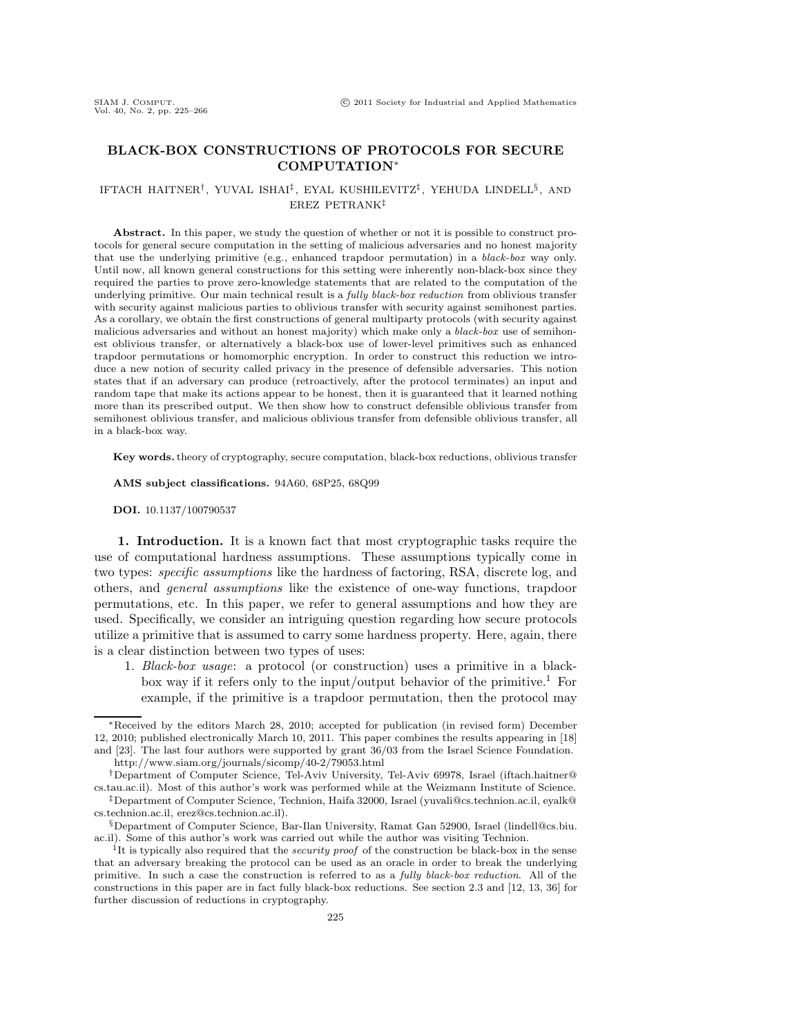# BLACK-BOX CONSTRUCTIONS OF PROTOCOLS FOR SECURE COMPUTATION∗

## IFTACH HAITNER†, YUVAL ISHAI‡ , EYAL KUSHILEVITZ‡ , YEHUDA LINDELL§ , AND EREZ PETRANK‡

Abstract. In this paper, we study the question of whether or not it is possible to construct protocols for general secure computation in the setting of malicious adversaries and no honest majority that use the underlying primitive (e.g., enhanced trapdoor permutation) in a black-box way only. Until now, all known general constructions for this setting were inherently non-black-box since they required the parties to prove zero-knowledge statements that are related to the computation of the underlying primitive. Our main technical result is a fully black-box reduction from oblivious transfer with security against malicious parties to oblivious transfer with security against semihonest parties. As a corollary, we obtain the first constructions of general multiparty protocols (with security against malicious adversaries and without an honest majority) which make only a black-box use of semihonest oblivious transfer, or alternatively a black-box use of lower-level primitives such as enhanced trapdoor permutations or homomorphic encryption. In order to construct this reduction we introduce a new notion of security called privacy in the presence of defensible adversaries. This notion states that if an adversary can produce (retroactively, after the protocol terminates) an input and random tape that make its actions appear to be honest, then it is guaranteed that it learned nothing more than its prescribed output. We then show how to construct defensible oblivious transfer from semihonest oblivious transfer, and malicious oblivious transfer from defensible oblivious transfer, all in a black-box way.

Key words. theory of cryptography, secure computation, black-box reductions, oblivious transfer

AMS subject classifications. 94A60, 68P25, 68Q99

DOI. 10.1137/100790537

1. Introduction. It is a known fact that most cryptographic tasks require the use of computational hardness assumptions. These assumptions typically come in two types: specific assumptions like the hardness of factoring, RSA, discrete log, and others, and general assumptions like the existence of one-way functions, trapdoor permutations, etc. In this paper, we refer to general assumptions and how they are used. Specifically, we consider an intriguing question regarding how secure protocols utilize a primitive that is assumed to carry some hardness property. Here, again, there is a clear distinction between two types of uses:

1. Black-box usage: a protocol (or construction) uses a primitive in a blackbox way if it refers only to the input/output behavior of the primitive.<sup>1</sup> For example, if the primitive is a trapdoor permutation, then the protocol may

<sup>∗</sup>Received by the editors March 28, 2010; accepted for publication (in revised form) December 12, 2010; published electronically March 10, 2011. This paper combines the results appearing in [18] and [23]. The last four authors were supported by grant 36/03 from the Israel Science Foundation. http://www.siam.org/journals/sicomp/40-2/79053.html

<sup>†</sup>Department of Computer Science, Tel-Aviv University, Tel-Aviv 69978, Israel (iftach.haitner@ cs.tau.ac.il). Most of this author's work was performed while at the Weizmann Institute of Science.

<sup>‡</sup>Department of Computer Science, Technion, Haifa 32000, Israel (yuvali@cs.technion.ac.il, eyalk@ cs.technion.ac.il, erez@cs.technion.ac.il).

<sup>§</sup>Department of Computer Science, Bar-Ilan University, Ramat Gan 52900, Israel (lindell@cs.biu. ac.il). Some of this author's work was carried out while the author was visiting Technion.

<sup>&</sup>lt;sup>1</sup>It is typically also required that the *security proof* of the construction be black-box in the sense that an adversary breaking the protocol can be used as an oracle in order to break the underlying primitive. In such a case the construction is referred to as a fully black-box reduction. All of the constructions in this paper are in fact fully black-box reductions. See section 2.3 and [12, 13, 36] for further discussion of reductions in cryptography.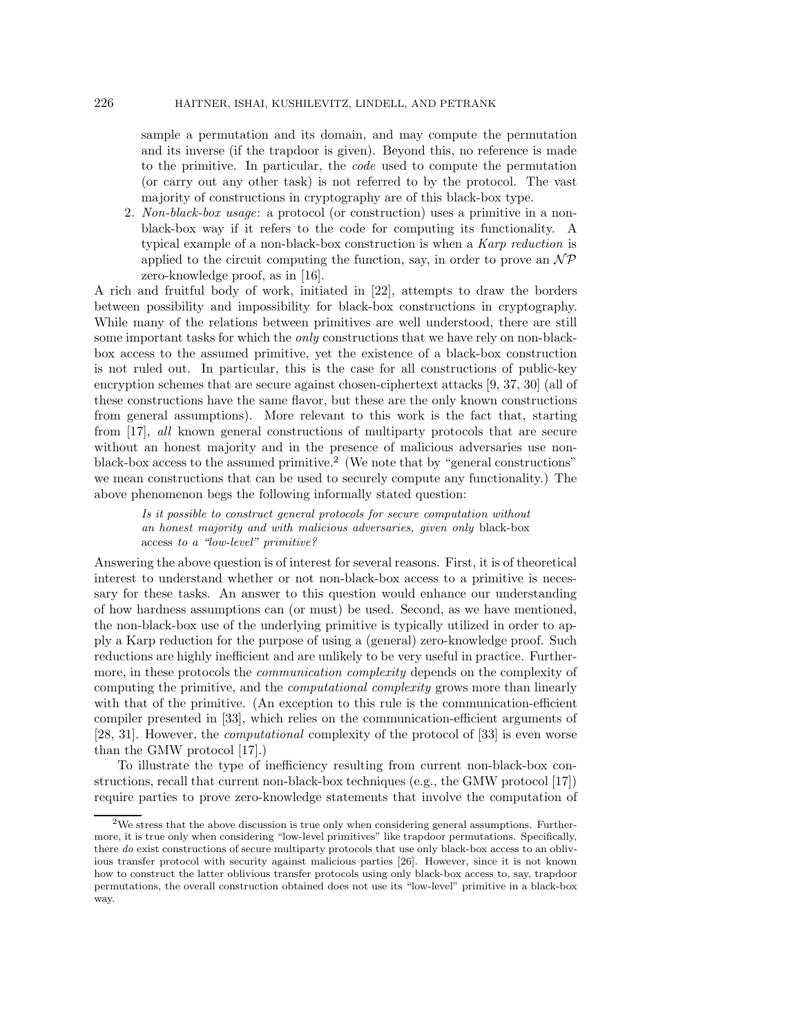sample a permutation and its domain, and may compute the permutation and its inverse (if the trapdoor is given). Beyond this, no reference is made to the primitive. In particular, the code used to compute the permutation (or carry out any other task) is not referred to by the protocol. The vast majority of constructions in cryptography are of this black-box type.

2. Non-black-box usage: a protocol (or construction) uses a primitive in a nonblack-box way if it refers to the code for computing its functionality. A typical example of a non-black-box construction is when a Karp reduction is applied to the circuit computing the function, say, in order to prove an  $\mathcal{NP}$ zero-knowledge proof, as in [16].

A rich and fruitful body of work, initiated in [22], attempts to draw the borders between possibility and impossibility for black-box constructions in cryptography. While many of the relations between primitives are well understood, there are still some important tasks for which the *only* constructions that we have rely on non-blackbox access to the assumed primitive, yet the existence of a black-box construction is not ruled out. In particular, this is the case for all constructions of public-key encryption schemes that are secure against chosen-ciphertext attacks [9, 37, 30] (all of these constructions have the same flavor, but these are the only known constructions from general assumptions). More relevant to this work is the fact that, starting from [17], all known general constructions of multiparty protocols that are secure without an honest majority and in the presence of malicious adversaries use nonblack-box access to the assumed primitive.<sup>2</sup> (We note that by "general constructions" we mean constructions that can be used to securely compute any functionality.) The above phenomenon begs the following informally stated question:

Is it possible to construct general protocols for secure computation without an honest majority and with malicious adversaries, given only black-box access to a "low-level" primitive?

Answering the above question is of interest for several reasons. First, it is of theoretical interest to understand whether or not non-black-box access to a primitive is necessary for these tasks. An answer to this question would enhance our understanding of how hardness assumptions can (or must) be used. Second, as we have mentioned, the non-black-box use of the underlying primitive is typically utilized in order to apply a Karp reduction for the purpose of using a (general) zero-knowledge proof. Such reductions are highly inefficient and are unlikely to be very useful in practice. Furthermore, in these protocols the *communication complexity* depends on the complexity of computing the primitive, and the computational complexity grows more than linearly with that of the primitive. (An exception to this rule is the communication-efficient compiler presented in [33], which relies on the communication-efficient arguments of [28, 31]. However, the computational complexity of the protocol of [33] is even worse than the GMW protocol [17].)

To illustrate the type of inefficiency resulting from current non-black-box constructions, recall that current non-black-box techniques (e.g., the GMW protocol [17]) require parties to prove zero-knowledge statements that involve the computation of

<sup>&</sup>lt;sup>2</sup>We stress that the above discussion is true only when considering general assumptions. Furthermore, it is true only when considering "low-level primitives" like trapdoor permutations. Specifically, there do exist constructions of secure multiparty protocols that use only black-box access to an oblivious transfer protocol with security against malicious parties [26]. However, since it is not known how to construct the latter oblivious transfer protocols using only black-box access to, say, trapdoor permutations, the overall construction obtained does not use its "low-level" primitive in a black-box way.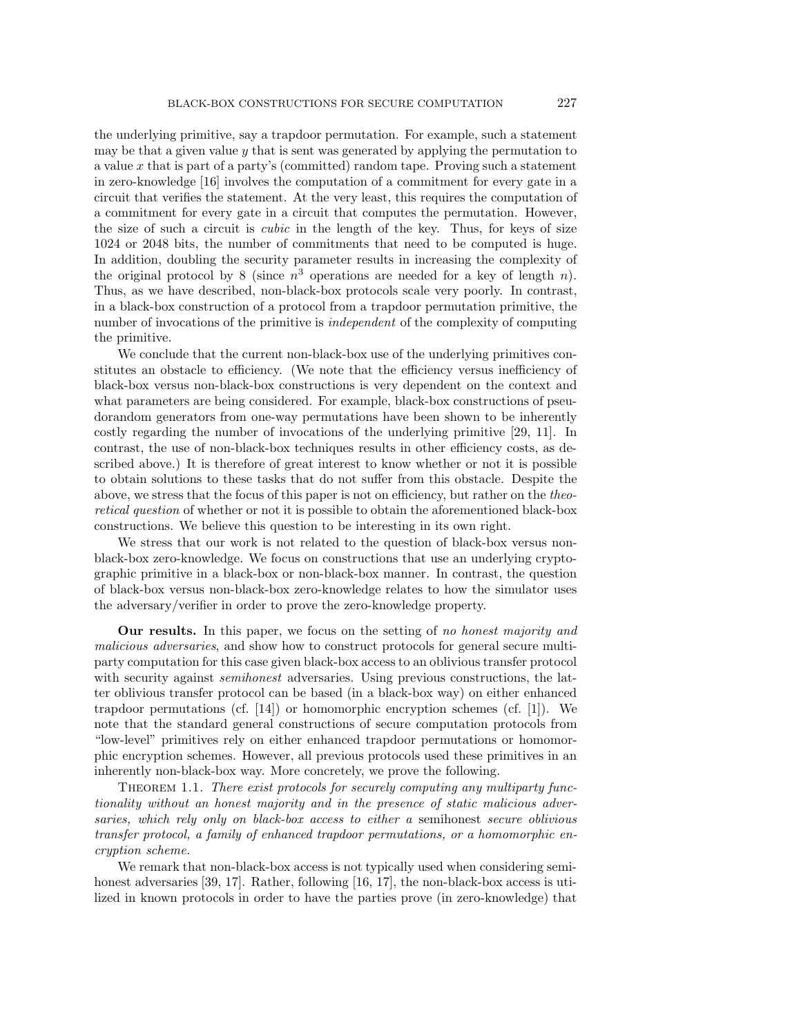the underlying primitive, say a trapdoor permutation. For example, such a statement may be that a given value  $y$  that is sent was generated by applying the permutation to a value  $x$  that is part of a party's (committed) random tape. Proving such a statement in zero-knowledge [16] involves the computation of a commitment for every gate in a circuit that verifies the statement. At the very least, this requires the computation of a commitment for every gate in a circuit that computes the permutation. However, the size of such a circuit is cubic in the length of the key. Thus, for keys of size 1024 or 2048 bits, the number of commitments that need to be computed is huge. In addition, doubling the security parameter results in increasing the complexity of the original protocol by 8 (since  $n^3$  operations are needed for a key of length n). Thus, as we have described, non-black-box protocols scale very poorly. In contrast, in a black-box construction of a protocol from a trapdoor permutation primitive, the number of invocations of the primitive is independent of the complexity of computing the primitive.

We conclude that the current non-black-box use of the underlying primitives constitutes an obstacle to efficiency. (We note that the efficiency versus inefficiency of black-box versus non-black-box constructions is very dependent on the context and what parameters are being considered. For example, black-box constructions of pseudorandom generators from one-way permutations have been shown to be inherently costly regarding the number of invocations of the underlying primitive [29, 11]. In contrast, the use of non-black-box techniques results in other efficiency costs, as described above.) It is therefore of great interest to know whether or not it is possible to obtain solutions to these tasks that do not suffer from this obstacle. Despite the above, we stress that the focus of this paper is not on efficiency, but rather on the theoretical question of whether or not it is possible to obtain the aforementioned black-box constructions. We believe this question to be interesting in its own right.

We stress that our work is not related to the question of black-box versus nonblack-box zero-knowledge. We focus on constructions that use an underlying cryptographic primitive in a black-box or non-black-box manner. In contrast, the question of black-box versus non-black-box zero-knowledge relates to how the simulator uses the adversary/verifier in order to prove the zero-knowledge property.

Our results. In this paper, we focus on the setting of no honest majority and malicious adversaries, and show how to construct protocols for general secure multiparty computation for this case given black-box access to an oblivious transfer protocol with security against *semihonest* adversaries. Using previous constructions, the latter oblivious transfer protocol can be based (in a black-box way) on either enhanced trapdoor permutations (cf.  $[14]$ ) or homomorphic encryption schemes (cf.  $[1]$ ). We note that the standard general constructions of secure computation protocols from "low-level" primitives rely on either enhanced trapdoor permutations or homomorphic encryption schemes. However, all previous protocols used these primitives in an inherently non-black-box way. More concretely, we prove the following.

THEOREM 1.1. There exist protocols for securely computing any multiparty functionality without an honest majority and in the presence of static malicious adversaries, which rely only on black-box access to either a semihonest secure oblivious transfer protocol, a family of enhanced trapdoor permutations, or a homomorphic encryption scheme.

We remark that non-black-box access is not typically used when considering semihonest adversaries [39, 17]. Rather, following [16, 17], the non-black-box access is utilized in known protocols in order to have the parties prove (in zero-knowledge) that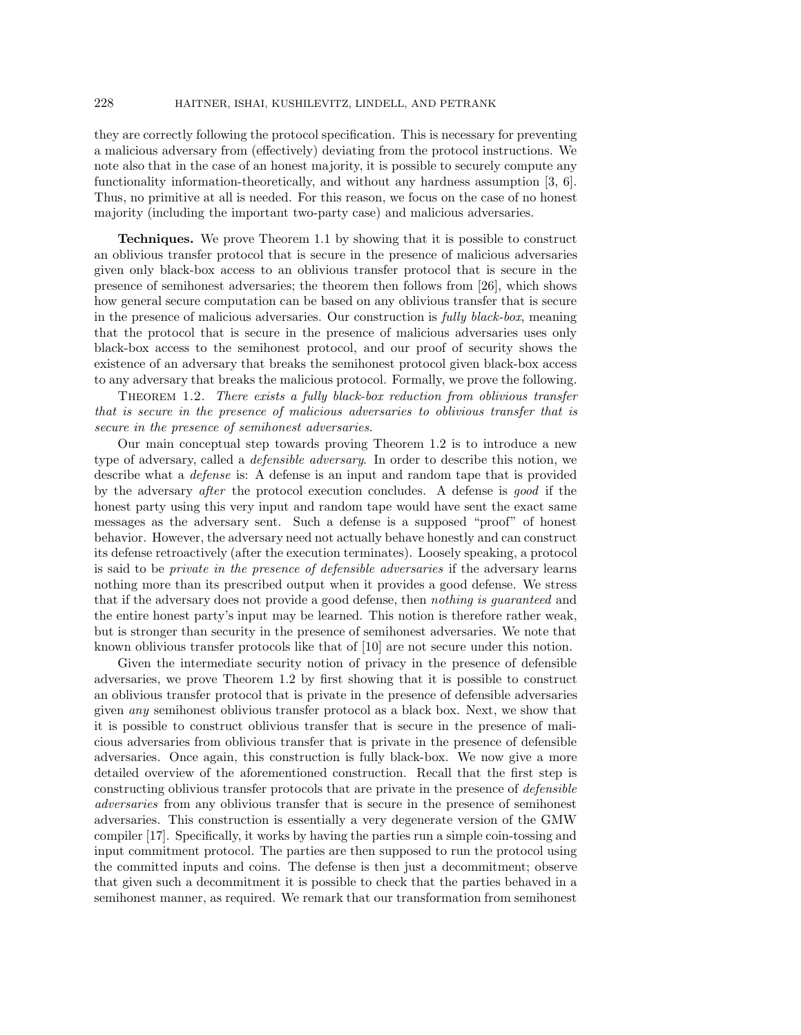they are correctly following the protocol specification. This is necessary for preventing a malicious adversary from (effectively) deviating from the protocol instructions. We note also that in the case of an honest majority, it is possible to securely compute any functionality information-theoretically, and without any hardness assumption [3, 6]. Thus, no primitive at all is needed. For this reason, we focus on the case of no honest majority (including the important two-party case) and malicious adversaries.

Techniques. We prove Theorem 1.1 by showing that it is possible to construct an oblivious transfer protocol that is secure in the presence of malicious adversaries given only black-box access to an oblivious transfer protocol that is secure in the presence of semihonest adversaries; the theorem then follows from [26], which shows how general secure computation can be based on any oblivious transfer that is secure in the presence of malicious adversaries. Our construction is fully black-box, meaning that the protocol that is secure in the presence of malicious adversaries uses only black-box access to the semihonest protocol, and our proof of security shows the existence of an adversary that breaks the semihonest protocol given black-box access to any adversary that breaks the malicious protocol. Formally, we prove the following.

THEOREM 1.2. There exists a fully black-box reduction from oblivious transfer that is secure in the presence of malicious adversaries to oblivious transfer that is secure in the presence of semihonest adversaries.

Our main conceptual step towards proving Theorem 1.2 is to introduce a new type of adversary, called a *defensible adversary*. In order to describe this notion, we describe what a defense is: A defense is an input and random tape that is provided by the adversary after the protocol execution concludes. A defense is good if the honest party using this very input and random tape would have sent the exact same messages as the adversary sent. Such a defense is a supposed "proof" of honest behavior. However, the adversary need not actually behave honestly and can construct its defense retroactively (after the execution terminates). Loosely speaking, a protocol is said to be private in the presence of defensible adversaries if the adversary learns nothing more than its prescribed output when it provides a good defense. We stress that if the adversary does not provide a good defense, then nothing is guaranteed and the entire honest party's input may be learned. This notion is therefore rather weak, but is stronger than security in the presence of semihonest adversaries. We note that known oblivious transfer protocols like that of [10] are not secure under this notion.

Given the intermediate security notion of privacy in the presence of defensible adversaries, we prove Theorem 1.2 by first showing that it is possible to construct an oblivious transfer protocol that is private in the presence of defensible adversaries given any semihonest oblivious transfer protocol as a black box. Next, we show that it is possible to construct oblivious transfer that is secure in the presence of malicious adversaries from oblivious transfer that is private in the presence of defensible adversaries. Once again, this construction is fully black-box. We now give a more detailed overview of the aforementioned construction. Recall that the first step is constructing oblivious transfer protocols that are private in the presence of defensible adversaries from any oblivious transfer that is secure in the presence of semihonest adversaries. This construction is essentially a very degenerate version of the GMW compiler [17]. Specifically, it works by having the parties run a simple coin-tossing and input commitment protocol. The parties are then supposed to run the protocol using the committed inputs and coins. The defense is then just a decommitment; observe that given such a decommitment it is possible to check that the parties behaved in a semihonest manner, as required. We remark that our transformation from semihonest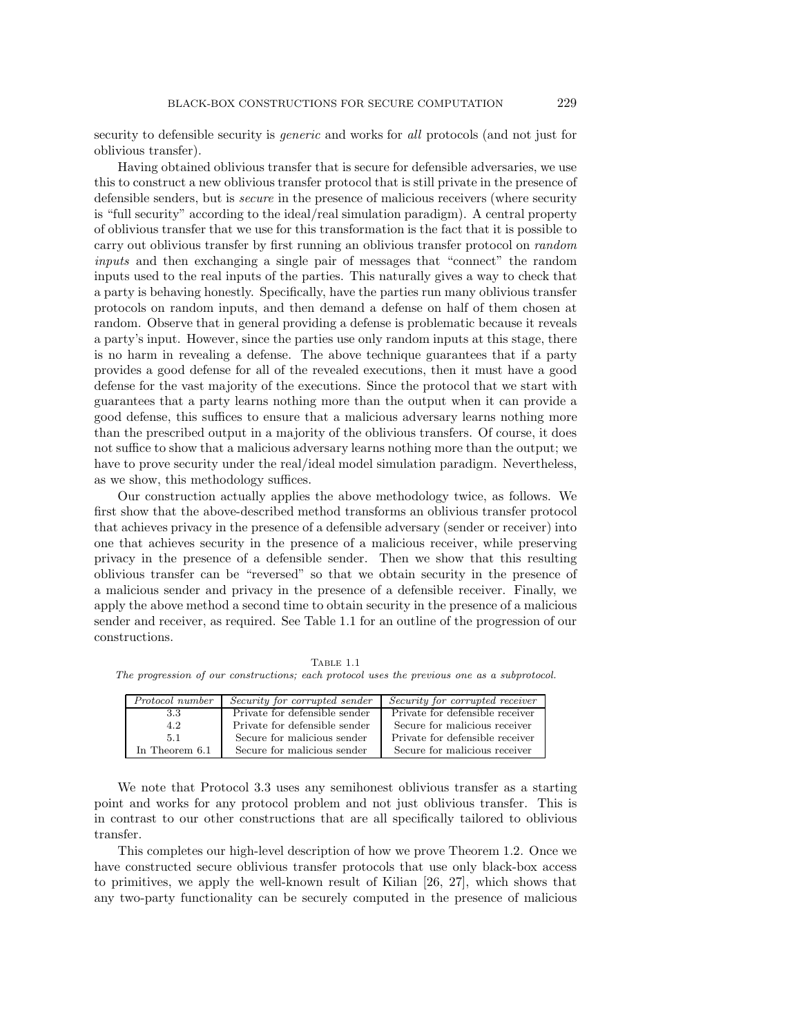security to defensible security is *generic* and works for all protocols (and not just for oblivious transfer).

Having obtained oblivious transfer that is secure for defensible adversaries, we use this to construct a new oblivious transfer protocol that is still private in the presence of defensible senders, but is secure in the presence of malicious receivers (where security is "full security" according to the ideal/real simulation paradigm). A central property of oblivious transfer that we use for this transformation is the fact that it is possible to carry out oblivious transfer by first running an oblivious transfer protocol on random inputs and then exchanging a single pair of messages that "connect" the random inputs used to the real inputs of the parties. This naturally gives a way to check that a party is behaving honestly. Specifically, have the parties run many oblivious transfer protocols on random inputs, and then demand a defense on half of them chosen at random. Observe that in general providing a defense is problematic because it reveals a party's input. However, since the parties use only random inputs at this stage, there is no harm in revealing a defense. The above technique guarantees that if a party provides a good defense for all of the revealed executions, then it must have a good defense for the vast majority of the executions. Since the protocol that we start with guarantees that a party learns nothing more than the output when it can provide a good defense, this suffices to ensure that a malicious adversary learns nothing more than the prescribed output in a majority of the oblivious transfers. Of course, it does not suffice to show that a malicious adversary learns nothing more than the output; we have to prove security under the real/ideal model simulation paradigm. Nevertheless, as we show, this methodology suffices.

Our construction actually applies the above methodology twice, as follows. We first show that the above-described method transforms an oblivious transfer protocol that achieves privacy in the presence of a defensible adversary (sender or receiver) into one that achieves security in the presence of a malicious receiver, while preserving privacy in the presence of a defensible sender. Then we show that this resulting oblivious transfer can be "reversed" so that we obtain security in the presence of a malicious sender and privacy in the presence of a defensible receiver. Finally, we apply the above method a second time to obtain security in the presence of a malicious sender and receiver, as required. See Table 1.1 for an outline of the progression of our constructions.

Table 1.1 The progression of our constructions; each protocol uses the previous one as a subprotocol.

| Protocol number | Security for corrupted sender | <i>Security for corrupted receiver</i> |
|-----------------|-------------------------------|----------------------------------------|
| 3.3             | Private for defensible sender | Private for defensible receiver        |
| 4.2             | Private for defensible sender | Secure for malicious receiver          |
| 5.1             | Secure for malicious sender   | Private for defensible receiver        |
| In Theorem 6.1  | Secure for malicious sender   | Secure for malicious receiver          |

We note that Protocol 3.3 uses any semihonest oblivious transfer as a starting point and works for any protocol problem and not just oblivious transfer. This is in contrast to our other constructions that are all specifically tailored to oblivious transfer.

This completes our high-level description of how we prove Theorem 1.2. Once we have constructed secure oblivious transfer protocols that use only black-box access to primitives, we apply the well-known result of Kilian [26, 27], which shows that any two-party functionality can be securely computed in the presence of malicious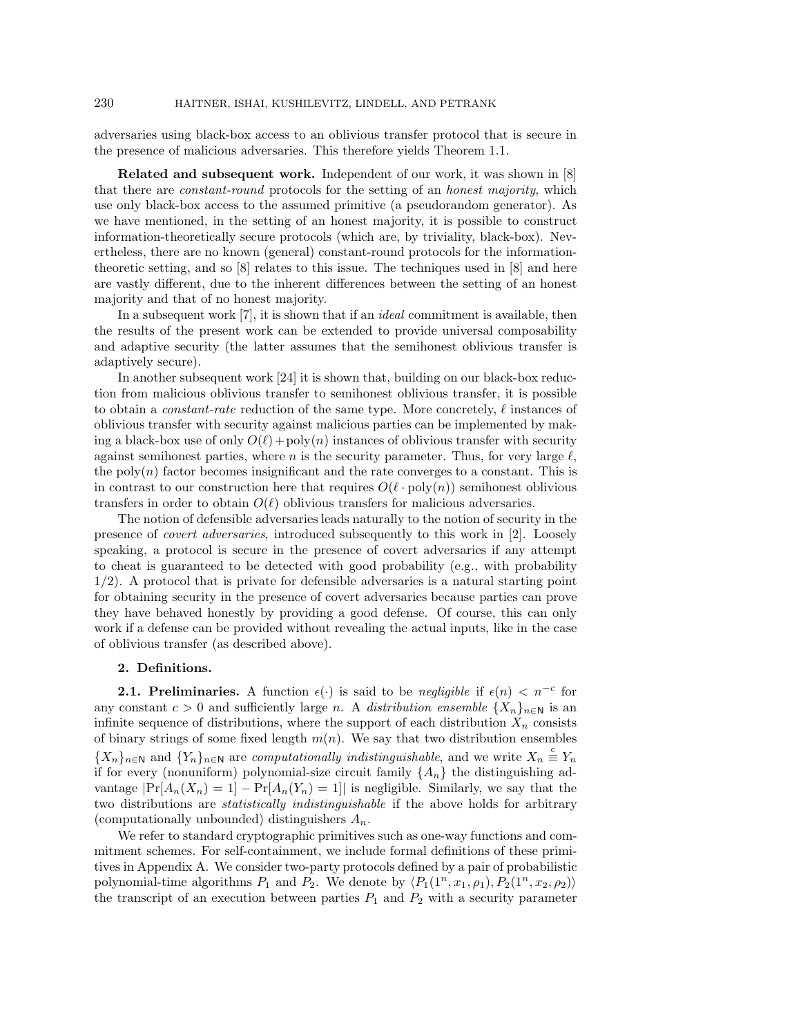adversaries using black-box access to an oblivious transfer protocol that is secure in the presence of malicious adversaries. This therefore yields Theorem 1.1.

Related and subsequent work. Independent of our work, it was shown in [8] that there are constant-round protocols for the setting of an honest majority, which use only black-box access to the assumed primitive (a pseudorandom generator). As we have mentioned, in the setting of an honest majority, it is possible to construct information-theoretically secure protocols (which are, by triviality, black-box). Nevertheless, there are no known (general) constant-round protocols for the informationtheoretic setting, and so [8] relates to this issue. The techniques used in [8] and here are vastly different, due to the inherent differences between the setting of an honest majority and that of no honest majority.

In a subsequent work [7], it is shown that if an *ideal* commitment is available, then the results of the present work can be extended to provide universal composability and adaptive security (the latter assumes that the semihonest oblivious transfer is adaptively secure).

In another subsequent work [24] it is shown that, building on our black-box reduction from malicious oblivious transfer to semihonest oblivious transfer, it is possible to obtain a *constant-rate* reduction of the same type. More concretely,  $\ell$  instances of oblivious transfer with security against malicious parties can be implemented by making a black-box use of only  $O(\ell) + \text{poly}(n)$  instances of oblivious transfer with security against semihonest parties, where n is the security parameter. Thus, for very large  $\ell$ , the poly $(n)$  factor becomes insignificant and the rate converges to a constant. This is in contrast to our construction here that requires  $O(\ell \cdot \text{poly}(n))$  semihonest oblivious transfers in order to obtain  $O(\ell)$  oblivious transfers for malicious adversaries.

The notion of defensible adversaries leads naturally to the notion of security in the presence of covert adversaries, introduced subsequently to this work in [2]. Loosely speaking, a protocol is secure in the presence of covert adversaries if any attempt to cheat is guaranteed to be detected with good probability (e.g., with probability 1/2). A protocol that is private for defensible adversaries is a natural starting point for obtaining security in the presence of covert adversaries because parties can prove they have behaved honestly by providing a good defense. Of course, this can only work if a defense can be provided without revealing the actual inputs, like in the case of oblivious transfer (as described above).

### 2. Definitions.

**2.1. Preliminaries.** A function  $\epsilon(\cdot)$  is said to be negligible if  $\epsilon(n) < n^{-c}$  for any constant  $c > 0$  and sufficiently large n. A distribution ensemble  $\{X_n\}_{n \in \mathbb{N}}$  is an infinite sequence of distributions, where the support of each distribution  $X_n$  consists of binary strings of some fixed length  $m(n)$ . We say that two distribution ensembles  ${X_n}_{n\in\mathbb{N}}$  and  ${Y_n}_{n\in\mathbb{N}}$  are computationally indistinguishable, and we write  $X_n \overset{c}{\equiv} Y_n$ if for every (nonuniform) polynomial-size circuit family  $\{A_n\}$  the distinguishing advantage  $|\Pr[A_n(X_n) = 1] - \Pr[A_n(Y_n) = 1]|$  is negligible. Similarly, we say that the two distributions are statistically indistinguishable if the above holds for arbitrary (computationally unbounded) distinguishers  $A_n$ .

We refer to standard cryptographic primitives such as one-way functions and commitment schemes. For self-containment, we include formal definitions of these primitives in Appendix A. We consider two-party protocols defined by a pair of probabilistic polynomial-time algorithms  $P_1$  and  $P_2$ . We denote by  $\langle P_1(1^n, x_1, \rho_1), P_2(1^n, x_2, \rho_2) \rangle$ the transcript of an execution between parties  $P_1$  and  $P_2$  with a security parameter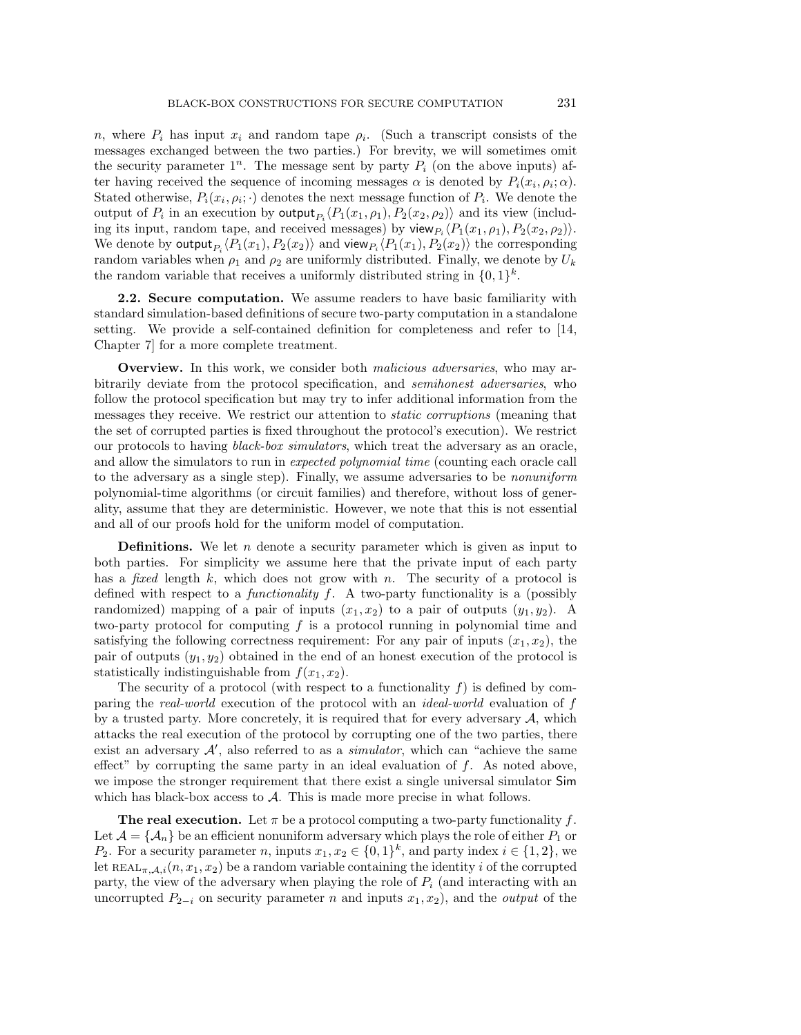n, where  $P_i$  has input  $x_i$  and random tape  $\rho_i$ . (Such a transcript consists of the messages exchanged between the two parties.) For brevity, we will sometimes omit the security parameter  $1^n$ . The message sent by party  $P_i$  (on the above inputs) after having received the sequence of incoming messages  $\alpha$  is denoted by  $P_i(x_i, \rho_i; \alpha)$ . Stated otherwise,  $P_i(x_i, \rho_i; \cdot)$  denotes the next message function of  $P_i$ . We denote the output of  $P_i$  in an execution by output<sub> $P_i$ </sub>  $\langle P_1(x_1, \rho_1), P_2(x_2, \rho_2) \rangle$  and its view (including its input, random tape, and received messages) by view<sub>P<sub>i</sub></sub> $\langle P_1(x_1,\rho_1), P_2(x_2,\rho_2) \rangle$ . We denote by output<sub>P<sub>i</sub></sub>  $\langle P_1(x_1), P_2(x_2) \rangle$  and view<sub>P<sub>i</sub></sub>  $\langle P_1(x_1), P_2(x_2) \rangle$  the corresponding random variables when  $\rho_1$  and  $\rho_2$  are uniformly distributed. Finally, we denote by  $U_k$ the random variable that receives a uniformly distributed string in  $\{0, 1\}^k$ .

2.2. Secure computation. We assume readers to have basic familiarity with standard simulation-based definitions of secure two-party computation in a standalone setting. We provide a self-contained definition for completeness and refer to [14, Chapter 7] for a more complete treatment.

**Overview.** In this work, we consider both *malicious adversaries*, who may arbitrarily deviate from the protocol specification, and semihonest adversaries, who follow the protocol specification but may try to infer additional information from the messages they receive. We restrict our attention to static corruptions (meaning that the set of corrupted parties is fixed throughout the protocol's execution). We restrict our protocols to having black-box simulators, which treat the adversary as an oracle, and allow the simulators to run in expected polynomial time (counting each oracle call to the adversary as a single step). Finally, we assume adversaries to be nonuniform polynomial-time algorithms (or circuit families) and therefore, without loss of generality, assume that they are deterministic. However, we note that this is not essential and all of our proofs hold for the uniform model of computation.

**Definitions.** We let  $n$  denote a security parameter which is given as input to both parties. For simplicity we assume here that the private input of each party has a fixed length k, which does not grow with n. The security of a protocol is defined with respect to a *functionality*  $f$ . A two-party functionality is a (possibly randomized) mapping of a pair of inputs  $(x_1, x_2)$  to a pair of outputs  $(y_1, y_2)$ . A two-party protocol for computing  $f$  is a protocol running in polynomial time and satisfying the following correctness requirement: For any pair of inputs  $(x_1, x_2)$ , the pair of outputs  $(y_1, y_2)$  obtained in the end of an honest execution of the protocol is statistically indistinguishable from  $f(x_1, x_2)$ .

The security of a protocol (with respect to a functionality  $f$ ) is defined by comparing the real-world execution of the protocol with an ideal-world evaluation of f by a trusted party. More concretely, it is required that for every adversary  $A$ , which attacks the real execution of the protocol by corrupting one of the two parties, there exist an adversary  $A'$ , also referred to as a *simulator*, which can "achieve the same effect" by corrupting the same party in an ideal evaluation of  $f$ . As noted above, we impose the stronger requirement that there exist a single universal simulator Sim which has black-box access to  $A$ . This is made more precise in what follows.

**The real execution.** Let  $\pi$  be a protocol computing a two-party functionality f. Let  $\mathcal{A} = {\mathcal{A}_n}$  be an efficient nonuniform adversary which plays the role of either  $P_1$  or P<sub>2</sub>. For a security parameter n, inputs  $x_1, x_2 \in \{0, 1\}^k$ , and party index  $i \in \{1, 2\}$ , we let REAL<sub>π,A,i</sub> $(n, x_1, x_2)$  be a random variable containing the identity i of the corrupted party, the view of the adversary when playing the role of  $P_i$  (and interacting with an uncorrupted  $P_{2-i}$  on security parameter n and inputs  $x_1, x_2$ , and the *output* of the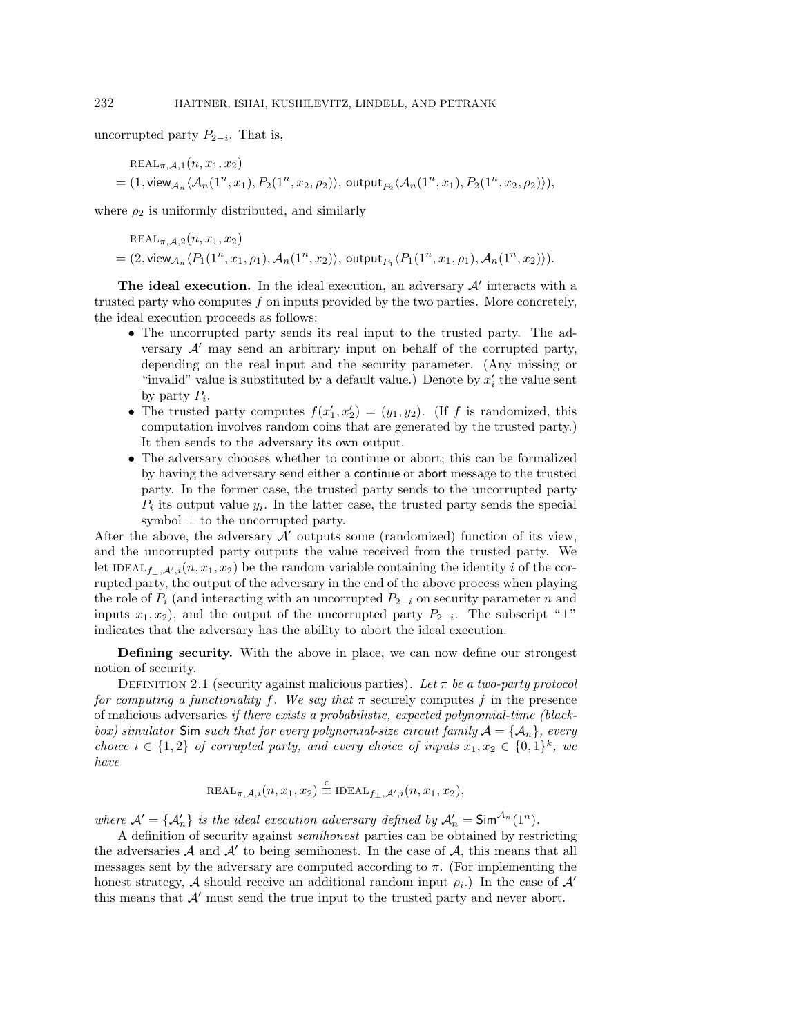uncorrupted party  $P_{2-i}$ . That is,

$$
\begin{aligned} &\text{REAL}_{\pi,\mathcal{A},1}(n,x_1,x_2)\\&=(1,\text{view}_{\mathcal{A}_n}\langle\mathcal{A}_n(1^n,x_1),P_2(1^n,x_2,\rho_2)\rangle,\,\text{output}_{P_2}\langle\mathcal{A}_n(1^n,x_1),P_2(1^n,x_2,\rho_2)\rangle),\end{aligned}
$$

where  $\rho_2$  is uniformly distributed, and similarly

 $REAL_{\pi,A,2}(n, x_1, x_2)$  $=(2, \text{view}_{\mathcal{A}_n} \langle P_1(1^n, x_1, \rho_1), \mathcal{A}_n(1^n, x_2) \rangle$ , output $_{P_1} \langle P_1(1^n, x_1, \rho_1), \mathcal{A}_n(1^n, x_2) \rangle$ ).

**The ideal execution.** In the ideal execution, an adversary  $\mathcal{A}'$  interacts with a trusted party who computes  $f$  on inputs provided by the two parties. More concretely, the ideal execution proceeds as follows:

- The uncorrupted party sends its real input to the trusted party. The adversary  $\mathcal{A}'$  may send an arbitrary input on behalf of the corrupted party, depending on the real input and the security parameter. (Any missing or "invalid" value is substituted by a default value.) Denote by  $x_i'$  the value sent by party  $P_i$ .
- The trusted party computes  $f(x'_1, x'_2) = (y_1, y_2)$ . (If f is randomized, this computation involves random coins that are generated by the trusted party.) It then sends to the adversary its own output.
- The adversary chooses whether to continue or abort; this can be formalized by having the adversary send either a continue or abort message to the trusted party. In the former case, the trusted party sends to the uncorrupted party  $P_i$  its output value  $y_i$ . In the latter case, the trusted party sends the special symbol  $\perp$  to the uncorrupted party.

After the above, the adversary  $\mathcal{A}'$  outputs some (randomized) function of its view, and the uncorrupted party outputs the value received from the trusted party. We let IDEAL $f_{\perp,A',i}(n, x_1, x_2)$  be the random variable containing the identity i of the corrupted party, the output of the adversary in the end of the above process when playing the role of  $P_i$  (and interacting with an uncorrupted  $P_{2-i}$  on security parameter n and inputs  $x_1, x_2$ ), and the output of the uncorrupted party  $P_{2-i}$ . The subscript "⊥" indicates that the adversary has the ability to abort the ideal execution.

Defining security. With the above in place, we can now define our strongest notion of security.

DEFINITION 2.1 (security against malicious parties). Let  $\pi$  be a two-party protocol for computing a functionality f. We say that  $\pi$  securely computes f in the presence of malicious adversaries if there exists a probabilistic, expected polynomial-time (blackbox) simulator Sim such that for every polynomial-size circuit family  $A = \{A_n\}$ , every choice  $i \in \{1,2\}$  of corrupted party, and every choice of inputs  $x_1, x_2 \in \{0,1\}^k$ , we have

$$
\text{REAL}_{\pi,\mathcal{A},i}(n,x_1,x_2) \stackrel{c}{\equiv} \text{IDEAL}_{f_\perp,\mathcal{A}',i}(n,x_1,x_2),
$$

where  $\mathcal{A}' = {\mathcal{A}'_n}$  is the ideal execution adversary defined by  $\mathcal{A}'_n = \text{Sim}^{\mathcal{A}_n}(1^n)$ .

A definition of security against semihonest parties can be obtained by restricting the adversaries  $\mathcal A$  and  $\mathcal A'$  to being semihonest. In the case of  $\mathcal A$ , this means that all messages sent by the adversary are computed according to  $\pi$ . (For implementing the honest strategy, A should receive an additional random input  $\rho_i$ .) In the case of  $\mathcal{A}'$ this means that  $\mathcal{A}'$  must send the true input to the trusted party and never abort.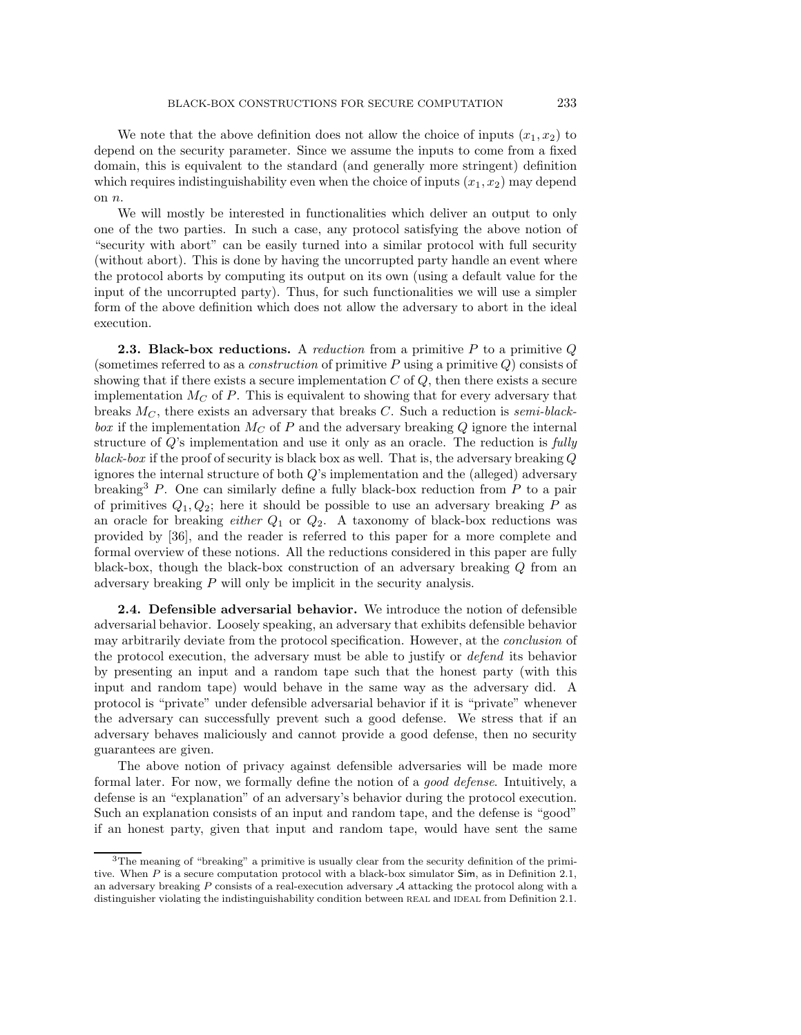We note that the above definition does not allow the choice of inputs  $(x_1, x_2)$  to depend on the security parameter. Since we assume the inputs to come from a fixed domain, this is equivalent to the standard (and generally more stringent) definition which requires indistinguishability even when the choice of inputs  $(x_1, x_2)$  may depend on n.

We will mostly be interested in functionalities which deliver an output to only one of the two parties. In such a case, any protocol satisfying the above notion of "security with abort" can be easily turned into a similar protocol with full security (without abort). This is done by having the uncorrupted party handle an event where the protocol aborts by computing its output on its own (using a default value for the input of the uncorrupted party). Thus, for such functionalities we will use a simpler form of the above definition which does not allow the adversary to abort in the ideal execution.

**2.3. Black-box reductions.** A reduction from a primitive P to a primitive Q (sometimes referred to as a *construction* of primitive  $P$  using a primitive  $Q$ ) consists of showing that if there exists a secure implementation  $C$  of  $Q$ , then there exists a secure implementation  $M_C$  of P. This is equivalent to showing that for every adversary that breaks  $M_C$ , there exists an adversary that breaks C. Such a reduction is semi-blackbox if the implementation  $M_C$  of P and the adversary breaking Q ignore the internal structure of Q's implementation and use it only as an oracle. The reduction is fully black-box if the proof of security is black box as well. That is, the adversary breaking  $Q$ ignores the internal structure of both  $Q$ 's implementation and the (alleged) adversary breaking<sup>3</sup> P. One can similarly define a fully black-box reduction from P to a pair of primitives  $Q_1, Q_2$ ; here it should be possible to use an adversary breaking P as an oracle for breaking *either*  $Q_1$  or  $Q_2$ . A taxonomy of black-box reductions was provided by [36], and the reader is referred to this paper for a more complete and formal overview of these notions. All the reductions considered in this paper are fully black-box, though the black-box construction of an adversary breaking Q from an adversary breaking  $P$  will only be implicit in the security analysis.

2.4. Defensible adversarial behavior. We introduce the notion of defensible adversarial behavior. Loosely speaking, an adversary that exhibits defensible behavior may arbitrarily deviate from the protocol specification. However, at the conclusion of the protocol execution, the adversary must be able to justify or defend its behavior by presenting an input and a random tape such that the honest party (with this input and random tape) would behave in the same way as the adversary did. A protocol is "private" under defensible adversarial behavior if it is "private" whenever the adversary can successfully prevent such a good defense. We stress that if an adversary behaves maliciously and cannot provide a good defense, then no security guarantees are given.

The above notion of privacy against defensible adversaries will be made more formal later. For now, we formally define the notion of a good defense. Intuitively, a defense is an "explanation" of an adversary's behavior during the protocol execution. Such an explanation consists of an input and random tape, and the defense is "good" if an honest party, given that input and random tape, would have sent the same

<sup>&</sup>lt;sup>3</sup>The meaning of "breaking" a primitive is usually clear from the security definition of the primitive. When P is a secure computation protocol with a black-box simulator Sim, as in Definition 2.1, an adversary breaking  $P$  consists of a real-execution adversary  $A$  attacking the protocol along with a distinguisher violating the indistinguishability condition between REAL and IDEAL from Definition 2.1.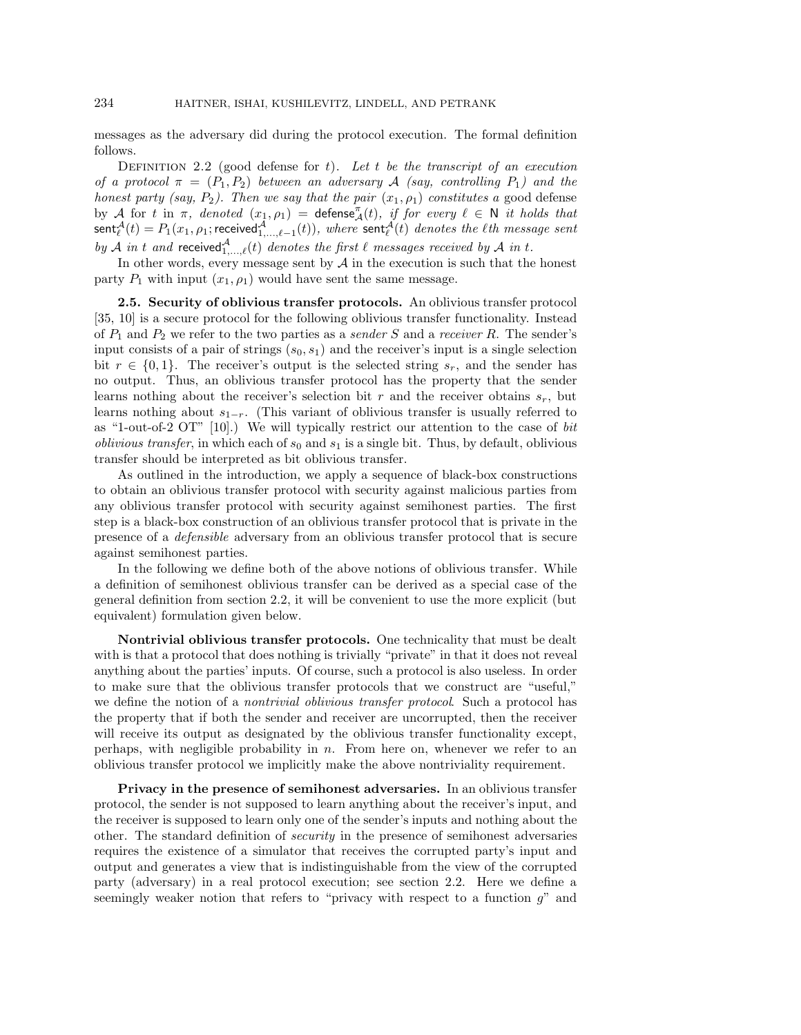messages as the adversary did during the protocol execution. The formal definition follows.

DEFINITION 2.2 (good defense for t). Let t be the transcript of an execution of a protocol  $\pi = (P_1, P_2)$  between an adversary A (say, controlling  $P_1$ ) and the honest party (say,  $P_2$ ). Then we say that the pair  $(x_1, \rho_1)$  constitutes a good defense by A for t in  $\pi$ , denoted  $(x_1, \rho_1)$  = defense<sub> $A(t)$ </sub>, if for every  $\ell \in \mathbb{N}$  it holds that  $\mathsf{sent}^{\mathcal{A}}_{\ell}(t) = P_1(x_1, \rho_1; \mathsf{received}^{\mathcal{A}}_{1,\dots,\ell-1}(t)), \text{ where } \mathsf{sent}^{\mathcal{A}}_{\ell}(t) \text{ denotes the } \ell\text{th message sent}.$ by A in t and received  $A^A_{1,\dots,\ell}(t)$  denotes the first  $\ell$  messages received by A in t.

In other words, every message sent by  $A$  in the execution is such that the honest party  $P_1$  with input  $(x_1, \rho_1)$  would have sent the same message.

2.5. Security of oblivious transfer protocols. An oblivious transfer protocol [35, 10] is a secure protocol for the following oblivious transfer functionality. Instead of  $P_1$  and  $P_2$  we refer to the two parties as a *sender S* and a *receiver R*. The sender's input consists of a pair of strings  $(s_0, s_1)$  and the receiver's input is a single selection bit  $r \in \{0,1\}$ . The receiver's output is the selected string  $s_r$ , and the sender has no output. Thus, an oblivious transfer protocol has the property that the sender learns nothing about the receiver's selection bit r and the receiver obtains  $s_r$ , but learns nothing about  $s_{1-r}$ . (This variant of oblivious transfer is usually referred to as "1-out-of-2 OT" [10].) We will typically restrict our attention to the case of bit *oblivious transfer*, in which each of  $s_0$  and  $s_1$  is a single bit. Thus, by default, oblivious transfer should be interpreted as bit oblivious transfer.

As outlined in the introduction, we apply a sequence of black-box constructions to obtain an oblivious transfer protocol with security against malicious parties from any oblivious transfer protocol with security against semihonest parties. The first step is a black-box construction of an oblivious transfer protocol that is private in the presence of a defensible adversary from an oblivious transfer protocol that is secure against semihonest parties.

In the following we define both of the above notions of oblivious transfer. While a definition of semihonest oblivious transfer can be derived as a special case of the general definition from section 2.2, it will be convenient to use the more explicit (but equivalent) formulation given below.

Nontrivial oblivious transfer protocols. One technicality that must be dealt with is that a protocol that does nothing is trivially "private" in that it does not reveal anything about the parties' inputs. Of course, such a protocol is also useless. In order to make sure that the oblivious transfer protocols that we construct are "useful," we define the notion of a nontrivial oblivious transfer protocol. Such a protocol has the property that if both the sender and receiver are uncorrupted, then the receiver will receive its output as designated by the oblivious transfer functionality except, perhaps, with negligible probability in n. From here on, whenever we refer to an oblivious transfer protocol we implicitly make the above nontriviality requirement.

Privacy in the presence of semihonest adversaries. In an oblivious transfer protocol, the sender is not supposed to learn anything about the receiver's input, and the receiver is supposed to learn only one of the sender's inputs and nothing about the other. The standard definition of security in the presence of semihonest adversaries requires the existence of a simulator that receives the corrupted party's input and output and generates a view that is indistinguishable from the view of the corrupted party (adversary) in a real protocol execution; see section 2.2. Here we define a seemingly weaker notion that refers to "privacy with respect to a function  $g$ " and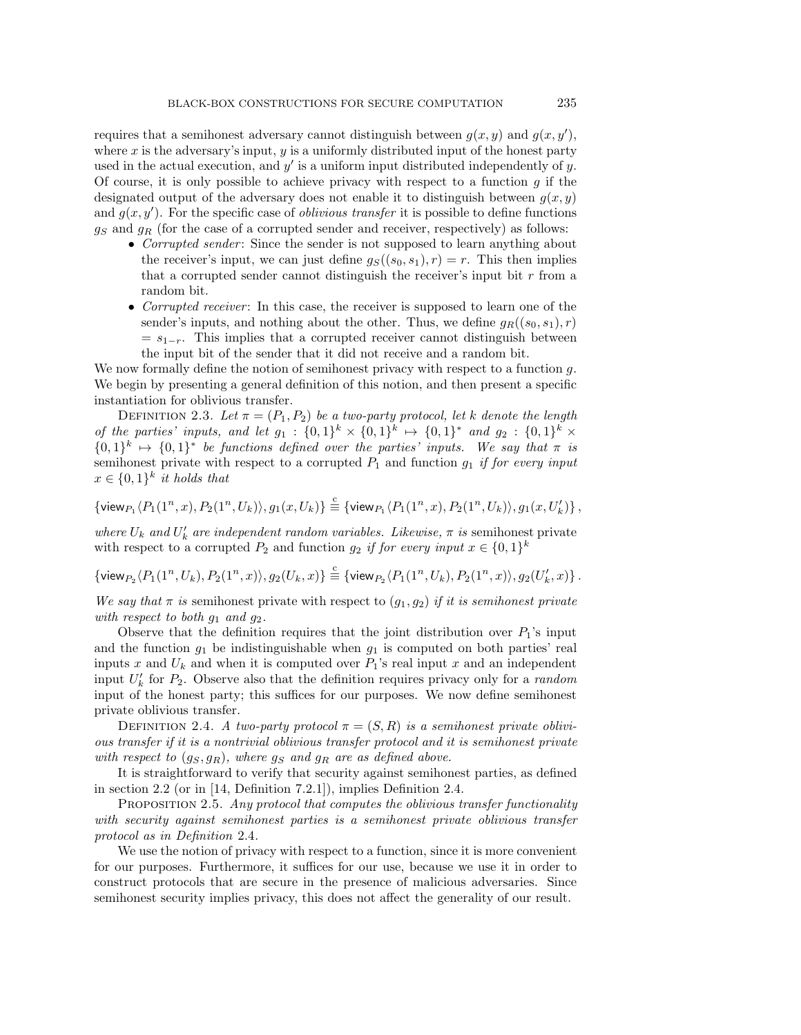requires that a semihonest adversary cannot distinguish between  $g(x, y)$  and  $g(x, y')$ , where  $x$  is the adversary's input,  $y$  is a uniformly distributed input of the honest party used in the actual execution, and  $y'$  is a uniform input distributed independently of y. Of course, it is only possible to achieve privacy with respect to a function  $g$  if the designated output of the adversary does not enable it to distinguish between  $g(x, y)$ and  $g(x, y')$ . For the specific case of *oblivious transfer* it is possible to define functions  $g_S$  and  $g_R$  (for the case of a corrupted sender and receiver, respectively) as follows:

- Corrupted sender: Since the sender is not supposed to learn anything about the receiver's input, we can just define  $q_S((s_0, s_1), r) = r$ . This then implies that a corrupted sender cannot distinguish the receiver's input bit r from a random bit.
- Corrupted receiver: In this case, the receiver is supposed to learn one of the sender's inputs, and nothing about the other. Thus, we define  $g_R((s_0, s_1), r)$  $= s_{1-r}$ . This implies that a corrupted receiver cannot distinguish between the input bit of the sender that it did not receive and a random bit.

We now formally define the notion of semihonest privacy with respect to a function q. We begin by presenting a general definition of this notion, and then present a specific instantiation for oblivious transfer.

DEFINITION 2.3. Let  $\pi = (P_1, P_2)$  be a two-party protocol, let k denote the length of the parties' inputs, and let  $g_1 : \{0,1\}^k \times \{0,1\}^k \mapsto \{0,1\}^*$  and  $g_2 : \{0,1\}^k \times$  ${0,1}^k \mapsto {0,1}^*$  be functions defined over the parties' inputs. We say that  $\pi$  is semihonest private with respect to a corrupted  $P_1$  and function  $g_1$  if for every input  $x \in \{0,1\}^k$  it holds that

 $\{\mathsf{view}_{P_1}\langle P_1(1^n,x), P_2(1^n,U_k)\rangle, g_1(x,U_k)\} \stackrel{c}{\equiv} \{\mathsf{view}_{P_1}\langle P_1(1^n,x), P_2(1^n,U_k)\rangle, g_1(x,U_k')\}\,,$ 

where  $U_k$  and  $U'_k$  are independent random variables. Likewise,  $\pi$  is semihonest private with respect to a corrupted  $P_2$  and function  $g_2$  if for every input  $x \in \{0,1\}^k$ 

 $\{\mathsf{view}_{P_2}\langle P_1(1^n,U_k), P_2(1^n,x)\rangle, g_2(U_k,x)\} \stackrel{c}{\equiv} \{\mathsf{view}_{P_2}\langle P_1(1^n,U_k), P_2(1^n,x)\rangle, g_2(U_k',x)\}$  .

We say that  $\pi$  is semihonest private with respect to  $(g_1, g_2)$  if it is semihonest private with respect to both  $g_1$  and  $g_2$ .

Observe that the definition requires that the joint distribution over  $P_1$ 's input and the function  $g_1$  be indistinguishable when  $g_1$  is computed on both parties' real inputs x and  $U_k$  and when it is computed over  $P_1$ 's real input x and an independent input  $U'_{k}$  for  $P_{2}$ . Observe also that the definition requires privacy only for a *random* input of the honest party; this suffices for our purposes. We now define semihonest private oblivious transfer.

DEFINITION 2.4. A two-party protocol  $\pi = (S, R)$  is a semihonest private oblivious transfer if it is a nontrivial oblivious transfer protocol and it is semihonest private with respect to  $(g_S, g_R)$ , where  $g_S$  and  $g_R$  are as defined above.

It is straightforward to verify that security against semihonest parties, as defined in section 2.2 (or in [14, Definition 7.2.1]), implies Definition 2.4.

PROPOSITION 2.5. Any protocol that computes the oblivious transfer functionality with security against semihonest parties is a semihonest private oblivious transfer protocol as in Definition 2.4.

We use the notion of privacy with respect to a function, since it is more convenient for our purposes. Furthermore, it suffices for our use, because we use it in order to construct protocols that are secure in the presence of malicious adversaries. Since semihonest security implies privacy, this does not affect the generality of our result.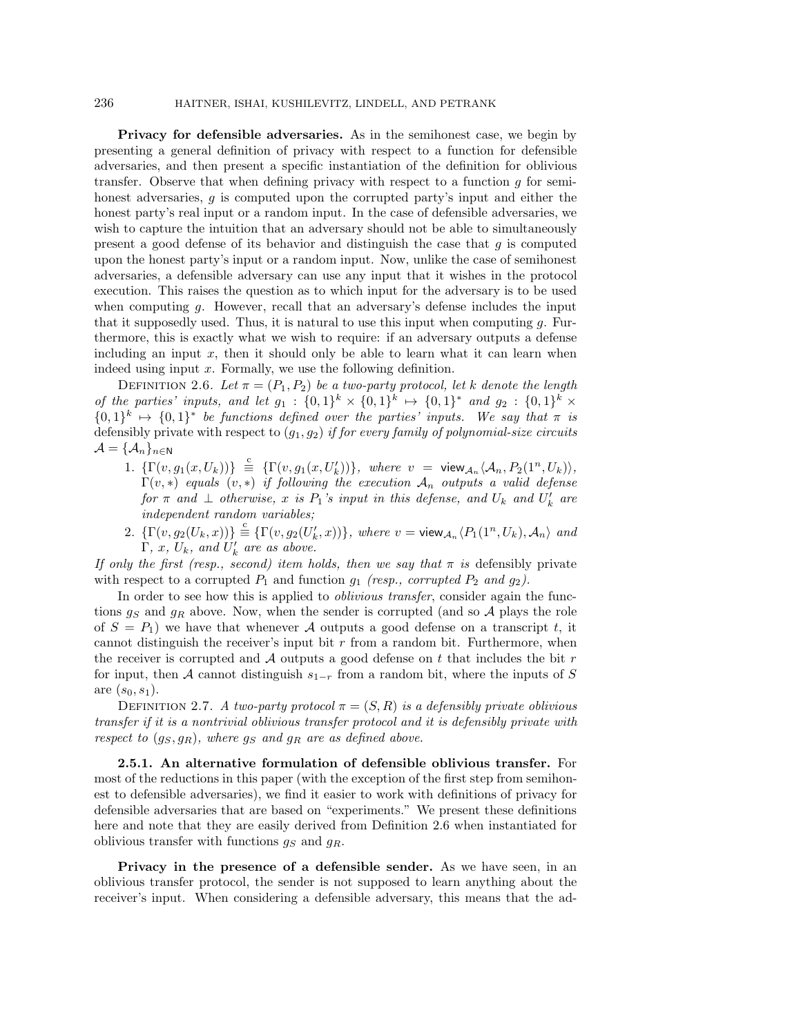### 236 HAITNER, ISHAI, KUSHILEVITZ, LINDELL, AND PETRANK

Privacy for defensible adversaries. As in the semihonest case, we begin by presenting a general definition of privacy with respect to a function for defensible adversaries, and then present a specific instantiation of the definition for oblivious transfer. Observe that when defining privacy with respect to a function  $g$  for semihonest adversaries, g is computed upon the corrupted party's input and either the honest party's real input or a random input. In the case of defensible adversaries, we wish to capture the intuition that an adversary should not be able to simultaneously present a good defense of its behavior and distinguish the case that g is computed upon the honest party's input or a random input. Now, unlike the case of semihonest adversaries, a defensible adversary can use any input that it wishes in the protocol execution. This raises the question as to which input for the adversary is to be used when computing g. However, recall that an adversary's defense includes the input that it supposedly used. Thus, it is natural to use this input when computing  $g$ . Furthermore, this is exactly what we wish to require: if an adversary outputs a defense including an input  $x$ , then it should only be able to learn what it can learn when indeed using input  $x$ . Formally, we use the following definition.

DEFINITION 2.6. Let  $\pi = (P_1, P_2)$  be a two-party protocol, let k denote the length of the parties' inputs, and let  $g_1 : \{0,1\}^k \times \{0,1\}^k \mapsto \{0,1\}^*$  and  $g_2 : \{0,1\}^k \times \{0,1\}^k$  ${0,1}^k \mapsto {0,1}^*$  be functions defined over the parties' inputs. We say that  $\pi$  is defensibly private with respect to  $(q_1, q_2)$  if for every family of polynomial-size circuits  $\mathcal{A} = {\{\mathcal{A}_n\}}_{n \in \mathbb{N}}$ 

- 1.  $\{\Gamma(v, g_1(x, U_k))\} \equiv \{\Gamma(v, g_1(x, U'_k))\},\ \text{where}\ \ v = \text{view}_{\mathcal{A}_n} \langle \mathcal{A}_n, P_2(1^n, U_k) \rangle,$  $\Gamma(v,*)$  equals  $(v,*)$  if following the execution  $\mathcal{A}_n$  outputs a valid defense for  $\pi$  and  $\perp$  otherwise, x is  $P_1$ 's input in this defense, and  $U_k$  and  $U'_k$  are independent random variables;
- 2.  $\{\Gamma(v, g_2(U_k, x))\} \stackrel{c}{\equiv} \{\Gamma(v, g_2(U'_k, x))\},$  where  $v = \text{view}_{\mathcal{A}_n} \langle P_1(1^n, U_k), \mathcal{A}_n \rangle$  and  $\Gamma$ , x,  $U_k$ , and  $U'_k$  are as above.

If only the first (resp., second) item holds, then we say that  $\pi$  is defensibly private with respect to a corrupted  $P_1$  and function  $g_1$  (resp., corrupted  $P_2$  and  $g_2$ ).

In order to see how this is applied to *oblivious transfer*, consider again the functions  $g_S$  and  $g_R$  above. Now, when the sender is corrupted (and so A plays the role of  $S = P_1$ ) we have that whenever A outputs a good defense on a transcript t, it cannot distinguish the receiver's input bit  $r$  from a random bit. Furthermore, when the receiver is corrupted and  $A$  outputs a good defense on  $t$  that includes the bit  $r$ for input, then A cannot distinguish  $s_{1-r}$  from a random bit, where the inputs of S are  $(s_0, s_1)$ .

DEFINITION 2.7. A two-party protocol  $\pi = (S, R)$  is a defensibly private oblivious transfer if it is a nontrivial oblivious transfer protocol and it is defensibly private with respect to  $(g_S, g_R)$ , where  $g_S$  and  $g_R$  are as defined above.

2.5.1. An alternative formulation of defensible oblivious transfer. For most of the reductions in this paper (with the exception of the first step from semihonest to defensible adversaries), we find it easier to work with definitions of privacy for defensible adversaries that are based on "experiments." We present these definitions here and note that they are easily derived from Definition 2.6 when instantiated for oblivious transfer with functions  $g_S$  and  $g_R$ .

Privacy in the presence of a defensible sender. As we have seen, in an oblivious transfer protocol, the sender is not supposed to learn anything about the receiver's input. When considering a defensible adversary, this means that the ad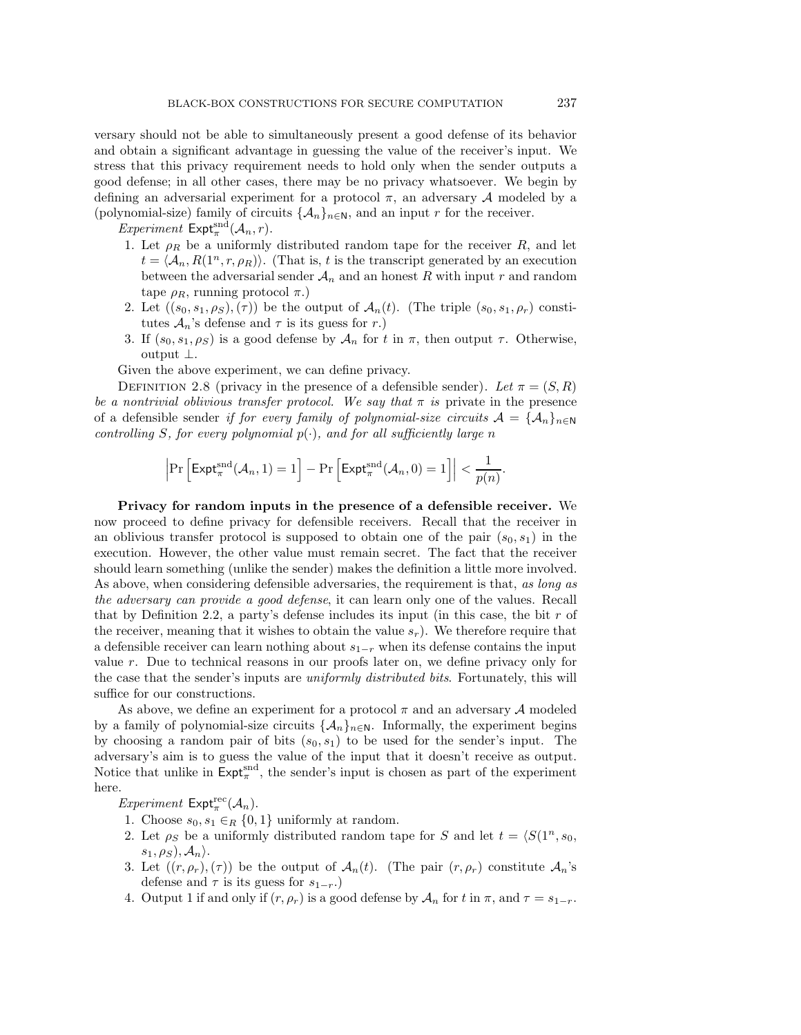versary should not be able to simultaneously present a good defense of its behavior and obtain a significant advantage in guessing the value of the receiver's input. We stress that this privacy requirement needs to hold only when the sender outputs a good defense; in all other cases, there may be no privacy whatsoever. We begin by defining an adversarial experiment for a protocol  $\pi$ , an adversary A modeled by a (polynomial-size) family of circuits  $\{\mathcal{A}_n\}_{n\in\mathbb{N}}$ , and an input r for the receiver.

*Experiment*  $\textsf{Expt}_{\pi}^{\text{snd}}(\mathcal{A}_n, r)$ .

- 1. Let  $\rho_R$  be a uniformly distributed random tape for the receiver R, and let  $t = \langle A_n, R(1^n, r, \rho_R) \rangle$ . (That is, t is the transcript generated by an execution between the adversarial sender  $A_n$  and an honest R with input r and random tape  $\rho_R$ , running protocol  $\pi$ .)
- 2. Let  $((s_0, s_1, \rho_S),(\tau))$  be the output of  $\mathcal{A}_n(t)$ . (The triple  $(s_0, s_1, \rho_r)$  constitutes  $\mathcal{A}_n$ 's defense and  $\tau$  is its guess for r.)
- 3. If  $(s_0, s_1, \rho_S)$  is a good defense by  $\mathcal{A}_n$  for t in  $\pi$ , then output  $\tau$ . Otherwise, output ⊥.

Given the above experiment, we can define privacy.

DEFINITION 2.8 (privacy in the presence of a defensible sender). Let  $\pi = (S, R)$ be a nontrivial oblivious transfer protocol. We say that  $\pi$  is private in the presence of a defensible sender if for every family of polynomial-size circuits  $\mathcal{A} = {\{\mathcal{A}_n\}}_{n\in\mathbb{N}}$ controlling S, for every polynomial  $p(\cdot)$ , and for all sufficiently large n

$$
\left|\Pr\left[\mathsf{Expt}^{\textsf{snd}}_{\pi}(\mathcal{A}_{n},1)=1\right]-\Pr\left[\mathsf{Expt}^{\textsf{snd}}_{\pi}(\mathcal{A}_{n},0)=1\right]\right|<\frac{1}{p(n)}.
$$

Privacy for random inputs in the presence of a defensible receiver. We now proceed to define privacy for defensible receivers. Recall that the receiver in an oblivious transfer protocol is supposed to obtain one of the pair  $(s_0, s_1)$  in the execution. However, the other value must remain secret. The fact that the receiver should learn something (unlike the sender) makes the definition a little more involved. As above, when considering defensible adversaries, the requirement is that, as long as the adversary can provide a good defense, it can learn only one of the values. Recall that by Definition 2.2, a party's defense includes its input (in this case, the bit  $r$  of the receiver, meaning that it wishes to obtain the value  $s_r$ ). We therefore require that a defensible receiver can learn nothing about  $s_{1-r}$  when its defense contains the input value r. Due to technical reasons in our proofs later on, we define privacy only for the case that the sender's inputs are *uniformly distributed bits*. Fortunately, this will suffice for our constructions.

As above, we define an experiment for a protocol  $\pi$  and an adversary A modeled by a family of polynomial-size circuits  $\{\mathcal{A}_n\}_{n\in\mathbb{N}}$ . Informally, the experiment begins by choosing a random pair of bits  $(s_0, s_1)$  to be used for the sender's input. The adversary's aim is to guess the value of the input that it doesn't receive as output. Notice that unlike in  $\text{Expt}_{\pi}^{\text{snd}}$ , the sender's input is chosen as part of the experiment here.

*Experiment*  $\mathsf{Expt}^{\text{rec}}_{\pi}(\mathcal{A}_n)$ .

- 1. Choose  $s_0, s_1 \in_R \{0, 1\}$  uniformly at random.
- 2. Let  $\rho_S$  be a uniformly distributed random tape for S and let  $t = \langle S(1^n, s_0, \cdot) \rangle$  $s_1, \rho_S$ ,  $\mathcal{A}_n$ .
- 3. Let  $((r, \rho_r), (\tau))$  be the output of  $\mathcal{A}_n(t)$ . (The pair  $(r, \rho_r)$  constitute  $\mathcal{A}_n$ 's defense and  $\tau$  is its guess for  $s_{1-r}$ .)
- 4. Output 1 if and only if  $(r, \rho_r)$  is a good defense by  $\mathcal{A}_n$  for t in  $\pi$ , and  $\tau = s_{1-r}$ .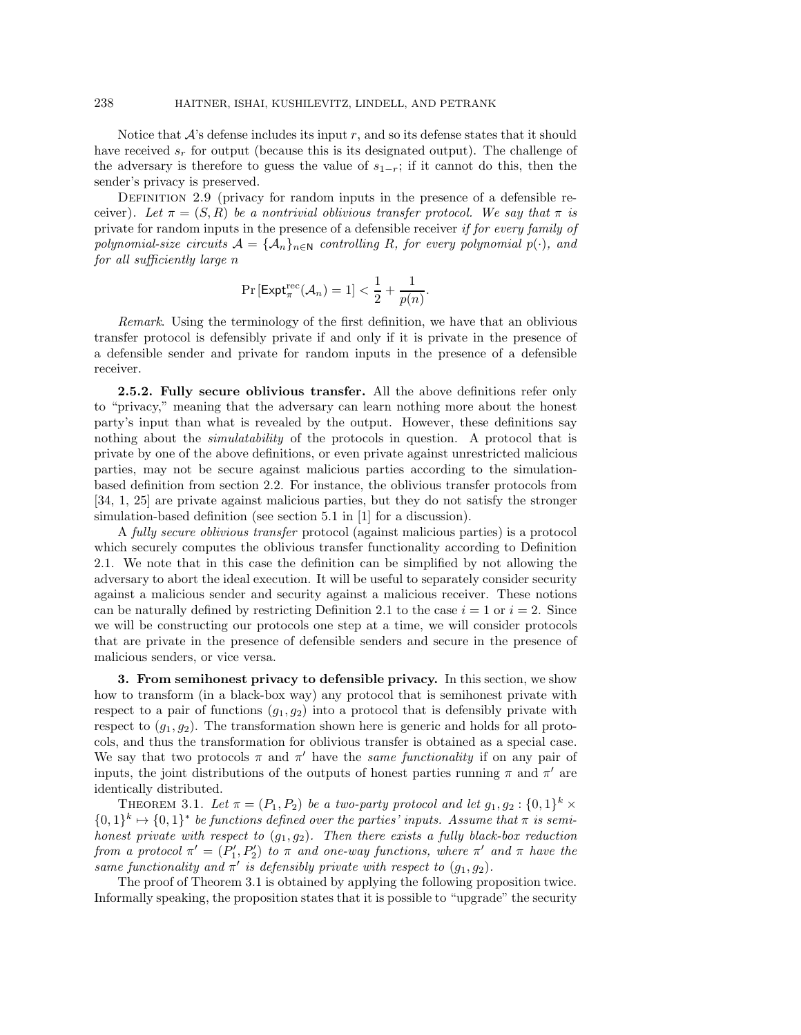Notice that  $\mathcal{A}$ 's defense includes its input  $r$ , and so its defense states that it should have received  $s_r$  for output (because this is its designated output). The challenge of the adversary is therefore to guess the value of  $s_{1-r}$ ; if it cannot do this, then the sender's privacy is preserved.

DEFINITION 2.9 (privacy for random inputs in the presence of a defensible receiver). Let  $\pi = (S, R)$  be a nontrivial oblivious transfer protocol. We say that  $\pi$  is private for random inputs in the presence of a defensible receiver if for every family of polynomial-size circuits  $A = \{A_n\}_{n\in\mathbb{N}}$  controlling R, for every polynomial  $p(\cdot)$ , and for all sufficiently large n

$$
\Pr\left[\mathsf{Expt}^{\mathrm{rec}}_{\pi}(\mathcal{A}_n) = 1\right] < \frac{1}{2} + \frac{1}{p(n)}.
$$

Remark. Using the terminology of the first definition, we have that an oblivious transfer protocol is defensibly private if and only if it is private in the presence of a defensible sender and private for random inputs in the presence of a defensible receiver.

2.5.2. Fully secure oblivious transfer. All the above definitions refer only to "privacy," meaning that the adversary can learn nothing more about the honest party's input than what is revealed by the output. However, these definitions say nothing about the *simulatability* of the protocols in question. A protocol that is private by one of the above definitions, or even private against unrestricted malicious parties, may not be secure against malicious parties according to the simulationbased definition from section 2.2. For instance, the oblivious transfer protocols from [34, 1, 25] are private against malicious parties, but they do not satisfy the stronger simulation-based definition (see section 5.1 in [1] for a discussion).

A fully secure oblivious transfer protocol (against malicious parties) is a protocol which securely computes the oblivious transfer functionality according to Definition 2.1. We note that in this case the definition can be simplified by not allowing the adversary to abort the ideal execution. It will be useful to separately consider security against a malicious sender and security against a malicious receiver. These notions can be naturally defined by restricting Definition 2.1 to the case  $i = 1$  or  $i = 2$ . Since we will be constructing our protocols one step at a time, we will consider protocols that are private in the presence of defensible senders and secure in the presence of malicious senders, or vice versa.

3. From semihonest privacy to defensible privacy. In this section, we show how to transform (in a black-box way) any protocol that is semihonest private with respect to a pair of functions  $(g_1, g_2)$  into a protocol that is defensibly private with respect to  $(g_1, g_2)$ . The transformation shown here is generic and holds for all protocols, and thus the transformation for oblivious transfer is obtained as a special case. We say that two protocols  $\pi$  and  $\pi'$  have the *same functionality* if on any pair of inputs, the joint distributions of the outputs of honest parties running  $\pi$  and  $\pi'$  are identically distributed.

THEOREM 3.1. Let  $\pi = (P_1, P_2)$  be a two-party protocol and let  $g_1, g_2 : \{0,1\}^k \times$  ${0,1}^k \mapsto {0,1}^*$  be functions defined over the parties' inputs. Assume that  $\pi$  is semihonest private with respect to  $(g_1, g_2)$ . Then there exists a fully black-box reduction from a protocol  $\pi' = (P'_1, P'_2)$  to  $\pi$  and one-way functions, where  $\pi'$  and  $\pi$  have the same functionality and  $\pi'$  is defensibly private with respect to  $(g_1, g_2)$ .

The proof of Theorem 3.1 is obtained by applying the following proposition twice. Informally speaking, the proposition states that it is possible to "upgrade" the security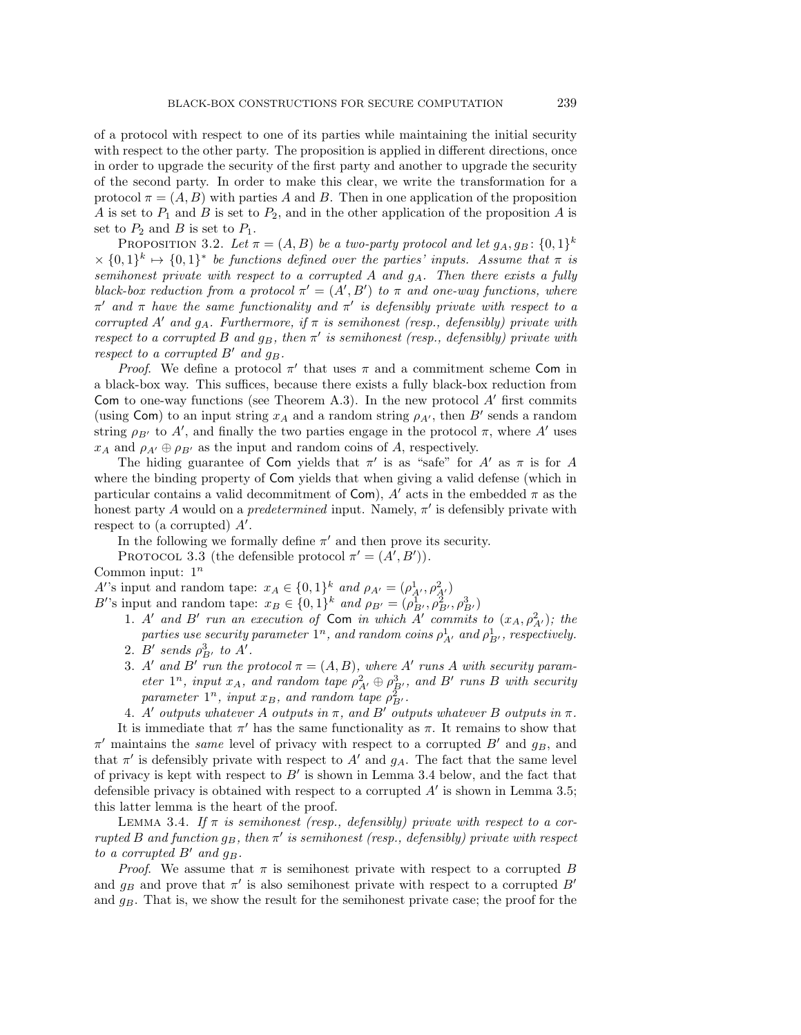of a protocol with respect to one of its parties while maintaining the initial security with respect to the other party. The proposition is applied in different directions, once in order to upgrade the security of the first party and another to upgrade the security of the second party. In order to make this clear, we write the transformation for a protocol  $\pi = (A, B)$  with parties A and B. Then in one application of the proposition A is set to  $P_1$  and B is set to  $P_2$ , and in the other application of the proposition A is set to  $P_2$  and B is set to  $P_1$ .

PROPOSITION 3.2. Let  $\pi = (A, B)$  be a two-party protocol and let  $g_A, g_B: \{0,1\}^k$  $\times \{0,1\}^k \mapsto \{0,1\}^*$  be functions defined over the parties' inputs. Assume that  $\pi$  is semihonest private with respect to a corrupted  $A$  and  $g_A$ . Then there exists a fully black-box reduction from a protocol  $\pi' = (A', B')$  to  $\pi$  and one-way functions, where  $\pi'$  and  $\pi$  have the same functionality and  $\pi'$  is defensibly private with respect to a corrupted A' and  $g_A$ . Furthermore, if  $\pi$  is semihonest (resp., defensibly) private with respect to a corrupted B and  $g_B$ , then  $\pi'$  is semihonest (resp., defensibly) private with respect to a corrupted  $B'$  and  $q_B$ .

*Proof.* We define a protocol  $\pi'$  that uses  $\pi$  and a commitment scheme Com in a black-box way. This suffices, because there exists a fully black-box reduction from Com to one-way functions (see Theorem A.3). In the new protocol  $A'$  first commits (using Com) to an input string  $x_A$  and a random string  $\rho_{A'}$ , then B' sends a random string  $\rho_{B'}$  to A', and finally the two parties engage in the protocol  $\pi$ , where A' uses  $x_A$  and  $\rho_{A'} \oplus \rho_{B'}$  as the input and random coins of A, respectively.

The hiding guarantee of Com yields that  $\pi'$  is as "safe" for A' as  $\pi$  is for A where the binding property of Com yields that when giving a valid defense (which in particular contains a valid decommitment of Com),  $A'$  acts in the embedded  $\pi$  as the honest party A would on a *predetermined* input. Namely,  $\pi'$  is defensibly private with respect to (a corrupted)  $A'$ .

In the following we formally define  $\pi'$  and then prove its security.

PROTOCOL 3.3 (the defensible protocol  $\pi' = (A', B')$ ).

Common input:  $1^n$ 

A''s input and random tape:  $x_A \in \{0,1\}^k$  and  $\rho_{A'} = (\rho_{A'}^1, \rho_{A'}^2)$ B''s input and random tape:  $x_B \in \{0,1\}^k$  and  $\rho_{B'} = (\rho_{B'}^1, \rho_{B'}^2, \rho_{B'}^3)$ 

- 1. A' and B' run an execution of  $Com$  in which A' commits to  $(x_A, \rho_{A'}^2)$ ; the parties use security parameter  $1^n$ , and random coins  $\rho_{A'}^1$  and  $\rho_{B'}^1$ , respectively.
- 2. B' sends  $\rho_{B'}^3$  to A'.
- 3. A' and B' run the protocol  $\pi = (A, B)$ , where A' runs A with security parameter  $1^n$ , input  $x_A$ , and random tape  $\rho^2_{A'} \oplus \rho^3_{B'}$ , and  $B'$  runs B with security parameter  $1^n$ , input  $x_B$ , and random tape  $\rho_{B'}^2$ .

4. A' outputs whatever A outputs in  $\pi$ , and B' outputs whatever B outputs in  $\pi$ . It is immediate that  $\pi'$  has the same functionality as  $\pi$ . It remains to show that  $\pi'$  maintains the same level of privacy with respect to a corrupted B' and  $g_B$ , and that  $\pi'$  is defensibly private with respect to A' and  $g_A$ . The fact that the same level of privacy is kept with respect to  $B'$  is shown in Lemma 3.4 below, and the fact that defensible privacy is obtained with respect to a corrupted  $A'$  is shown in Lemma 3.5; this latter lemma is the heart of the proof.

LEMMA 3.4. If  $\pi$  is semihonest (resp., defensibly) private with respect to a corrupted B and function  $q_B$ , then  $\pi'$  is semihonest (resp., defensibly) private with respect to a corrupted  $B'$  and  $g_B$ .

*Proof.* We assume that  $\pi$  is semihonest private with respect to a corrupted B and  $g_B$  and prove that  $\pi'$  is also semihonest private with respect to a corrupted B' and  $g_B$ . That is, we show the result for the semihonest private case; the proof for the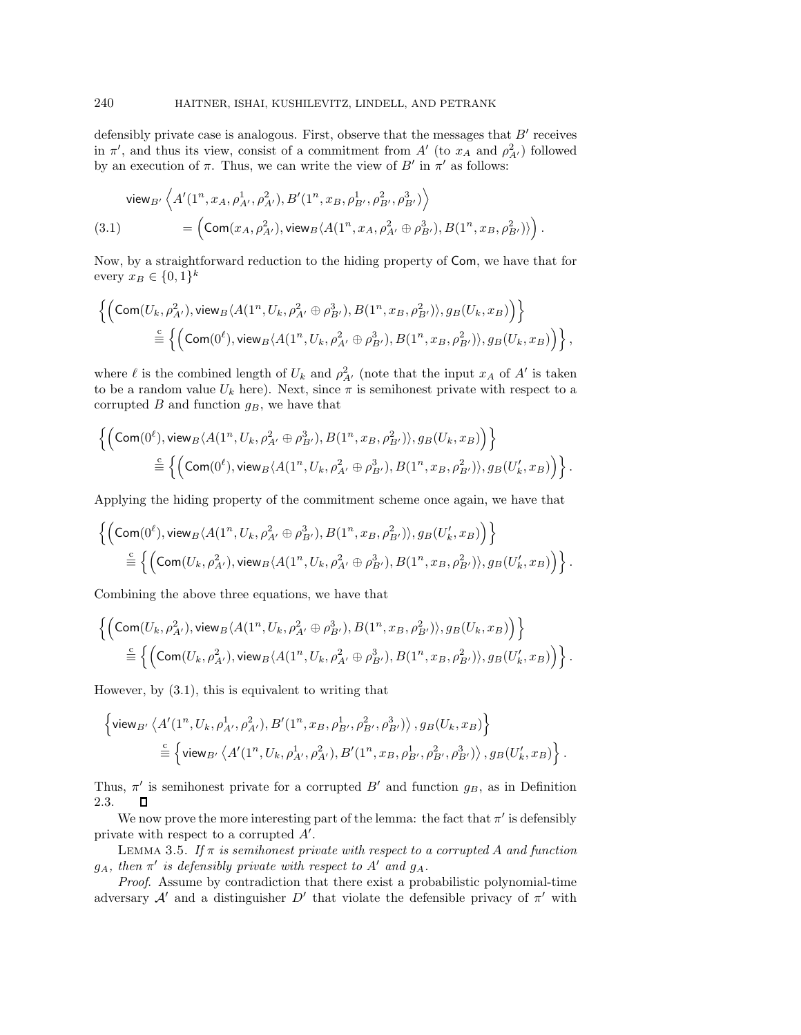defensibly private case is analogous. First, observe that the messages that  $B'$  receives in  $\pi'$ , and thus its view, consist of a commitment from A' (to  $x_A$  and  $\rho_{A'}^2$ ) followed by an execution of  $\pi$ . Thus, we can write the view of  $B'$  in  $\pi'$  as follows:

$$
\begin{split} \text{view}_{B'} \left\langle A'(\mathbf{1}^n, x_A, \rho_{A'}^1, \rho_{A'}^2), B'(\mathbf{1}^n, x_B, \rho_{B'}^1, \rho_{B'}^2, \rho_{B'}^3) \right\rangle \\ = \left( \text{Com}(x_A, \rho_{A'}^2), \text{view}_{B} \langle A(\mathbf{1}^n, x_A, \rho_{A'}^2 \oplus \rho_{B'}^3), B(\mathbf{1}^n, x_B, \rho_{B'}^2) \rangle \right). \end{split}
$$

Now, by a straightforward reduction to the hiding property of Com, we have that for every  $x_B \in \{0,1\}^k$ 

$$
\begin{aligned} \left\{ \Big( \mathrm{Com}(U_k,\rho_{A^\prime}^2),&\text{view}_B\langle A(1^n,U_k,\rho_{A^\prime}^2\oplus\rho_{B^\prime}^3), B(1^n,x_B,\rho_{B^\prime}^2)\rangle, g_B(U_k,x_B)\Big)\right\}\\ &\stackrel{c}{=} \left\{ \Big( \mathrm{Com}(0^\ell),&\text{view}_B\langle A(1^n,U_k,\rho_{A^\prime}^2\oplus\rho_{B^\prime}^3), B(1^n,x_B,\rho_{B^\prime}^2)\rangle, g_B(U_k,x_B)\Big)\right\}, \end{aligned}
$$

where  $\ell$  is the combined length of  $U_k$  and  $\rho_{A'}^2$  (note that the input  $x_A$  of  $A'$  is taken to be a random value  $U_k$  here). Next, since  $\pi$  is semihonest private with respect to a corrupted  $B$  and function  $g_B$ , we have that

$$
\begin{aligned} \left\{ \Big( \mathrm{Com}(0^\ell),&\text{view}_B\langle A(1^n,U_k,\rho_{A'}^2\oplus\rho_{B'}^3) , B(1^n,x_B,\rho_{B'}^2)\rangle, g_B(U_k,x_B)\Big)\right\}\\ &\overset{c}{\equiv}\left\{ \Big( \mathrm{Com}(0^\ell),&\text{view}_B\langle A(1^n,U_k,\rho_{A'}^2\oplus\rho_{B'}^3) , B(1^n,x_B,\rho_{B'}^2)\rangle, g_B(U'_k,x_B)\Big)\right\}. \end{aligned}
$$

Applying the hiding property of the commitment scheme once again, we have that

$$
\begin{aligned} \left\{ \Big( \mathrm{Com}(0^\ell),&\text{view}_B\langle A(1^n,U_k,\rho_{A'}^2\oplus\rho_{B'}^3), B(1^n,x_B,\rho_{B'}^2)\rangle, g_B(U_k',x_B)\Big)\right\}\\ &\overset{c}{=}\left\{ \Big( \mathrm{Com}(U_k,\rho_{A'}^2),&\text{view}_B\langle A(1^n,U_k,\rho_{A'}^2\oplus\rho_{B'}^3), B(1^n,x_B,\rho_{B'}^2)\rangle, g_B(U_k',x_B)\Big)\right\}. \end{aligned}
$$

Combining the above three equations, we have that

$$
\begin{aligned} \left\{ \Big( \mathrm{Com}(U_k,\rho_{A^\prime}^2),&\text{view}_B\langle A(1^n,U_k,\rho_{A^\prime}^2\oplus\rho_{B^\prime}^3), B(1^n,x_B,\rho_{B^\prime}^2)\rangle, g_B(U_k,x_B)\Big)\right\}\\ &\stackrel{c}{=} \left\{ \Big( \mathrm{Com}(U_k,\rho_{A^\prime}^2),&\text{view}_B\langle A(1^n,U_k,\rho_{A^\prime}^2\oplus\rho_{B^\prime}^3), B(1^n,x_B,\rho_{B^\prime}^2)\rangle, g_B(U_k',x_B)\Big)\right\}. \end{aligned}
$$

However, by (3.1), this is equivalent to writing that

$$
\begin{aligned} \Big\{ \mathsf{view}_{B'}\left\langle A'(\mathbf{1}^n,U_k,\rho_{A'}^1,\rho_{A'}^2), B'(\mathbf{1}^n,x_B,\rho_{B'}^1,\rho_{B'}^2,\rho_{B'}^3) \right\rangle, g_B(U_k,x_B) \Big\} \\ & \stackrel{c}{=} \Big\{ \mathsf{view}_{B'}\left\langle A'(\mathbf{1}^n,U_k,\rho_{A'}^1,\rho_{A'}^2), B'(\mathbf{1}^n,x_B,\rho_{B'}^1,\rho_{B'}^2,\rho_{B'}^3) \right\rangle, g_B(U'_k,x_B) \Big\} \,. \end{aligned}
$$

Thus,  $\pi'$  is semihonest private for a corrupted B' and function  $g_B$ , as in Definition 2.3.  $\Box$ 

We now prove the more interesting part of the lemma: the fact that  $\pi'$  is defensibly private with respect to a corrupted  $A'$ .

LEMMA 3.5. If  $\pi$  is semihonest private with respect to a corrupted A and function  $g_A$ , then  $\pi'$  is defensibly private with respect to A' and  $g_A$ .

Proof. Assume by contradiction that there exist a probabilistic polynomial-time adversary  $A'$  and a distinguisher D' that violate the defensible privacy of  $\pi'$  with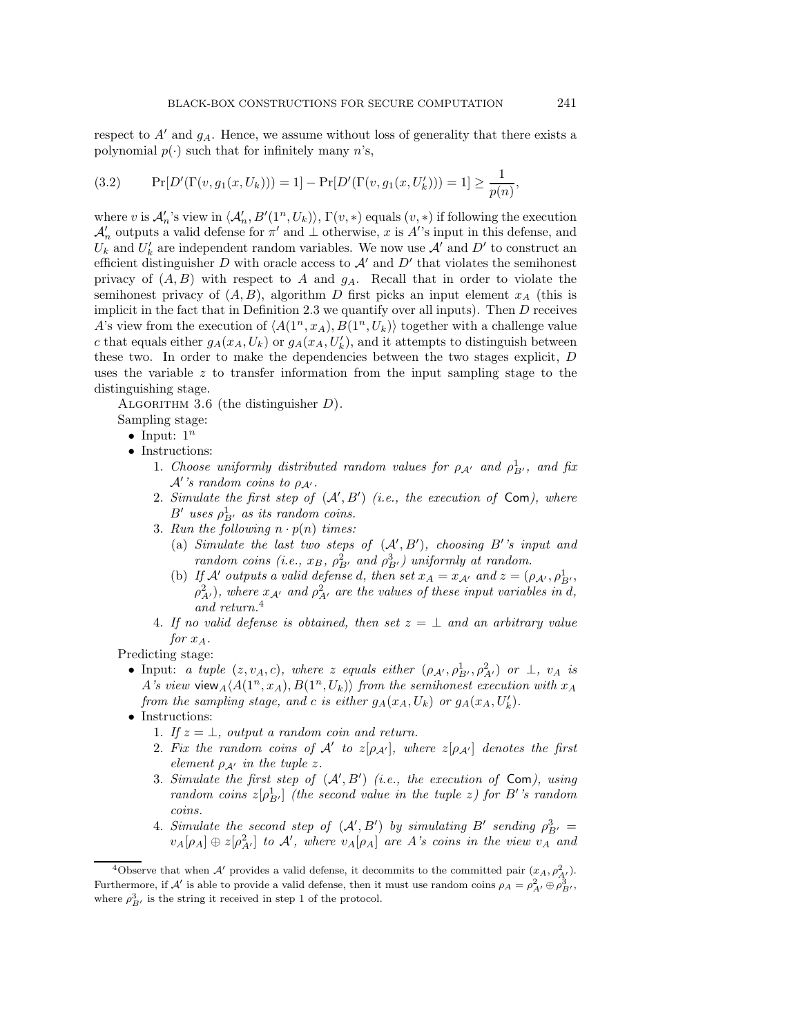respect to  $A'$  and  $g_A$ . Hence, we assume without loss of generality that there exists a polynomial  $p(\cdot)$  such that for infinitely many n's,

(3.2) 
$$
\Pr[D'(\Gamma(v, g_1(x, U_k))) = 1] - \Pr[D'(\Gamma(v, g_1(x, U'_k))) = 1] \ge \frac{1}{p(n)},
$$

where v is  $\mathcal{A}'_n$ 's view in  $\langle \mathcal{A}'_n, B'(1^n, U_k) \rangle$ ,  $\Gamma(v, *)$  equals  $(v, *)$  if following the execution  $\mathcal{A}'_n$  outputs a valid defense for  $\pi'$  and  $\perp$  otherwise, x is A''s input in this defense, and  $U_k$  and  $U'_k$  are independent random variables. We now use  $A'$  and  $D'$  to construct an efficient distinguisher D with oracle access to  $\mathcal{A}'$  and  $D'$  that violates the semihonest privacy of  $(A, B)$  with respect to A and  $g_A$ . Recall that in order to violate the semihonest privacy of  $(A, B)$ , algorithm D first picks an input element  $x_A$  (this is implicit in the fact that in Definition 2.3 we quantify over all inputs). Then  $D$  receives A's view from the execution of  $\langle A(1^n, x_A), B(1^n, U_k) \rangle$  together with a challenge value c that equals either  $g_A(x_A, U_k)$  or  $g_A(x_A, U'_k)$ , and it attempts to distinguish between these two. In order to make the dependencies between the two stages explicit, D uses the variable  $z$  to transfer information from the input sampling stage to the distinguishing stage.

ALGORITHM 3.6 (the distinguisher  $D$ ).

Sampling stage:

- Input:  $1^n$
- Instructions:
	- 1. Choose uniformly distributed random values for  $\rho_{\mathcal{A}'}$  and  $\rho_{B'}^1$ , and fix  $\mathcal{A}'$ 's random coins to  $\rho_{\mathcal{A}'}$ .
	- 2. Simulate the first step of  $(A', B')$  (i.e., the execution of Com), where B' uses  $\rho_{B'}^1$  as its random coins.
	- 3. Run the following  $n \cdot p(n)$  times:
		- (a) Simulate the last two steps of  $(A', B')$ , choosing B's input and random coins (i.e.,  $x_B$ ,  $\rho_B^2$ , and  $\rho_{B'}^3$ ) uniformly at random.
		- (b) If  $\mathcal{A}'$  outputs a valid defense d, then set  $x_A = x_{\mathcal{A}'}$  and  $z = (\rho_{\mathcal{A}'}, \rho_{B'}^1,$  $\rho_{A'}^2$ ), where  $x_{A'}$  and  $\rho_{A'}^2$  are the values of these input variables in d, and  $return.^4$
	- 4. If no valid defense is obtained, then set  $z = \perp$  and an arbitrary value for  $x_A$ .

Predicting stage:

- Input: a tuple  $(z, v_A, c)$ , where z equals either  $(\rho_{\mathcal{A}'}, \rho_{B'}^1, \rho_{A'}^2)$  or  $\perp$ ,  $v_A$  is A's view view<sub>A</sub> $\langle A(1^n, x_A), B(1^n, U_k) \rangle$  from the semihonest execution with  $x_A$ from the sampling stage, and c is either  $g_A(x_A, U_k)$  or  $g_A(x_A, U'_k)$ .
- Instructions:
	- 1. If  $z = \perp$ , output a random coin and return.
	- 2. Fix the random coins of A' to  $z[\rho_{A'}]$ , where  $z[\rho_{A'}]$  denotes the first element  $\rho_{\mathcal{A}'}$  in the tuple z.
	- 3. Simulate the first step of  $(A', B')$  (i.e., the execution of Com), using random coins  $z[\rho_{B'}^1]$  (the second value in the tuple z) for B''s random coins.
	- 4. Simulate the second step of  $(A', B')$  by simulating B' sending  $\rho_{B'}^3 =$  $v_A[\rho_A] \oplus z[\rho_{A'}^2]$  to  $\mathcal{A}',$  where  $v_A[\rho_A]$  are A's coins in the view  $v_A$  and

<sup>4</sup>Observe that when A' provides a valid defense, it decommits to the committed pair  $(x_A, \rho^2_{A'})$ . Furthermore, if  $\mathcal{A}'$  is able to provide a valid defense, then it must use random coins  $\rho_A = \rho_{A'}^2 \oplus \rho_{B'}^3$ , where  $\rho_{B'}^3$  is the string it received in step 1 of the protocol.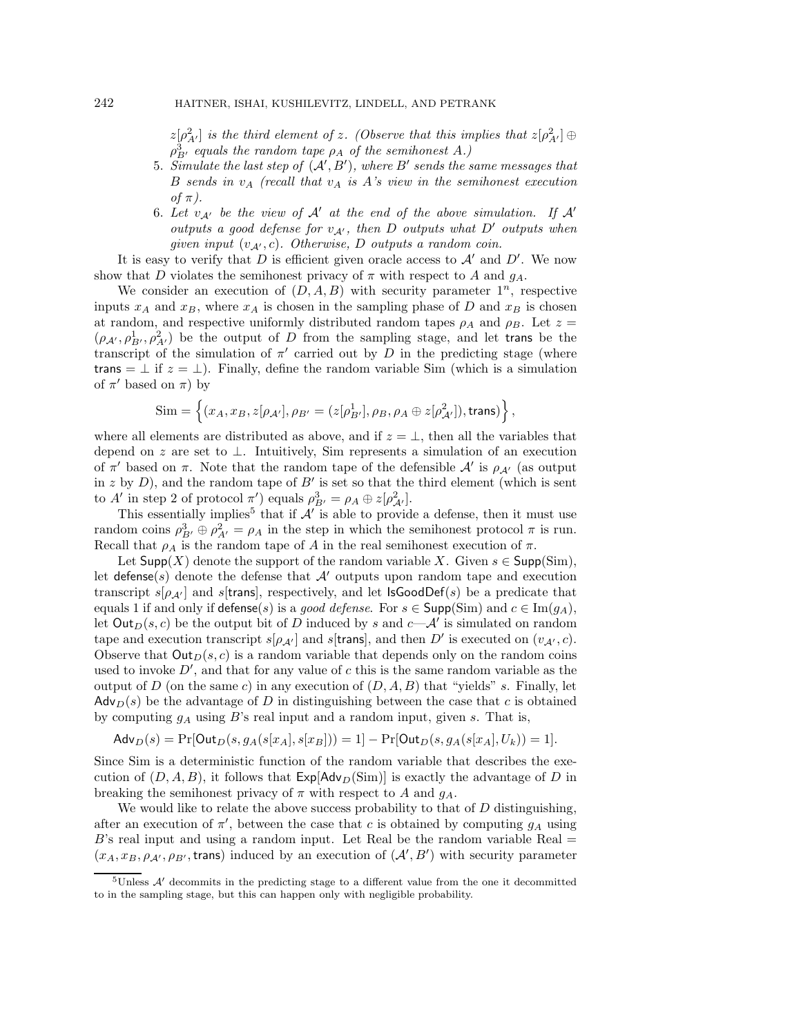$z[\rho_{A'}^2]$  is the third element of z. (Observe that this implies that  $z[\rho_{A'}^2] \oplus$  $\rho_{B'}^3$  equals the random tape  $\rho_A$  of the semihonest A.)

- 5. Simulate the last step of  $(A', B')$ , where  $B'$  sends the same messages that B sends in  $v_A$  (recall that  $v_A$  is A's view in the semihonest execution of  $\pi$ ).
- 6. Let  $v_{A'}$  be the view of A' at the end of the above simulation. If A' outputs a good defense for  $v_{A'}$ , then D outputs what D' outputs when given input  $(v_{\mathcal{A}'}, c)$ . Otherwise, D outputs a random coin.

It is easy to verify that  $D$  is efficient given oracle access to  $\mathcal{A}'$  and  $D'$ . We now show that D violates the semihonest privacy of  $\pi$  with respect to A and  $q_A$ .

We consider an execution of  $(D, A, B)$  with security parameter  $1^n$ , respective inputs  $x_A$  and  $x_B$ , where  $x_A$  is chosen in the sampling phase of D and  $x_B$  is chosen at random, and respective uniformly distributed random tapes  $\rho_A$  and  $\rho_B$ . Let  $z =$  $(\rho_{A'}, \rho_{B'}^1, \rho_{A'}^2)$  be the output of D from the sampling stage, and let trans be the transcript of the simulation of  $\pi'$  carried out by D in the predicting stage (where trans =  $\perp$  if  $z = \perp$ ). Finally, define the random variable Sim (which is a simulation of  $\pi'$  based on  $\pi$ ) by

$$
\text{Sim} = \left\{(x_A, x_B, z[\rho_{\mathcal{A}'}], \rho_{B'} = (z[\rho_{B'}^1], \rho_B, \rho_A \oplus z[\rho_{\mathcal{A}'}^2]), \text{trans})\right\},
$$

where all elements are distributed as above, and if  $z = \perp$ , then all the variables that depend on z are set to  $\perp$ . Intuitively, Sim represents a simulation of an execution of  $\pi'$  based on  $\pi$ . Note that the random tape of the defensible  $\mathcal{A}'$  is  $\rho_{\mathcal{A}'}$  (as output in z by  $D$ ), and the random tape of  $B'$  is set so that the third element (which is sent to A' in step 2 of protocol  $\pi'$ ) equals  $\rho_{B'}^3 = \rho_A \oplus z[\rho_{A'}^2]$ .

This essentially implies<sup>5</sup> that if  $\mathcal{A}'$  is able to provide a defense, then it must use random coins  $\rho_{B'}^3 \oplus \rho_{A'}^2 = \rho_A$  in the step in which the semihonest protocol  $\pi$  is run. Recall that  $\rho_A$  is the random tape of A in the real semihonest execution of  $\pi$ .

Let  $\text{Supp}(X)$  denote the support of the random variable X. Given  $s \in \text{Supp}(\text{Sim})$ , let defense(s) denote the defense that  $\mathcal{A}'$  outputs upon random tape and execution transcript  $s[\rho_{A'}]$  and  $s[trans]$ , respectively, and let **IsGoodDef**(s) be a predicate that equals 1 if and only if defense(s) is a good defense. For  $s \in \text{Supp(Sim)}$  and  $c \in \text{Im}(g_A)$ , let  $Out_D(s, c)$  be the output bit of D induced by s and  $c - A'$  is simulated on random tape and execution transcript  $s[\rho_{\mathcal{A}'}]$  and  $s[$ trans], and then D' is executed on  $(v_{\mathcal{A}'}, c)$ . Observe that  $Out_D(s, c)$  is a random variable that depends only on the random coins used to invoke  $D'$ , and that for any value of c this is the same random variable as the output of D (on the same c) in any execution of  $(D, A, B)$  that "yields" s. Finally, let  $\mathsf{Adv}_D(s)$  be the advantage of D in distinguishing between the case that c is obtained by computing  $g_A$  using  $B$ 's real input and a random input, given s. That is,

$$
Adv_D(s) = Pr[Out_D(s, g_A(s[x_A], s[x_B])) = 1] - Pr[Out_D(s, g_A(s[x_A], U_k)) = 1].
$$

Since Sim is a deterministic function of the random variable that describes the execution of  $(D, A, B)$ , it follows that  $Exp[Adv<sub>D</sub>(Sim)]$  is exactly the advantage of D in breaking the semihonest privacy of  $\pi$  with respect to A and  $q_A$ .

We would like to relate the above success probability to that of  $D$  distinguishing, after an execution of  $\pi'$ , between the case that c is obtained by computing  $g_A$  using  $B$ 's real input and using a random input. Let Real be the random variable Real  $=$  $(x_A, x_B, \rho_{A'}, \rho_{B'}$ , trans) induced by an execution of  $(A', B')$  with security parameter

 $5$ Unless  $A'$  decommits in the predicting stage to a different value from the one it decommitted to in the sampling stage, but this can happen only with negligible probability.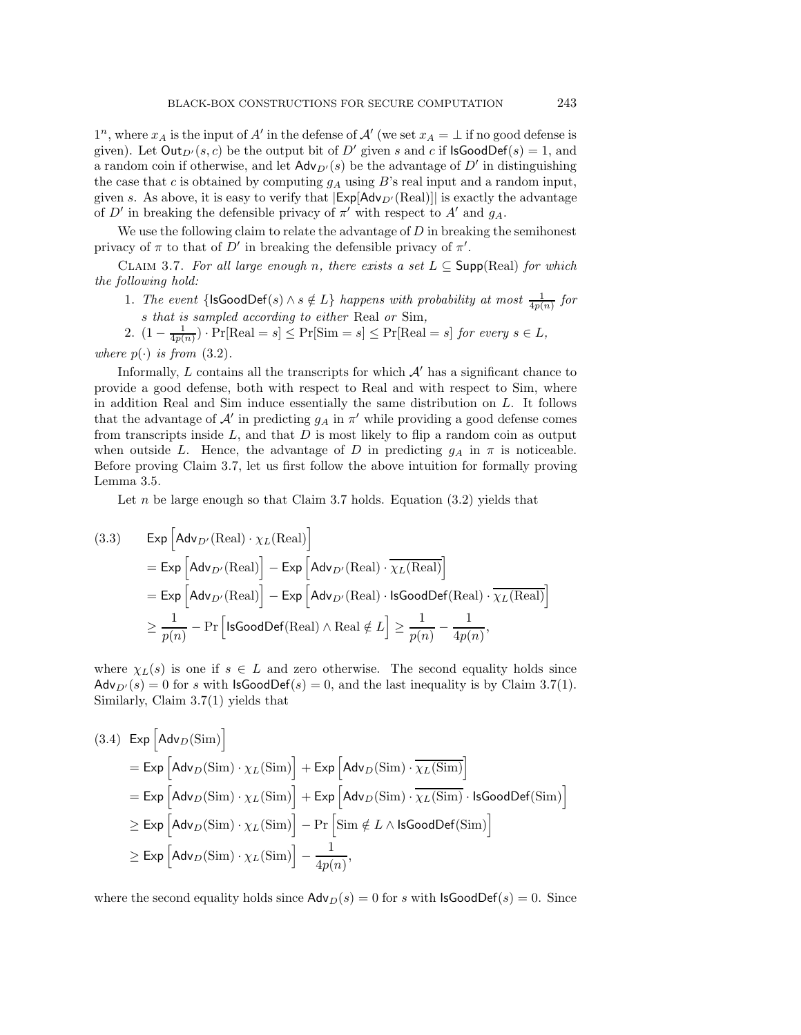$1^n$ , where  $x_A$  is the input of A' in the defense of A' (we set  $x_A = \perp$  if no good defense is given). Let  $\textsf{Out}_{D'}(s, c)$  be the output bit of  $D'$  given s and c if  $\textsf{lsGoodDef}(s) = 1$ , and a random coin if otherwise, and let  $\mathsf{Adv}_{D'}(s)$  be the advantage of  $D'$  in distinguishing the case that c is obtained by computing  $g_A$  using B's real input and a random input, given s. As above, it is easy to verify that  $|\text{Exp}[\text{Adv}_{D'}(\text{Real})]|$  is exactly the advantage of D' in breaking the defensible privacy of  $\pi'$  with respect to A' and  $g_A$ .

We use the following claim to relate the advantage of  $D$  in breaking the semihonest privacy of  $\pi$  to that of D' in breaking the defensible privacy of  $\pi'$ .

CLAIM 3.7. For all large enough n, there exists a set  $L \subseteq$  Supp(Real) for which the following hold:

- 1. The event  $\{\mathsf{lsGoodDef}(s) \land s \notin L\}$  happens with probability at most  $\frac{1}{4p(n)}$  for s that is sampled according to either Real or Sim,
- 2.  $(1 \frac{1}{4p(n)}) \cdot \Pr[\text{Real} = s] \le \Pr[\text{Sim} = s] \le \Pr[\text{Real} = s]$  for every  $s \in L$ ,

where  $p(\cdot)$  is from (3.2).

Informally,  $L$  contains all the transcripts for which  $A'$  has a significant chance to provide a good defense, both with respect to Real and with respect to Sim, where in addition Real and Sim induce essentially the same distribution on  $L$ . It follows that the advantage of  $\mathcal{A}'$  in predicting  $g_A$  in  $\pi'$  while providing a good defense comes from transcripts inside  $L$ , and that  $D$  is most likely to flip a random coin as output when outside L. Hence, the advantage of D in predicting  $g_A$  in  $\pi$  is noticeable. Before proving Claim 3.7, let us first follow the above intuition for formally proving Lemma 3.5.

Let n be large enough so that Claim 3.7 holds. Equation  $(3.2)$  yields that

(3.3) 
$$
\begin{aligned}\n\text{Exp} \left[ \mathsf{Adv}_{D'}(\text{Real}) \cdot \chi_L(\text{Real}) \right] \\
&= \mathsf{Exp} \left[ \mathsf{Adv}_{D'}(\text{Real}) \right] - \mathsf{Exp} \left[ \mathsf{Adv}_{D'}(\text{Real}) \cdot \overline{\chi_L(\text{Real})} \right] \\
&= \mathsf{Exp} \left[ \mathsf{Adv}_{D'}(\text{Real}) \right] - \mathsf{Exp} \left[ \mathsf{Adv}_{D'}(\text{Real}) \cdot \mathsf{l sGoodDef}(\text{Real}) \cdot \overline{\chi_L(\text{Real})} \right] \\
&\geq \frac{1}{p(n)} - \Pr \left[ \mathsf{l sGoodDef}(\text{Real}) \land \text{Real} \notin L \right] \geq \frac{1}{p(n)} - \frac{1}{4p(n)},\n\end{aligned}
$$

where  $\chi_L(s)$  is one if  $s \in L$  and zero otherwise. The second equality holds since  $\mathsf{Adv}_{D'}(s) = 0$  for s with  $\mathsf{lsGoodDef}(s) = 0$ , and the last inequality is by Claim 3.7(1). Similarly, Claim 3.7(1) yields that

$$
(3.4) \text{ Exp } \Big[\text{Adv}_D(\text{Sim})\Big] \n= \text{Exp } \Big[\text{Adv}_D(\text{Sim}) \cdot \chi_L(\text{Sim})\Big] + \text{Exp } \Big[\text{Adv}_D(\text{Sim}) \cdot \overline{\chi_L(\text{Sim})}\Big] \n= \text{Exp } \Big[\text{Adv}_D(\text{Sim}) \cdot \chi_L(\text{Sim})\Big] + \text{Exp } \Big[\text{Adv}_D(\text{Sim}) \cdot \overline{\chi_L(\text{Sim})} \cdot \text{lsGoodDef}(\text{Sim})\Big] \n\ge \text{Exp } \Big[\text{Adv}_D(\text{Sim}) \cdot \chi_L(\text{Sim})\Big] - \text{Pr } \Big[\text{Sim } \notin L \land \text{lsGoodDef}(\text{Sim})\Big] \n\ge \text{Exp } \Big[\text{Adv}_D(\text{Sim}) \cdot \chi_L(\text{Sim})\Big] - \frac{1}{4p(n)},
$$

where the second equality holds since  $\mathsf{Adv}_D(s) = 0$  for s with  $\mathsf{lsGoodDef}(s) = 0$ . Since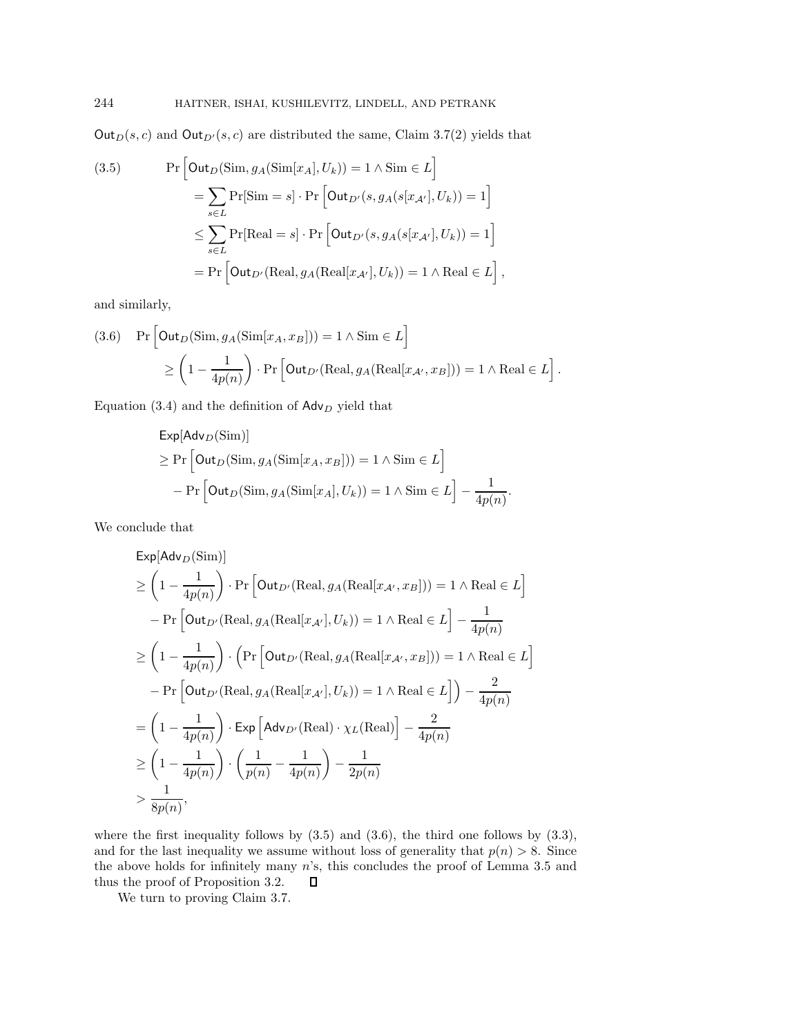$Out_D(s, c)$  and  $Out_{D'}(s, c)$  are distributed the same, Claim 3.7(2) yields that

(3.5) 
$$
\Pr\left[\text{Out}_D(\text{Sim}, g_A(\text{Sim}[x_A], U_k)) = 1 \land \text{Sim} \in L\right] \\ = \sum_{s \in L} \Pr[\text{Sim} = s] \cdot \Pr\left[\text{Out}_{D'}(s, g_A(s[x_{\mathcal{A}'}], U_k)) = 1\right] \\ \leq \sum_{s \in L} \Pr[\text{Real} = s] \cdot \Pr\left[\text{Out}_{D'}(s, g_A(s[x_{\mathcal{A}'}], U_k)) = 1\right] \\ = \Pr\left[\text{Out}_{D'}(\text{Real}, g_A(\text{Real}[x_{\mathcal{A}'}], U_k)) = 1 \land \text{Real} \in L\right],
$$

and similarly,

(3.6) 
$$
\Pr\left[\text{Out}_D(\text{Sim}, g_A(\text{Sim}[x_A, x_B])) = 1 \land \text{Sim} \in L\right] \ge \left(1 - \frac{1}{4p(n)}\right) \cdot \Pr\left[\text{Out}_{D'}(\text{Real}, g_A(\text{Real}[x_{A'}, x_B])) = 1 \land \text{Real} \in L\right].
$$

Equation (3.4) and the definition of  $\mathsf{Adv}_D$  yield that

$$
\mathsf{Exp}[\mathsf{Adv}_D(\mathsf{Sim})]
$$
  
\n
$$
\geq \Pr\left[\mathsf{Out}_D(\mathsf{Sim}, g_A(\mathsf{Sim}[x_A, x_B])) = 1 \land \mathsf{Sim} \in L\right]
$$
  
\n
$$
- \Pr\left[\mathsf{Out}_D(\mathsf{Sim}, g_A(\mathsf{Sim}[x_A], U_k)) = 1 \land \mathsf{Sim} \in L\right] - \frac{1}{4p(n)}.
$$

We conclude that

$$
\begin{split} &\text{Exp}[\mathsf{Adv}_D(\mathrm{Sim})] \\ &\geq \left(1-\frac{1}{4p(n)}\right)\cdot \Pr\Big[\mathsf{Out}_{D'}(\mathrm{Real}, g_A(\mathrm{Real}[x_{\mathcal{A}'}, x_{\mathcal{B}}])) = 1 \land \mathrm{Real} \in L\Big] \\ &\quad - \Pr\Big[\mathsf{Out}_{D'}(\mathrm{Real}, g_A(\mathrm{Real}[x_{\mathcal{A}'}], U_k)) = 1 \land \mathrm{Real} \in L\Big]-\frac{1}{4p(n)} \\ &\geq \left(1-\frac{1}{4p(n)}\right)\cdot \Big(\Pr\Big[\mathsf{Out}_{D'}(\mathrm{Real}, g_A(\mathrm{Real}[x_{\mathcal{A}'}, x_{\mathcal{B}}])) = 1 \land \mathrm{Real} \in L\Big] \\ &\quad - \Pr\Big[\mathsf{Out}_{D'}(\mathrm{Real}, g_A(\mathrm{Real}[x_{\mathcal{A}'}], U_k)) = 1 \land \mathrm{Real} \in L\Big]\Big)-\frac{2}{4p(n)} \\ &\geq \left(1-\frac{1}{4p(n)}\right)\cdot \text{Exp}\Big[\mathsf{Adv}_{D'}(\mathrm{Real})\cdot \chi_L(\mathrm{Real})\Big]-\frac{2}{4p(n)} \\ &\geq \left(1-\frac{1}{4p(n)}\right)\cdot \left(\frac{1}{p(n)}-\frac{1}{4p(n)}\right)-\frac{1}{2p(n)} \\ &> \frac{1}{8p(n)}, \end{split}
$$

where the first inequality follows by  $(3.5)$  and  $(3.6)$ , the third one follows by  $(3.3)$ , and for the last inequality we assume without loss of generality that  $p(n) > 8$ . Since the above holds for infinitely many n's, this concludes the proof of Lemma 3.5 and thus the proof of Proposition 3.2.  $\Box$ 

We turn to proving Claim 3.7.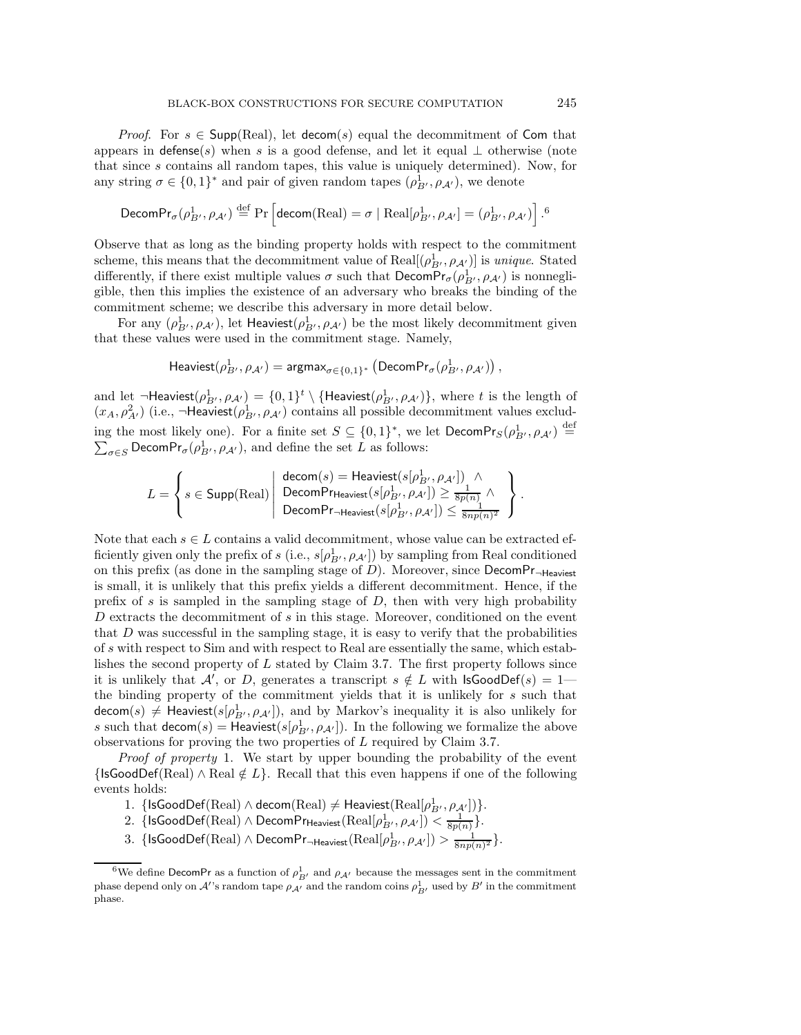*Proof.* For  $s \in \text{Supp}(Real)$ , let decom(s) equal the decommitment of Com that appears in defense(s) when s is a good defense, and let it equal  $\perp$  otherwise (note that since s contains all random tapes, this value is uniquely determined). Now, for any string  $\sigma \in \{0,1\}^*$  and pair of given random tapes  $(\rho_{B'}^1, \rho_{A'})$ , we denote

$$
\mathsf{DecomPr}_\sigma(\rho_{B'}^1, \rho_{\mathcal{A}'}) \stackrel{\text{def}}{=} \Pr\Big[\mathsf{decom}(\mathsf{Real}) = \sigma \mid \mathsf{Real}[\rho_{B'}^1, \rho_{\mathcal{A}'}] = (\rho_{B'}^1, \rho_{\mathcal{A}'})\Big] \cdot^6
$$

Observe that as long as the binding property holds with respect to the commitment scheme, this means that the decommitment value of  $\text{Real}[(\rho_B^1, \rho_{A'})]$  is unique. Stated differently, if there exist multiple values  $\sigma$  such that  $\mathsf{DecomPr}_{\sigma}(\rho_{B'}^1, \rho_{A'})$  is nonnegligible, then this implies the existence of an adversary who breaks the binding of the commitment scheme; we describe this adversary in more detail below.

For any  $(\rho_{B'}^1, \rho_{A'})$ , let Heaviest $(\rho_{B'}^1, \rho_{A'})$  be the most likely decommitment given that these values were used in the commitment stage. Namely,

$$
\mathsf{Heaviest}(\rho_{B'}^1, \rho_{\mathcal{A}'}) = \mathsf{argmax}_{\sigma \in \{0,1\}^*} \left( \mathsf{DecomPr}_\sigma(\rho_{B'}^1, \rho_{\mathcal{A}'}) \right),
$$

and let  $\neg$ Heaviest $(\rho_{B'}^1, \rho_{A'}) = \{0,1\}^t \setminus {\{\text{Heaviest}(\rho_{B'}^1, \rho_{A'})\}}$ , where t is the length of  $(x_A, \rho^2_{A'})$  (i.e.,  $\neg$ **Heaviest** $(\rho^1_{B'}, \rho_{A'})$  contains all possible decommitment values excluding the most likely one). For a finite set  $S \subseteq \{0,1\}^*$ , we let  $\mathsf{DecomPr}_{S}(\rho_{B'}^1, \rho_{A'}) \stackrel{\text{def}}{=} \sum_{s \in S} \mathsf{DecomPr}_{\sigma}(\rho_{B'}^1, \rho_{A'})$ , and define the set L as follows:  $\sigma \in S$  DecomPr $\sigma(\rho_B^1, \rho_{A'})$ , and define the set L as follows:

$$
L = \left\{s \in \textnormal{Supp}(\textnormal{Real}) \left| \begin{array}{c}\textnormal{decom}(s) = \textnormal{Heaviest}(s[\rho^1_{B'}, \rho_{\mathcal{A}'}]) \,\,\wedge \\ \textnormal{DecomPr}_{\textnormal{Heaviest}}(s[\rho^1_{B'}, \rho_{\mathcal{A}'}]) \geq \frac{1}{8p(n)} \,\,\wedge \\ \textnormal{DecomPr}_{\textnormal{-Heaviest}}(s[\rho^1_{B'}, \rho_{\mathcal{A}'}]) \leq \frac{1}{8np(n)^2} \end{array}\right\}.
$$

Note that each  $s \in L$  contains a valid decommitment, whose value can be extracted efficiently given only the prefix of s (i.e.,  $s[\rho_B^1, \rho_A]$ ) by sampling from Real conditioned on this prefix (as done in the sampling stage of  $D$ ). Moreover, since DecomPr<sub>¬Heaviest</sub> is small, it is unlikely that this prefix yields a different decommitment. Hence, if the prefix of  $s$  is sampled in the sampling stage of  $D$ , then with very high probability  $D$  extracts the decommitment of  $s$  in this stage. Moreover, conditioned on the event that  $D$  was successful in the sampling stage, it is easy to verify that the probabilities of s with respect to Sim and with respect to Real are essentially the same, which establishes the second property of L stated by Claim 3.7. The first property follows since it is unlikely that  $\mathcal{A}'$ , or D, generates a transcript  $s \notin L$  with  $\mathsf{lsGoodDef}(s) = 1$  the binding property of the commitment yields that it is unlikely for s such that decom(s)  $\neq$  Heaviest(s[ $\rho_B^1$ ,  $\rho_A$ ']), and by Markov's inequality it is also unlikely for s such that  $\text{decom}(s) = \text{Heaviest}(s[\rho_{B'}^1, \rho_{A'}])$ . In the following we formalize the above observations for proving the two properties of L required by Claim 3.7.

Proof of property 1. We start by upper bounding the probability of the event  $\{\text{IsGoodDef}(Real) \wedge Real \notin L\}.$  Recall that this even happens if one of the following events holds:

- 1. {IsGoodDef(Real)  $\land$  decom(Real)  $\neq$  Heaviest(Real[ $\rho_B^1$ ,  $\rho_{A'}$ ])}.
- 2.  $\{{\sf lsGoodDef}({\rm Real}) \wedge {\sf DecomPr}_{\sf Heaviest}({\rm Real}[\rho^1_{B'}, \rho_{\mathcal{A}'}]) < \frac{1}{8p(n)}\}.$
- $3. \ \{ \mathsf{lsGoodDef}(\text{Real}) \wedge \mathsf{DecomPr}_{\neg \mathsf{Heaviest}}(\text{Real}[\rho_{B'}^1,\rho_{\mathcal{A}'}]) > \frac{1}{8np(n)^2} \}.$

<sup>&</sup>lt;sup>6</sup>We define DecomPr as a function of  $\rho_{B'}^1$  and  $\rho_{A'}$  because the messages sent in the commitment phase depend only on  $\mathcal{A}'$ 's random tape  $\rho_{\mathcal{A}'}$  and the random coins  $\rho_{B'}^1$  used by  $B'$  in the commitment phase.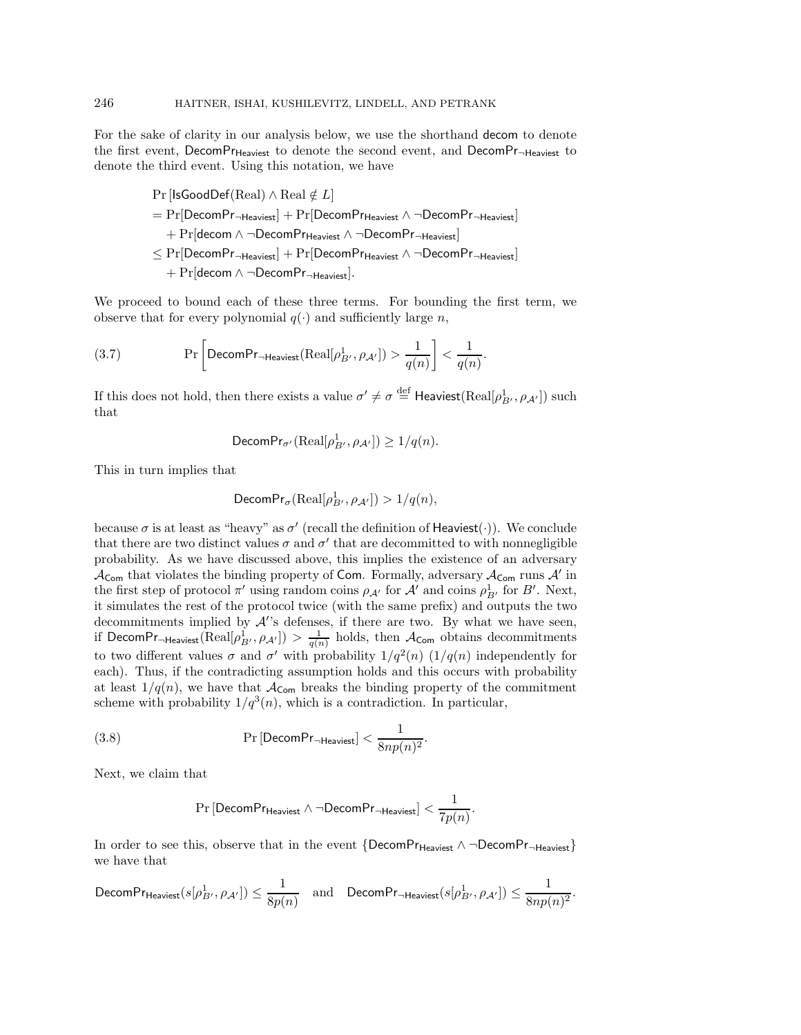For the sake of clarity in our analysis below, we use the shorthand decom to denote the first event, DecomPr<sub>Heaviest</sub> to denote the second event, and DecomPr<sub>-Heaviest</sub> to denote the third event. Using this notation, we have

> Pr [IsGoodDef(Real)  $\land$  Real  $\notin L$ ]  $= Pr[DecomPr_{\neg Heaviest}] + Pr[DecomPr_{Heaviest} \land \neg DecomPr_{\neg Heaviest}]$ + Pr[decom ∧ ¬DecomPr<sub>Heaviest</sub> ∧ ¬DecomPr<sub>¬Heaviest</sub>]  $\leq \Pr[\mathsf{DecomPr}_{\neg \mathsf{Heaviest}}] + \Pr[\mathsf{DecomPr}_{\mathsf{Heaviest}} \land \neg \mathsf{DecomPr}_{\neg \mathsf{Heaviest}}]$  $+ \Pr[\mathsf{decom} \wedge \neg \mathsf{DecomPr}_{\neg \mathsf{Heaviest}}].$

We proceed to bound each of these three terms. For bounding the first term, we observe that for every polynomial  $q(.)$  and sufficiently large n,

(3.7) 
$$
\Pr\left[\text{DecomPr}_{\neg \text{Heaviest}}(\text{Real}[\rho_{B'}^1, \rho_{A'}]) > \frac{1}{q(n)}\right] < \frac{1}{q(n)}.
$$

If this does not hold, then there exists a value  $\sigma' \neq \sigma \stackrel{\text{def}}{=}$  Heaviest $(\text{Real}[\rho_B^1,\rho_{A'}])$  such that

DecomPr<sub>σ'</sub>(Real
$$
[\rho^1_{B'}, \rho_{A'}]
$$
)  $\geq 1/q(n)$ .

This in turn implies that

$$
\mathsf{DecomPr}_{\sigma}(\mathsf{Real}[\rho^1_{B'}, \rho_{A'}]) > 1/q(n),
$$

because  $\sigma$  is at least as "heavy" as  $\sigma'$  (recall the definition of Heaviest(.)). We conclude that there are two distinct values  $\sigma$  and  $\sigma'$  that are decommitted to with nonnegligible probability. As we have discussed above, this implies the existence of an adversary  $\mathcal{A}_{\mathsf{Com}}$  that violates the binding property of Com. Formally, adversary  $\mathcal{A}_{\mathsf{Com}}$  runs  $\mathcal{A}'$  in the first step of protocol  $\pi'$  using random coins  $\rho_{\mathcal{A}'}$  for  $\mathcal{A}'$  and coins  $\rho_{B'}^1$  for  $B'$ . Next, it simulates the rest of the protocol twice (with the same prefix) and outputs the two decommitments implied by  $\mathcal{A}$ 's defenses, if there are two. By what we have seen, if DecomPr<sub>¬Heaviest</sub>(Real $[\rho^1_{B'},\rho_{A'}])>\frac{1}{q(n)}$  holds, then  $\mathcal{A}_\mathsf{Com}$  obtains decommitments to two different values  $\sigma$  and  $\sigma'$  with probability  $1/q^2(n)$  (1/q(n) independently for each). Thus, if the contradicting assumption holds and this occurs with probability at least  $1/q(n)$ , we have that  $\mathcal{A}_{\mathsf{Com}}$  breaks the binding property of the commitment scheme with probability  $1/q^3(n)$ , which is a contradiction. In particular,

(3.8) 
$$
\Pr\left[\mathsf{DecomPr}_{\neg \mathsf{Heaviest}}\right] < \frac{1}{8np(n)^2}.
$$

Next, we claim that

$$
\Pr\left[\mathsf{DecomPr}_{\mathsf{Heaviest}} \wedge \neg \mathsf{DecomPr}_{\neg \mathsf{Heaviest}}\right] < \frac{1}{7p(n)}.
$$

In order to see this, observe that in the event {DecomPr $_{Heaviest} \wedge \neg$ DecomPr $_{Heaviest}$ } we have that

$$
\text{DecomPr}_{\text{Heaviest}}(s[\rho_{B'}^1,\rho_{\mathcal{A}'}]) \leq \frac{1}{8p(n)} \quad \text{and} \quad \text{DecomPr}_{\neg \text{Heaviest}}(s[\rho_{B'}^1,\rho_{\mathcal{A}'}]) \leq \frac{1}{8np(n)^2}.
$$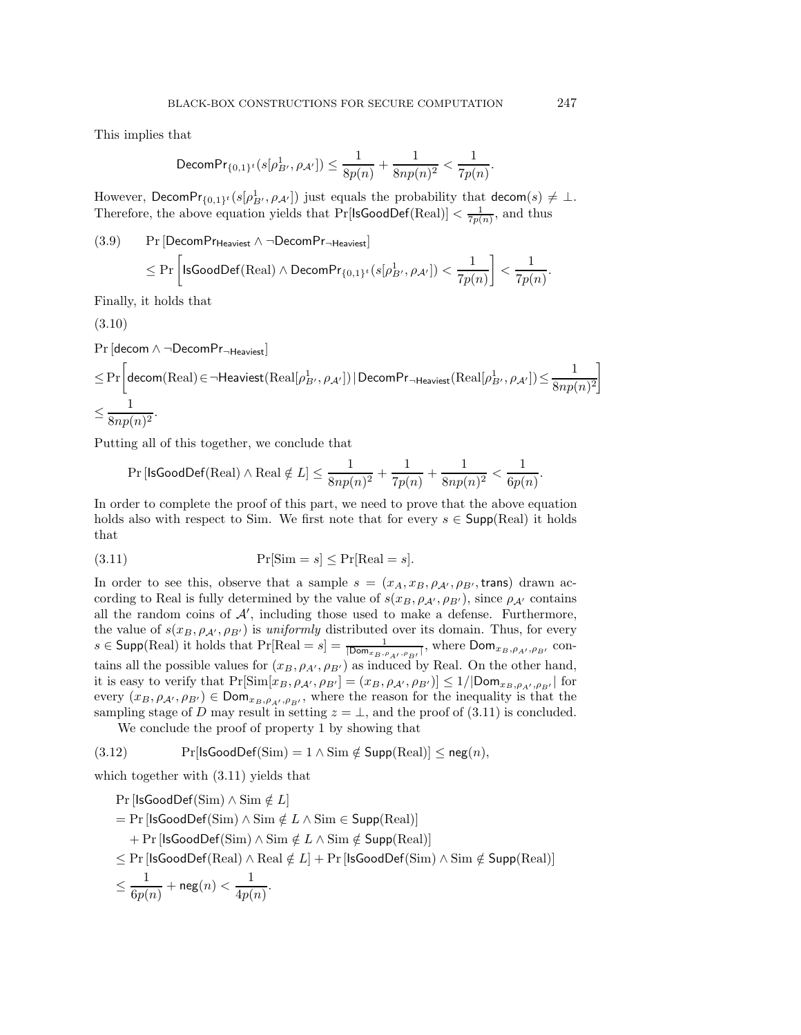This implies that

$$
\text{DecomPr}_{\{0,1\}^t}(s[\rho^1_{B'}, \rho_{\mathcal{A}'}]) \leq \frac{1}{8p(n)} + \frac{1}{8np(n)^2} < \frac{1}{7p(n)}.
$$

However, Decom $Pr_{\{0,1\}^t}(s[\rho^1_{B'}, \rho_{A'}])$  just equals the probability that  $decom(s) \neq \bot$ . Therefore, the above equation yields that  $Pr[IsGoodDef(Real)] < \frac{1}{7p(n)}$ , and thus

 $(3.9)$  Pr [DecomPr<sub>Heaviest</sub>  $\land \neg$ DecomPr $\neg$ <sub>Heaviest</sub>]  $\leq \Pr \left[ \mathsf{lsGoodDef}(\text{Real}) \wedge \mathsf{DecomPr}_{\{0,1\}^t}(s[\rho^1_{B'}, \rho_{\mathcal{A}'}]) < \frac{1}{7n^t} \right]$  $7p(n)$ 9  $\lt \frac{1}{7}$  $\frac{1}{7p(n)}$ .

Finally, it holds that

(3.10)

Pr [decom ∧ ¬DecomPr¬Heaviest]

$$
\leq \Pr\biggl[\text{decom(Real)} \in \neg \text{Heaviest(Real}[\rho^1_{B'}, \rho_{A'}]) \, | \, \text{DecomPr}_{\neg \text{Heaviest}}(\text{Real}[\rho^1_{B'}, \rho_{A'}]) \leq \frac{1}{8np(n)^2}\biggr] \newline \newline \leq \frac{1}{8np(n)^2}.
$$

Putting all of this together, we conclude that

$$
\Pr\left[\mathsf{IsGoodDef}(\mathrm{Real}) \land \mathrm{Real} \notin L\right] \leq \frac{1}{8np(n)^2} + \frac{1}{7p(n)} + \frac{1}{8np(n)^2} < \frac{1}{6p(n)}.
$$

In order to complete the proof of this part, we need to prove that the above equation holds also with respect to Sim. We first note that for every  $s \in \text{Supp}(Real)$  it holds that

(3.11) 
$$
Pr[\text{Sim} = s] \le Pr[\text{Real} = s].
$$

In order to see this, observe that a sample  $s = (x_A, x_B, \rho_{A'}, \rho_{B'}$ , trans) drawn according to Real is fully determined by the value of  $s(x_B, \rho_{A'}, \rho_{B'})$ , since  $\rho_{A'}$  contains all the random coins of  $\mathcal{A}'$ , including those used to make a defense. Furthermore, the value of  $s(x_B, \rho_{A'}, \rho_{B'})$  is uniformly distributed over its domain. Thus, for every  $s \in \textsf{Supp}(\text{Real})$  it holds that  $\Pr[\text{Real} = s] = \frac{1}{|\text{Dom}_{x_B, \rho_{A'}, \rho_{B'}}|}$ , where  $\textsf{Dom}_{x_B, \rho_{A'}, \rho_{B'}}$  contains all the possible values for  $(x_B, \rho_{A'}, \rho_{B'})$  as induced by Real. On the other hand, it is easy to verify that  $Pr[\text{Sim}[x_B, \rho_{A'}, \rho_{B'}] = (x_B, \rho_{A'}, \rho_{B'})] \le 1/|\text{Dom}_{x_B, \rho_{A'}, \rho_{B'}}|$  for every  $(x_B, \rho_{A'}, \rho_{B'}) \in \text{Dom}_{x_B, \rho_{A'}, \rho_{B'}}$ , where the reason for the inequality is that the sampling stage of D may result in setting  $z = \perp$ , and the proof of (3.11) is concluded.

We conclude the proof of property 1 by showing that

$$
(3.12) \tPr[IsGoodDef(Sim) = 1 \land Sim \notin Supp(Real)] \le neg(n),
$$

which together with (3.11) yields that

Pr [IsGoodDef(Sim) ∧ Sim  $\notin L$ ]

$$
= \Pr\left[\text{IsGoodDef}(\text{Sim}) \land \text{Sim} \notin L \land \text{Sim} \in \text{Supp}(\text{Real})\right] \\
+ \Pr\left[\text{IsGoodDef}(\text{Sim}) \land \text{Sim} \notin L \land \text{Sim} \notin \text{Supp}(\text{Real})\right] \\
\leq \Pr\left[\text{IsGoodDef}(\text{Real}) \land \text{Real} \notin L\right] + \Pr\left[\text{IsGoodDef}(\text{Sim}) \land \text{Sim} \notin \text{Supp}(\text{Real})\right] \\
\leq \frac{1}{6p(n)} + \text{neg}(n) < \frac{1}{4p(n)}.
$$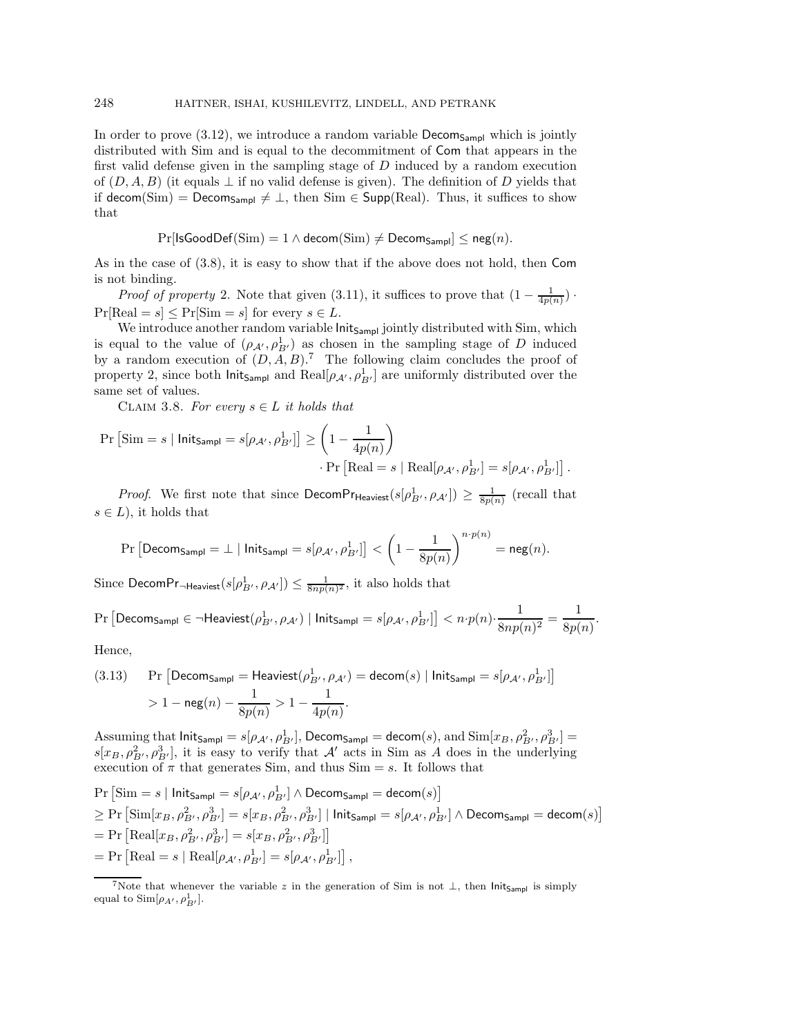In order to prove  $(3.12)$ , we introduce a random variable Decoms<sub>ampl</sub> which is jointly distributed with Sim and is equal to the decommitment of Com that appears in the first valid defense given in the sampling stage of  $D$  induced by a random execution of  $(D, A, B)$  (it equals  $\perp$  if no valid defense is given). The definition of D yields that if decom(Sim) = Decom<sub>Sampl</sub>  $\neq \perp$ , then Sim  $\in$  Supp(Real). Thus, it suffices to show that

$$
\Pr[\mathsf{IsGoodDef}(\mathrm{Sim}) = 1 \land \mathsf{decom}(\mathrm{Sim}) \neq \mathsf{Decom}_{\mathsf{Sampl}}] \leq \mathsf{neg}(n).
$$

As in the case of (3.8), it is easy to show that if the above does not hold, then Com is not binding.

*Proof of property* 2. Note that given (3.11), it suffices to prove that  $\left(1 - \frac{1}{4p(n)}\right)$ .  $Pr[Real = s] \leq Pr[Sim = s]$  for every  $s \in L$ .

We introduce another random variable  $\mathsf{Init}_{\mathsf{Sampl}}$  jointly distributed with Sim, which is equal to the value of  $(\rho_{\mathcal{A}'}, \rho_{B'}^1)$  as chosen in the sampling stage of D induced by a random execution of  $(D, \overline{A}, B)$ .<sup>7</sup> The following claim concludes the proof of property 2, since both  $\textsf{Init}_{\textsf{Sampl}}$  and  $\text{Real}[\rho_{\mathcal{A}'}, \rho_{B'}^1]$  are uniformly distributed over the same set of values.

CLAIM 3.8. For every  $s \in L$  it holds that

$$
\begin{aligned} \Pr\left[\mathrm{Sim}=s \mid \mathsf{Init}_{\mathsf{Sampl}}=s[\rho_{\mathcal{A}'},\rho_{B'}^1]\right] &\geq \left(1-\frac{1}{4p(n)}\right) \\ &\qquad\qquad\cdot\Pr\left[\mathrm{Real}=s \mid \mathrm{Real}[\rho_{\mathcal{A}'},\rho_{B'}^1]=s[\rho_{\mathcal{A}'},\rho_{B'}^1]\right]. \end{aligned}
$$

*Proof.* We first note that since DecomPr<sub>Heaviest</sub> $(s[\rho_B^1,\rho_{A'}]) \geq \frac{1}{8p(n)}$  (recall that  $s \in L$ , it holds that

$$
\Pr\left[\mathsf{Decom}_{\mathsf{Sampl}} = \bot \mid \mathsf{Init}_{\mathsf{Sampl}} = s[\rho_{\mathcal{A}'}, \rho_{B'}^1]\right] < \left(1 - \frac{1}{8p(n)}\right)^{n \cdot p(n)} = \mathsf{neg}(n).
$$

Since DecomPr<sub>¬Heaviest</sub> $(s[\rho_{B'}^1,\rho_{\mathcal{A}'}])\leq \frac{1}{8np(n)^2},$  it also holds that

$$
\Pr\left[\mathsf{Decom}_{\mathsf{Sampl}} \in \neg \mathsf{Heaviest}(\rho_{B'}^1, \rho_{\mathcal{A}'}) \mid \mathsf{Init}_{\mathsf{Sampl}} = s[\rho_{\mathcal{A}'}, \rho_{B'}^1]\right] < n \cdot p(n) \cdot \frac{1}{8np(n)^2} = \frac{1}{8p(n)}.
$$

Hence,

(3.13) 
$$
\Pr \left[ \text{Decom}_{\text{Sample}} = \text{Heaviest}(\rho_{B'}^1, \rho_{A'}) = \text{decom}(s) \mid \text{Init}_{\text{Sample}} = s[\rho_{A'}, \rho_{B'}^1] \right] \ge 1 - \text{neg}(n) - \frac{1}{8p(n)} > 1 - \frac{1}{4p(n)}.
$$

Assuming that  $\textsf{Init}_{\textsf{Sampl}} = s[\rho_{\mathcal{A}'}, \rho_{\mathcal{B}'}^1]$ , Decom<sub>Sampl</sub> = decom(s), and  $\textsf{Sim}[x_B, \rho_{\mathcal{B}'}^2, \rho_{\mathcal{B}'}^3]$  =  $s[x_B, \rho_B^2, \rho_B^3]$ , it is easy to verify that A' acts in Sim as A does in the underlying execution of  $\pi$  that generates Sim, and thus Sim = s. It follows that

$$
\begin{aligned} &\Pr\left[\text{Sim}=s \mid \text{Init}_{\text{Sampl}}=s[\rho_{\mathcal{A}'}, \rho_{B'}^1] \land \text{Decom}_{\text{Sampl}}=\text{decom}(s)\right] \\ &\geq \Pr\left[\text{Sim}[x_B, \rho_{B'}^2, \rho_{B'}^3] = s[x_B, \rho_{B'}^2, \rho_{B'}^3] \mid \text{Init}_{\text{Sampl}}=s[\rho_{\mathcal{A}'}, \rho_{B'}^1] \land \text{Decom}_{\text{Sampl}}=\text{decom}(s)\right] \\ &=\Pr\left[\text{Real}[x_B, \rho_{B'}^2, \rho_{B'}^3] = s[x_B, \rho_{B'}^2, \rho_{B'}^3]\right] \\ &=\Pr\left[\text{Real}=s \mid \text{Real}[\rho_{\mathcal{A}'}, \rho_{B'}^1] = s[\rho_{\mathcal{A}'}, \rho_{B'}^1]\right], \end{aligned}
$$

<sup>7</sup>Note that whenever the variable z in the generation of Sim is not  $\perp$ , then Init<sub>Sampl</sub> is simply equal to  $\text{Sim}[\rho_{A'}, \rho_{B'}^1]$ .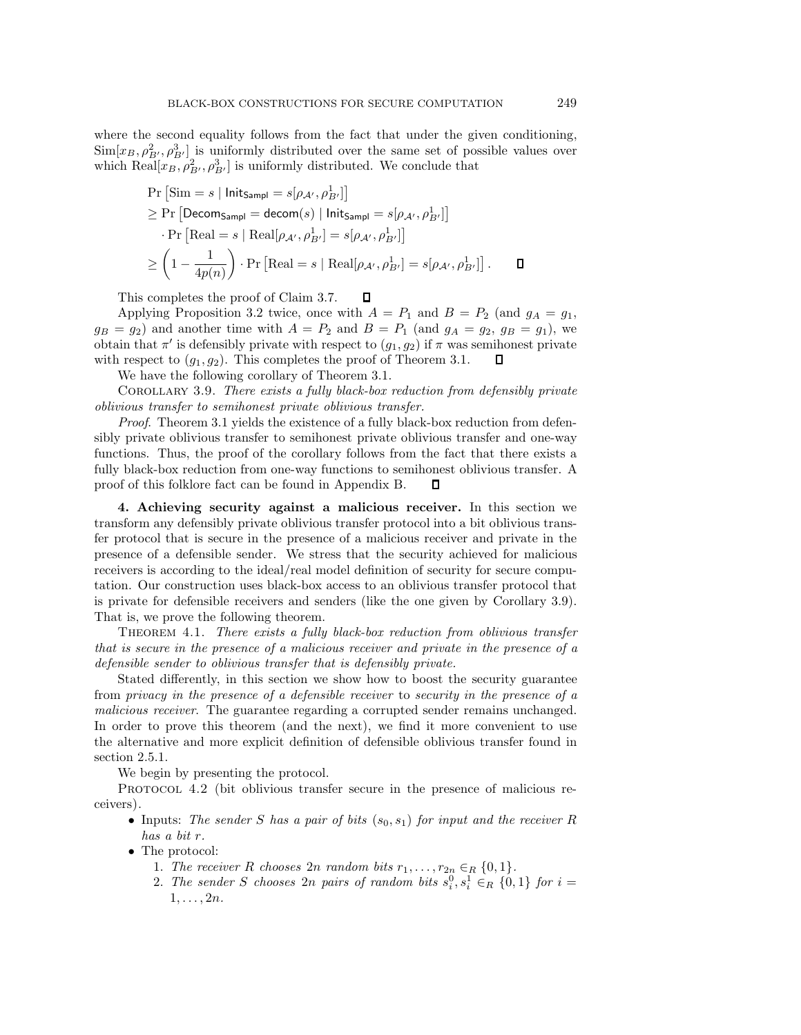where the second equality follows from the fact that under the given conditioning,  $\text{Sim}[x_B, \rho_{B'}^2, \rho_{B'}^3]$  is uniformly distributed over the same set of possible values over which  $\text{Real}[x_B, \rho_{B'}^2, \rho_{B'}^3]$  is uniformly distributed. We conclude that

$$
\Pr\left[\text{Sim} = s \mid \text{Init}_{\text{Sample}} = s[\rho_{\mathcal{A}'}, \rho_{B'}^1]\right] \\
\geq \Pr\left[\text{Decom}_{\text{Sample}} = \text{decom}(s) \mid \text{Init}_{\text{Sample}} = s[\rho_{\mathcal{A}'}, \rho_{B'}^1]\right] \\
\cdot \Pr\left[\text{Real} = s \mid \text{Real}[\rho_{\mathcal{A}'}, \rho_{B'}^1] = s[\rho_{\mathcal{A}'}, \rho_{B'}^1]\right] \\
\geq \left(1 - \frac{1}{4p(n)}\right) \cdot \Pr\left[\text{Real} = s \mid \text{Real}[\rho_{\mathcal{A}'}, \rho_{B'}^1] = s[\rho_{\mathcal{A}'}, \rho_{B'}^1]\right].\n\qquad \Box
$$

 $\Box$ This completes the proof of Claim 3.7.

Applying Proposition 3.2 twice, once with  $A = P_1$  and  $B = P_2$  (and  $g_A = g_1$ ,  $g_B = g_2$ ) and another time with  $A = P_2$  and  $B = P_1$  (and  $g_A = g_2$ ,  $g_B = g_1$ ), we obtain that  $\pi'$  is defensibly private with respect to  $(g_1, g_2)$  if  $\pi$  was semihonest private with respect to  $(g_1, g_2)$ . This completes the proof of Theorem 3.1.  $\Box$ 

We have the following corollary of Theorem 3.1.

Corollary 3.9. There exists a fully black-box reduction from defensibly private oblivious transfer to semihonest private oblivious transfer.

Proof. Theorem 3.1 yields the existence of a fully black-box reduction from defensibly private oblivious transfer to semihonest private oblivious transfer and one-way functions. Thus, the proof of the corollary follows from the fact that there exists a fully black-box reduction from one-way functions to semihonest oblivious transfer. A proof of this folklore fact can be found in Appendix B. Л

4. Achieving security against a malicious receiver. In this section we transform any defensibly private oblivious transfer protocol into a bit oblivious transfer protocol that is secure in the presence of a malicious receiver and private in the presence of a defensible sender. We stress that the security achieved for malicious receivers is according to the ideal/real model definition of security for secure computation. Our construction uses black-box access to an oblivious transfer protocol that is private for defensible receivers and senders (like the one given by Corollary 3.9). That is, we prove the following theorem.

THEOREM 4.1. There exists a fully black-box reduction from oblivious transfer that is secure in the presence of a malicious receiver and private in the presence of a defensible sender to oblivious transfer that is defensibly private.

Stated differently, in this section we show how to boost the security guarantee from privacy in the presence of a defensible receiver to security in the presence of a malicious receiver. The guarantee regarding a corrupted sender remains unchanged. In order to prove this theorem (and the next), we find it more convenient to use the alternative and more explicit definition of defensible oblivious transfer found in section 2.5.1.

We begin by presenting the protocol.

PROTOCOL 4.2 (bit oblivious transfer secure in the presence of malicious receivers).

- Inputs: The sender S has a pair of bits  $(s_0, s_1)$  for input and the receiver R has a bit r.
- The protocol:
	- 1. The receiver R chooses  $2n$  random bits  $r_1, \ldots, r_{2n} \in_R \{0,1\}.$
	- 2. The sender S chooses  $2n$  pairs of random bits  $s_i^0, s_i^1 \in_R \{0,1\}$  for  $i =$  $1, \ldots, 2n$ .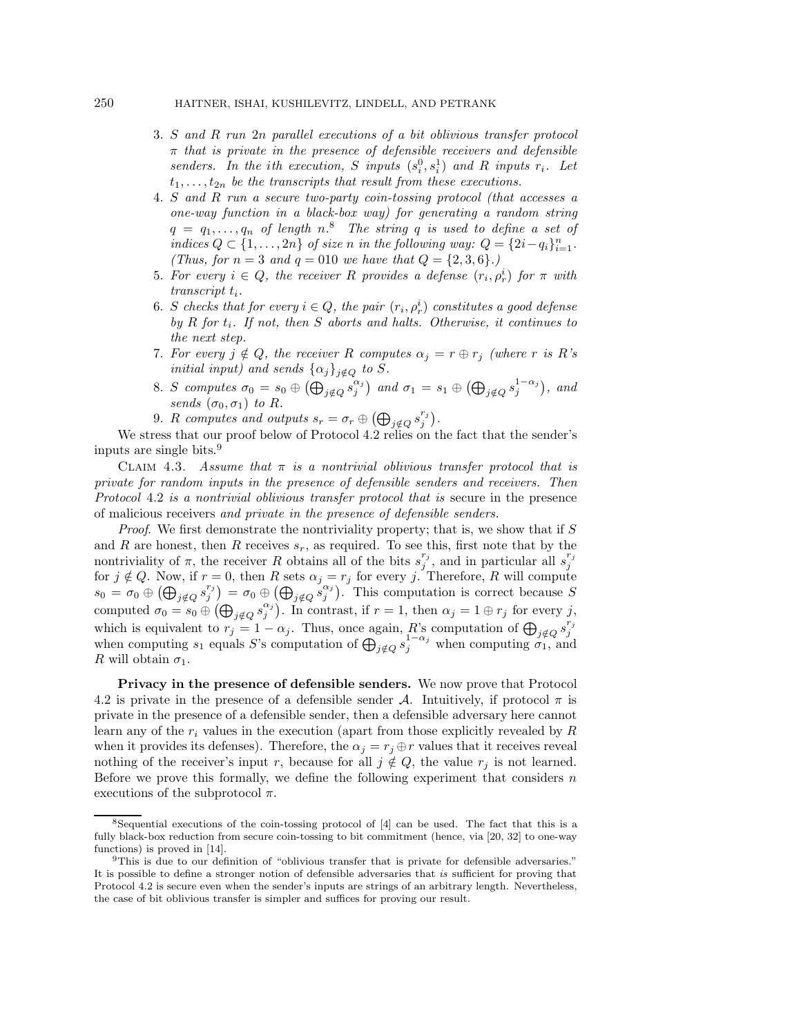- 3. S and R run 2n parallel executions of a bit oblivious transfer protocol  $\pi$  that is private in the presence of defensible receivers and defensible senders. In the ith execution, S inputs  $(s_i^0, s_i^1)$  and R inputs  $r_i$ . Let  $t_1, \ldots, t_{2n}$  be the transcripts that result from these executions.
- 4. S and R run a secure two-party coin-tossing protocol (that accesses a one-way function in a black-box way) for generating a random string  $q = q_1, \ldots, q_n$  of length  $n$ .<sup>8</sup> The string q is used to define a set of indices  $Q \subset \{1, ..., 2n\}$  of size n in the following way:  $Q = \{2i - q_i\}_{i=1}^n$ . (Thus, for  $n = 3$  and  $q = 010$  we have that  $Q = \{2, 3, 6\}$ .)
- 5. For every  $i \in Q$ , the receiver R provides a defense  $(r_i, \rho_r^i)$  for  $\pi$  with transcript  $t_i$ .
- 6. S checks that for every  $i \in Q$ , the pair  $(r_i, \rho_r^i)$  constitutes a good defense by  $R$  for  $t_i$ . If not, then  $S$  aborts and halts. Otherwise, it continues to the next step.
- 7. For every  $j \notin Q$ , the receiver R computes  $\alpha_j = r \oplus r_j$  (where r is R's initial input) and sends  $\{\alpha_j\}_{j \notin Q}$  to S.
- 8. S computes  $\sigma_0 = s_0 \oplus (\bigoplus_{j \notin Q} s_j^{\alpha_j})$  and  $\sigma_1 = s_1 \oplus (\bigoplus_{j \notin Q} s_j^{1-\alpha_j})$ , and sends  $(\sigma_0, \sigma_1)$  to R.
- 9. R computes and outputs  $s_r = \sigma_r \oplus (\bigoplus_{j \notin Q} s_j^{r_j}).$

We stress that our proof below of Protocol 4.2 relies on the fact that the sender's inputs are single bits.<sup>9</sup>

CLAIM 4.3. Assume that  $\pi$  is a nontrivial oblivious transfer protocol that is private for random inputs in the presence of defensible senders and receivers. Then Protocol 4.2 is a nontrivial oblivious transfer protocol that is secure in the presence of malicious receivers and private in the presence of defensible senders.

*Proof.* We first demonstrate the nontriviality property; that is, we show that if  $S$ and R are honest, then R receives  $s_r$ , as required. To see this, first note that by the nontriviality of  $\pi$ , the receiver R obtains all of the bits  $s_j^{r_j}$ , and in particular all  $s_j^{r_j}$ for  $j \notin Q$ . Now, if  $r = 0$ , then R sets  $\alpha_j = r_j$  for every j. Therefore, R will compute  $s_0 = \sigma_0 \oplus (\bigoplus_{j \notin Q} s_j^{r_j}) = \sigma_0 \oplus (\bigoplus_{j \notin Q} s_j^{\alpha_j}).$  This computation is correct because S computed  $\sigma_0 = s_0 \oplus (\bigoplus_{j \notin Q} s_j^{\alpha_j})$ . In contrast, if  $r = 1$ , then  $\alpha_j = 1 \oplus r_j$  for every j, which is equivalent to  $r_j = 1 - \alpha_j$ . Thus, once again, R's computation of  $\bigoplus_{j \notin Q} s_j^{r_j}$  when computing  $\sigma_1$ , and  $\bigoplus_{j \notin Q} s_j^{r_j}$  when computing  $\sigma_1$ , and R will obtain  $\sigma_1$ .

Privacy in the presence of defensible senders. We now prove that Protocol 4.2 is private in the presence of a defensible sender A. Intuitively, if protocol  $\pi$  is private in the presence of a defensible sender, then a defensible adversary here cannot learn any of the  $r_i$  values in the execution (apart from those explicitly revealed by  $R$ when it provides its defenses). Therefore, the  $\alpha_j = r_j \oplus r$  values that it receives reveal nothing of the receiver's input r, because for all  $j \notin Q$ , the value  $r_j$  is not learned. Before we prove this formally, we define the following experiment that considers  $n$ executions of the subprotocol  $\pi$ .

<sup>8</sup>Sequential executions of the coin-tossing protocol of [4] can be used. The fact that this is a fully black-box reduction from secure coin-tossing to bit commitment (hence, via [20, 32] to one-way functions) is proved in [14].

<sup>9</sup>This is due to our definition of "oblivious transfer that is private for defensible adversaries." It is possible to define a stronger notion of defensible adversaries that is sufficient for proving that Protocol 4.2 is secure even when the sender's inputs are strings of an arbitrary length. Nevertheless, the case of bit oblivious transfer is simpler and suffices for proving our result.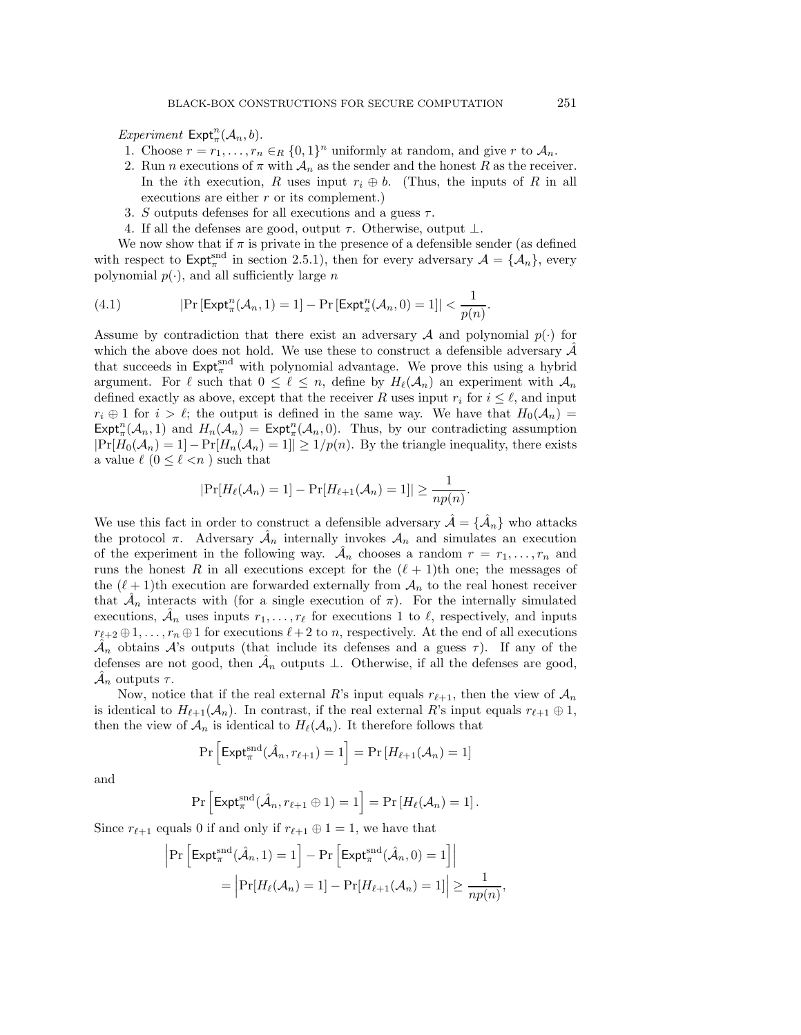Experiment  $\mathsf{Expt}^n_{\pi}(\mathcal{A}_n, b)$ .

- 1. Choose  $r = r_1, \ldots, r_n \in_R \{0,1\}^n$  uniformly at random, and give r to  $\mathcal{A}_n$ .
- 2. Run *n* executions of  $\pi$  with  $\mathcal{A}_n$  as the sender and the honest R as the receiver. In the *i*th execution, R uses input  $r_i \oplus b$ . (Thus, the inputs of R in all executions are either  $r$  or its complement.)
- 3. S outputs defenses for all executions and a guess  $\tau$ .
- 4. If all the defenses are good, output  $\tau$ . Otherwise, output  $\bot$ .

We now show that if  $\pi$  is private in the presence of a defensible sender (as defined with respect to  $\text{Expt}_{\pi}^{\text{snd}}$  in section 2.5.1), then for every adversary  $\mathcal{A} = {\mathcal{A}_n}$ , every polynomial  $p(\cdot)$ , and all sufficiently large n

(4.1) 
$$
|\Pr\left[\mathsf{Expt}_{\pi}^{n}(\mathcal{A}_{n},1)=1\right]-\Pr\left[\mathsf{Expt}_{\pi}^{n}(\mathcal{A}_{n},0)=1\right]|<\frac{1}{p(n)}.
$$

Assume by contradiction that there exist an adversary  $A$  and polynomial  $p(\cdot)$  for which the above does not hold. We use these to construct a defensible adversary  $\hat{\mathcal{A}}$ that succeeds in  $\text{Expt}_{\pi}^{\text{snd}}$  with polynomial advantage. We prove this using a hybrid argument. For  $\ell$  such that  $0 \leq \ell \leq n$ , define by  $H_{\ell}(\mathcal{A}_n)$  an experiment with  $\mathcal{A}_n$ defined exactly as above, except that the receiver R uses input  $r_i$  for  $i \leq \ell$ , and input  $r_i \oplus 1$  for  $i > \ell$ ; the output is defined in the same way. We have that  $H_0(\mathcal{A}_n) =$  $\text{Expt}_{\pi}^n(\mathcal{A}_n, 1)$  and  $H_n(\mathcal{A}_n) = \text{Expt}_{\pi}^n(\mathcal{A}_n, 0)$ . Thus, by our contradicting assumption  $|\Pr[H_0(\mathcal{A}_n) = 1] - \Pr[H_n(\mathcal{A}_n) = 1]| \geq 1/p(n)$ . By the triangle inequality, there exists a value  $\ell$  ( $0 \leq \ell < n$ ) such that

$$
|\Pr[H_{\ell}(\mathcal{A}_n)=1]-\Pr[H_{\ell+1}(\mathcal{A}_n)=1]|\geq \frac{1}{np(n)}.
$$

We use this fact in order to construct a defensible adversary  $\hat{\mathcal{A}} = {\{\hat{\mathcal{A}}_n\}}$  who attacks the protocol  $\pi$ . Adversary  $\hat{\mathcal{A}}_n$  internally invokes  $\mathcal{A}_n$  and simulates an execution of the experiment in the following way.  $\hat{\mathcal{A}}_n$  chooses a random  $r = r_1, \ldots, r_n$  and runs the honest R in all executions except for the  $(\ell + 1)$ th one; the messages of the  $(\ell + 1)$ th execution are forwarded externally from  $\mathcal{A}_n$  to the real honest receiver that  $\hat{\mathcal{A}}_n$  interacts with (for a single execution of  $\pi$ ). For the internally simulated executions,  $\hat{\mathcal{A}}_n$  uses inputs  $r_1,\ldots,r_\ell$  for executions 1 to  $\ell$ , respectively, and inputs  $r_{\ell+2} \oplus 1, \ldots, r_n \oplus 1$  for executions  $\ell+2$  to n, respectively. At the end of all executions  $\mathcal{A}_n$  obtains  $\mathcal{A}$ 's outputs (that include its defenses and a guess  $\tau$ ). If any of the defenses are not good, then  $\mathcal{A}_n$  outputs  $\perp$ . Otherwise, if all the defenses are good,  $\mathcal{A}_n$  outputs  $\tau$ .

Now, notice that if the real external R's input equals  $r_{\ell+1}$ , then the view of  $\mathcal{A}_n$ is identical to  $H_{\ell+1}(\mathcal{A}_n)$ . In contrast, if the real external R's input equals  $r_{\ell+1} \oplus 1$ , then the view of  $\mathcal{A}_n$  is identical to  $H_\ell(\mathcal{A}_n)$ . It therefore follows that

$$
\Pr\left[\text{Expt}_{\pi}^{\text{snd}}(\hat{\mathcal{A}}_n, r_{\ell+1}) = 1\right] = \Pr\left[H_{\ell+1}(\mathcal{A}_n) = 1\right]
$$

and

$$
\Pr\left[\mathsf{Expt}_{\pi}^{\mathrm{snd}}(\hat{\mathcal{A}}_n, r_{\ell+1} \oplus 1) = 1\right] = \Pr\left[H_{\ell}(\mathcal{A}_n) = 1\right].
$$

Since  $r_{\ell+1}$  equals 0 if and only if  $r_{\ell+1} \oplus 1 = 1$ , we have that

$$
\begin{aligned} \left| \Pr \left[ \mathsf{Expt}^{\text{snd}}_{\pi}(\hat{\mathcal{A}}_n, 1) = 1 \right] - \Pr \left[ \mathsf{Expt}^{\text{snd}}_{\pi}(\hat{\mathcal{A}}_n, 0) = 1 \right] \right| \\ = \left| \Pr[H_{\ell}(\mathcal{A}_n) = 1] - \Pr[H_{\ell+1}(\mathcal{A}_n) = 1] \right| \ge \frac{1}{np(n)}, \end{aligned}
$$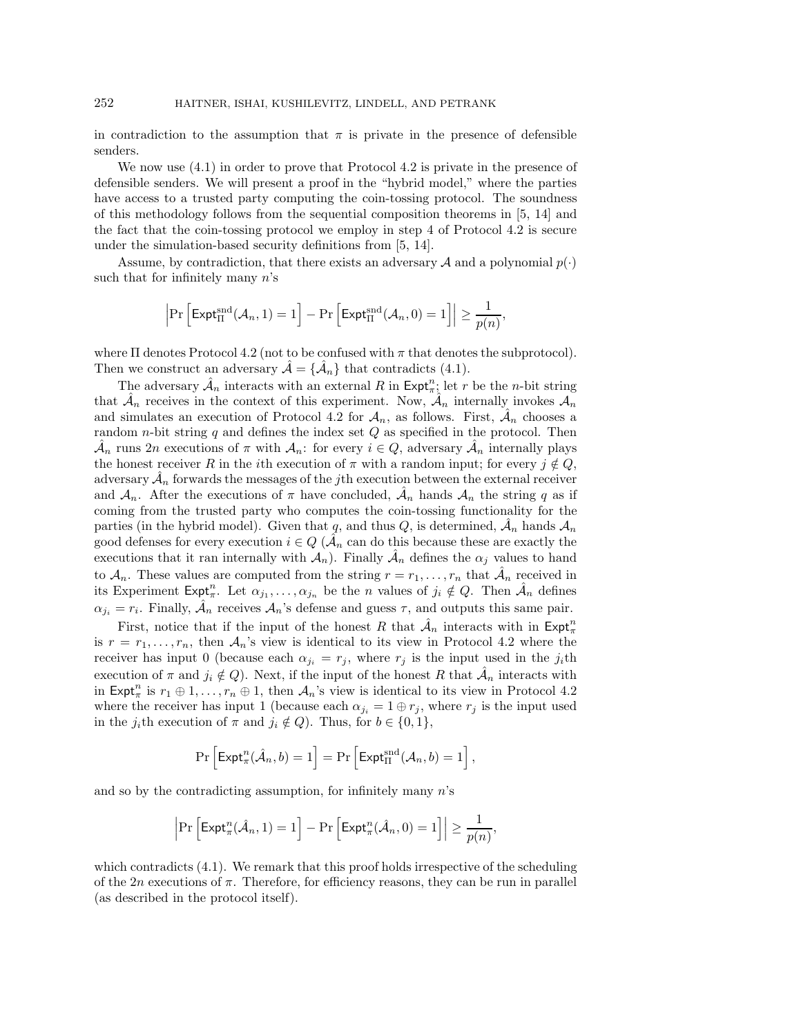in contradiction to the assumption that  $\pi$  is private in the presence of defensible senders.

We now use (4.1) in order to prove that Protocol 4.2 is private in the presence of defensible senders. We will present a proof in the "hybrid model," where the parties have access to a trusted party computing the coin-tossing protocol. The soundness of this methodology follows from the sequential composition theorems in [5, 14] and the fact that the coin-tossing protocol we employ in step 4 of Protocol 4.2 is secure under the simulation-based security definitions from [5, 14].

Assume, by contradiction, that there exists an adversary A and a polynomial  $p(\cdot)$ such that for infinitely many  $n$ 's

$$
\left|\Pr\left[\mathsf{Expt}^{\text{snd}}_{\Pi}(\mathcal{A}_n,1)=1\right]-\Pr\left[\mathsf{Expt}^{\text{snd}}_{\Pi}(\mathcal{A}_n,0)=1\right]\right|\geq \frac{1}{p(n)},
$$

where  $\Pi$  denotes Protocol 4.2 (not to be confused with  $\pi$  that denotes the subprotocol). Then we construct an adversary  $\mathcal{A} = {\mathcal{A}_n}$  that contradicts (4.1).

The adversary  $\hat{\mathcal{A}}_n$  interacts with an external R in  $\textsf{Expt}_n^n$ ; let r be the n-bit string that  $\hat{\mathcal{A}}_n$  receives in the context of this experiment. Now,  $\hat{\mathcal{A}}_n$  internally invokes  $\mathcal{A}_n$ and simulates an execution of Protocol 4.2 for  $A_n$ , as follows. First,  $\hat{A}_n$  chooses a random *n*-bit string  $q$  and defines the index set  $Q$  as specified in the protocol. Then  $\mathcal{A}_n$  runs 2n executions of  $\pi$  with  $\mathcal{A}_n$ : for every  $i \in Q$ , adversary  $\mathcal{A}_n$  internally plays the honest receiver R in the *i*th execution of  $\pi$  with a random input; for every  $j \notin Q$ , adversary  $A_n$  forwards the messages of the jth execution between the external receiver and  $\mathcal{A}_n$ . After the executions of  $\pi$  have concluded,  $\hat{\mathcal{A}}_n$  hands  $\mathcal{A}_n$  the string q as if coming from the trusted party who computes the coin-tossing functionality for the parties (in the hybrid model). Given that q, and thus Q, is determined,  $\mathcal{A}_n$  hands  $\mathcal{A}_n$ good defenses for every execution  $i \in Q$  ( $\mathcal{A}_n$  can do this because these are exactly the executions that it ran internally with  $\mathcal{A}_n$ . Finally  $\mathcal{A}_n$  defines the  $\alpha_j$  values to hand to  $\mathcal{A}_n$ . These values are computed from the string  $r = r_1, \ldots, r_n$  that  $\hat{\mathcal{A}}_n$  received in its Experiment Expt<sup>n</sup><sub>n</sub>. Let  $\alpha_{j_1}, \ldots, \alpha_{j_n}$  be the n values of  $j_i \notin Q$ . Then  $\hat{\mathcal{A}}_n$  defines  $\alpha_{j_i} = r_i$ . Finally,  $\mathcal{A}_n$  receives  $\mathcal{A}_n$ 's defense and guess  $\tau$ , and outputs this same pair.

First, notice that if the input of the honest R that  $\hat{A}_n$  interacts with in  $\textsf{Expt}^n_{\pi}$ is  $r = r_1, \ldots, r_n$ , then  $\mathcal{A}_n$ 's view is identical to its view in Protocol 4.2 where the receiver has input 0 (because each  $\alpha_{ji} = r_j$ , where  $r_j$  is the input used in the j<sub>i</sub>th execution of  $\pi$  and  $j_i \notin Q$ ). Next, if the input of the honest R that  $\hat{\mathcal{A}}_n$  interacts with in  $\textsf{Expt}_\pi^n$  is  $r_1 \oplus 1, \ldots, r_n \oplus 1$ , then  $\mathcal{A}_n$ 's view is identical to its view in Protocol 4.2 where the receiver has input 1 (because each  $\alpha_{ji} = 1 \oplus r_j$ , where  $r_j$  is the input used in the  $j_i$ th execution of  $\pi$  and  $j_i \notin Q$ ). Thus, for  $b \in \{0, 1\}$ ,

$$
\Pr\left[\mathsf{Expt}^n_\pi(\hat{\mathcal{A}}_n,b)=1\right]=\Pr\left[\mathsf{Expt}^{\text{snd}}_\Pi(\mathcal{A}_n,b)=1\right],
$$

and so by the contradicting assumption, for infinitely many  $n$ 's

$$
\left|\Pr\left[\mathsf{Expt}^n_\pi(\hat{\mathcal{A}}_n,1)=1\right]-\Pr\left[\mathsf{Expt}^n_\pi(\hat{\mathcal{A}}_n,0)=1\right]\right|\geq \frac{1}{p(n)},
$$

which contradicts  $(4.1)$ . We remark that this proof holds irrespective of the scheduling of the  $2n$  executions of  $\pi$ . Therefore, for efficiency reasons, they can be run in parallel (as described in the protocol itself).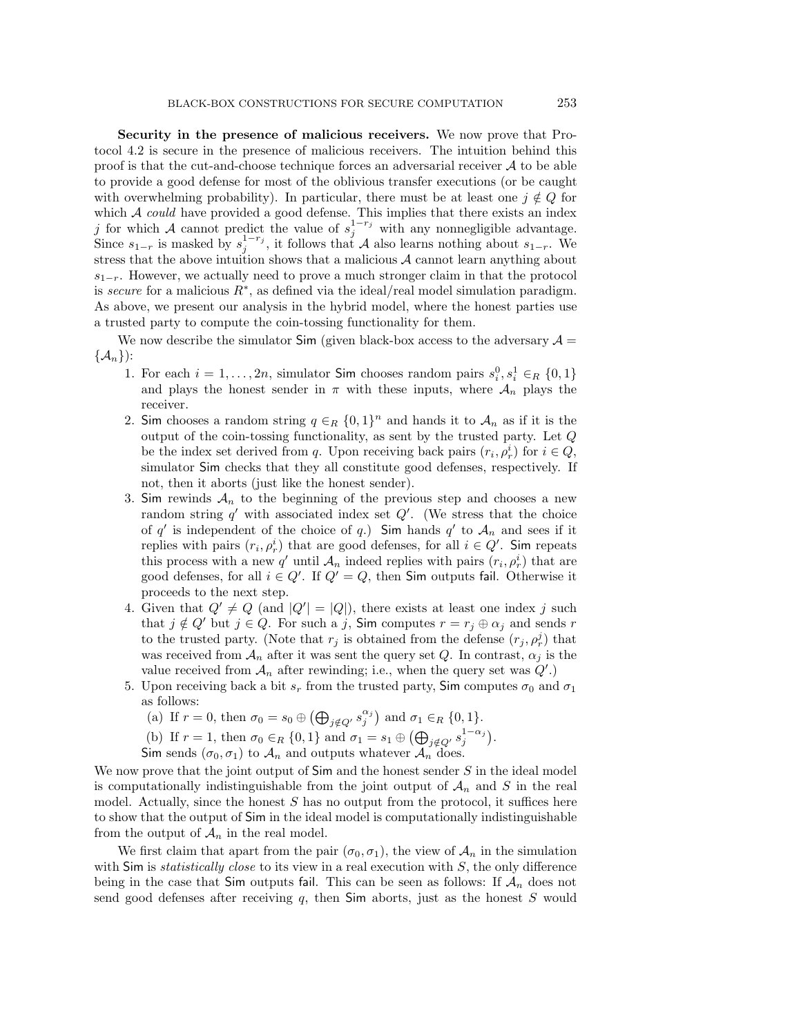Security in the presence of malicious receivers. We now prove that Protocol 4.2 is secure in the presence of malicious receivers. The intuition behind this proof is that the cut-and-choose technique forces an adversarial receiver  $A$  to be able to provide a good defense for most of the oblivious transfer executions (or be caught with overwhelming probability). In particular, there must be at least one  $j \notin Q$  for which A could have provided a good defense. This implies that there exists an index j for which A cannot predict the value of  $s_j^{1-r_j}$  with any nonnegligible advantage. Since  $s_{1-r}$  is masked by  $s_j^{1-r_j}$ , it follows that A also learns nothing about  $s_{1-r}$ . We stress that the above intuition shows that a malicious A cannot learn anything about  $s_{1-r}$ . However, we actually need to prove a much stronger claim in that the protocol is secure for a malicious  $R^*$ , as defined via the ideal/real model simulation paradigm. As above, we present our analysis in the hybrid model, where the honest parties use a trusted party to compute the coin-tossing functionality for them.

We now describe the simulator Sim (given black-box access to the adversary  $\mathcal{A} =$  $\{\mathcal{A}_n\}$ :

- 1. For each  $i = 1, ..., 2n$ , simulator Sim chooses random pairs  $s_i^0, s_i^1 \in_R \{0, 1\}$ and plays the honest sender in  $\pi$  with these inputs, where  $\mathcal{A}_n$  plays the receiver.
- 2. Sim chooses a random string  $q \in R \{0,1\}^n$  and hands it to  $\mathcal{A}_n$  as if it is the output of the coin-tossing functionality, as sent by the trusted party. Let Q be the index set derived from q. Upon receiving back pairs  $(r_i, \rho_r^i)$  for  $i \in Q$ , simulator Sim checks that they all constitute good defenses, respectively. If not, then it aborts (just like the honest sender).
- 3. Sim rewinds  $A_n$  to the beginning of the previous step and chooses a new random string  $q'$  with associated index set  $Q'$ . (We stress that the choice of q' is independent of the choice of q.) Sim hands  $q'$  to  $\mathcal{A}_n$  and sees if it replies with pairs  $(r_i, \rho_r^i)$  that are good defenses, for all  $i \in Q'$ . Sim repeats this process with a new q' until  $\mathcal{A}_n$  indeed replies with pairs  $(r_i, \rho_r^i)$  that are good defenses, for all  $i \in Q'$ . If  $Q' = Q$ , then Sim outputs fail. Otherwise it proceeds to the next step.
- 4. Given that  $Q' \neq Q$  (and  $|Q'| = |Q|$ ), there exists at least one index j such that  $j \notin Q'$  but  $j \in Q$ . For such a j, Sim computes  $r = r_j \oplus \alpha_j$  and sends r to the trusted party. (Note that  $r_j$  is obtained from the defense  $(r_j, \rho_r^j)$  that was received from  $\mathcal{A}_n$  after it was sent the query set Q. In contrast,  $\alpha_j$  is the value received from  $A_n$  after rewinding; i.e., when the query set was  $Q'$ .)
- 5. Upon receiving back a bit  $s_r$  from the trusted party, Sim computes  $\sigma_0$  and  $\sigma_1$ as follows:
	- (a) If  $r = 0$ , then  $\sigma_0 = s_0 \oplus (\bigoplus_{j \notin Q'} s_j^{\alpha_j})$  and  $\sigma_1 \in_R \{0, 1\}$ .
	- (b) If  $r = 1$ , then  $\sigma_0 \in_R \{0, 1\}$  and  $\sigma_1 = s_1 \oplus (\bigoplus_{j \notin Q'} s_j^{1-\alpha_j})$ .
	- Sim sends  $(\sigma_0, \sigma_1)$  to  $\mathcal{A}_n$  and outputs whatever  $\mathcal{A}_n$  does.

We now prove that the joint output of  $Sim$  and the honest sender  $S$  in the ideal model is computationally indistinguishable from the joint output of  $A_n$  and S in the real model. Actually, since the honest  $S$  has no output from the protocol, it suffices here to show that the output of Sim in the ideal model is computationally indistinguishable from the output of  $A_n$  in the real model.

We first claim that apart from the pair  $(\sigma_0, \sigma_1)$ , the view of  $\mathcal{A}_n$  in the simulation with Sim is *statistically close* to its view in a real execution with  $S$ , the only difference being in the case that Sim outputs fail. This can be seen as follows: If  $\mathcal{A}_n$  does not send good defenses after receiving  $q$ , then Sim aborts, just as the honest  $S$  would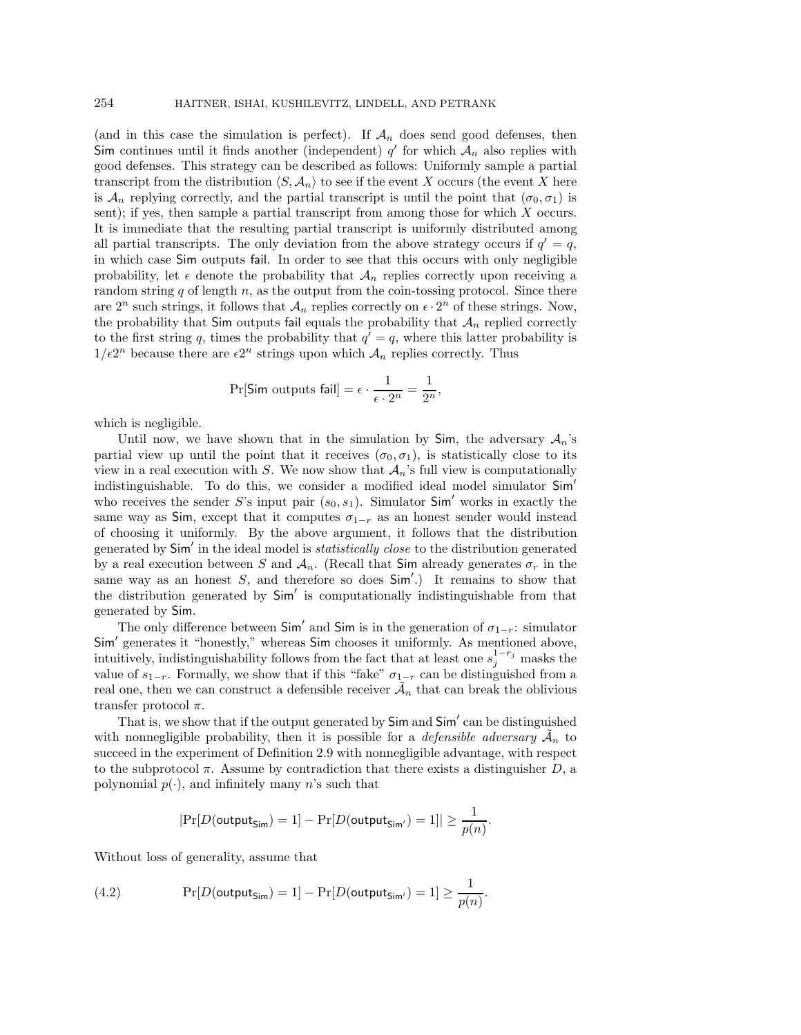(and in this case the simulation is perfect). If  $A_n$  does send good defenses, then Sim continues until it finds another (independent)  $q'$  for which  $A_n$  also replies with good defenses. This strategy can be described as follows: Uniformly sample a partial transcript from the distribution  $\langle S, A_n \rangle$  to see if the event X occurs (the event X here is  $\mathcal{A}_n$  replying correctly, and the partial transcript is until the point that  $(\sigma_0, \sigma_1)$  is sent); if yes, then sample a partial transcript from among those for which X occurs. It is immediate that the resulting partial transcript is uniformly distributed among all partial transcripts. The only deviation from the above strategy occurs if  $q' = q$ , in which case Sim outputs fail. In order to see that this occurs with only negligible probability, let  $\epsilon$  denote the probability that  $\mathcal{A}_n$  replies correctly upon receiving a random string q of length  $n$ , as the output from the coin-tossing protocol. Since there are  $2^n$  such strings, it follows that  $\mathcal{A}_n$  replies correctly on  $\epsilon \cdot 2^n$  of these strings. Now, the probability that Sim outputs fail equals the probability that  $A_n$  replied correctly to the first string q, times the probability that  $q' = q$ , where this latter probability is  $1/\epsilon 2^n$  because there are  $\epsilon 2^n$  strings upon which  $\mathcal{A}_n$  replies correctly. Thus

$$
\Pr[\textsf{Sim outputs fail}] = \epsilon \cdot \frac{1}{\epsilon \cdot 2^n} = \frac{1}{2^n},
$$

which is negligible.

Until now, we have shown that in the simulation by Sim, the adversary  $A_n$ 's partial view up until the point that it receives  $(\sigma_0, \sigma_1)$ , is statistically close to its view in a real execution with S. We now show that  $\mathcal{A}_n$ 's full view is computationally indistinguishable. To do this, we consider a modified ideal model simulator  $Sim'$ who receives the sender S's input pair  $(s_0, s_1)$ . Simulator Sim' works in exactly the same way as Sim, except that it computes  $\sigma_{1-r}$  as an honest sender would instead of choosing it uniformly. By the above argument, it follows that the distribution generated by  $Sim'$  in the ideal model is *statistically close* to the distribution generated by a real execution between S and  $\mathcal{A}_n$ . (Recall that Sim already generates  $\sigma_r$  in the same way as an honest  $S$ , and therefore so does  $\text{Sim}'$ . It remains to show that the distribution generated by  $Sim'$  is computationally indistinguishable from that generated by Sim.

The only difference between Sim' and Sim is in the generation of  $\sigma_{1-r}$ : simulator Sim' generates it "honestly," whereas Sim chooses it uniformly. As mentioned above, intuitively, indistinguishability follows from the fact that at least one  $s_j^{1-r_j}$  masks the value of  $s_{1-r}$ . Formally, we show that if this "fake"  $\sigma_{1-r}$  can be distinguished from a real one, then we can construct a defensible receiver  $\mathcal{A}_n$  that can break the oblivious transfer protocol  $\pi$ .

That is, we show that if the output generated by  $Sim$  and  $Sim'$  can be distinguished with nonnegligible probability, then it is possible for a *defensible adversary*  $A_n$  to succeed in the experiment of Definition 2.9 with nonnegligible advantage, with respect to the subprotocol  $\pi$ . Assume by contradiction that there exists a distinguisher D, a polynomial  $p(\cdot)$ , and infinitely many n's such that

$$
|\mathrm{Pr}[D(\mathsf{output}_{\mathsf{Sim}}) = 1] - \mathrm{Pr}[D(\mathsf{output}_{\mathsf{Sim}'}) = 1]| \geq \frac{1}{p(n)}.
$$

Without loss of generality, assume that

(4.2) 
$$
\Pr[D(\text{output}_{\text{Sim}}) = 1] - \Pr[D(\text{output}_{\text{Sim}'}) = 1] \ge \frac{1}{p(n)}.
$$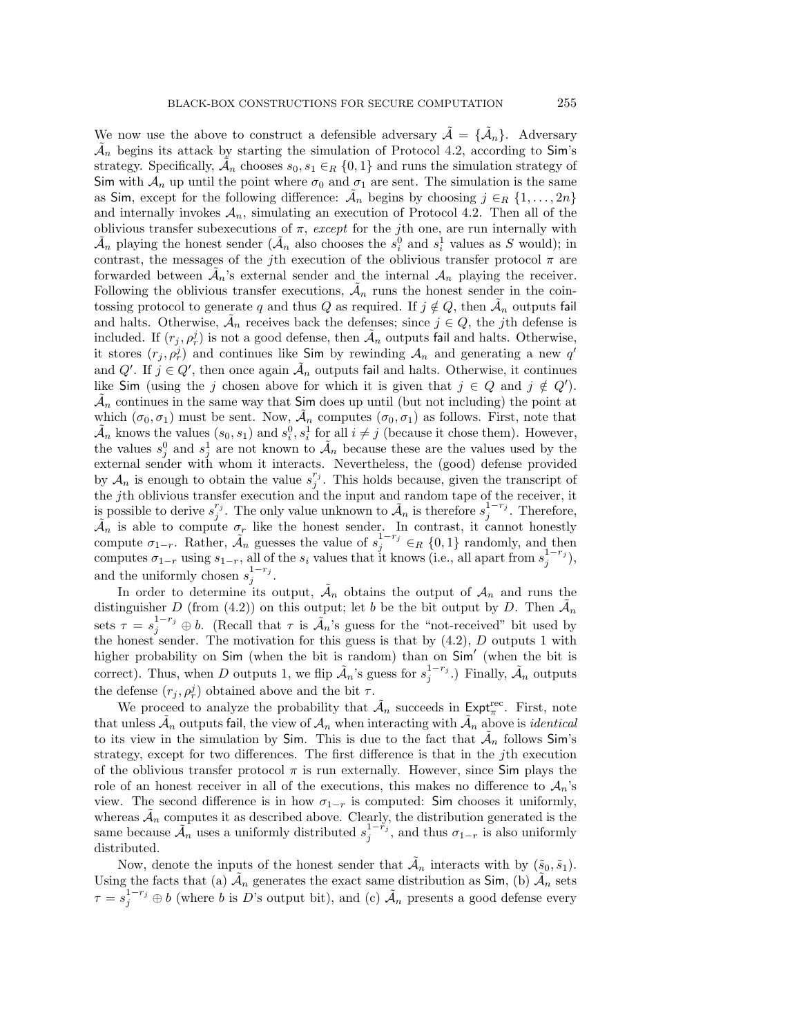We now use the above to construct a defensible adversary  $\tilde{A} = {\tilde{A}_n}$ . Adversary  $\tilde{\mathcal{A}}_n$  begins its attack by starting the simulation of Protocol 4.2, according to Sim's strategy. Specifically,  $A_n$  chooses  $s_0, s_1 \in_R \{0, 1\}$  and runs the simulation strategy of Sim with  $\mathcal{A}_n$  up until the point where  $\sigma_0$  and  $\sigma_1$  are sent. The simulation is the same as Sim, except for the following difference:  $\mathcal{A}_n$  begins by choosing  $j \in_R \{1, \ldots, 2n\}$ and internally invokes  $A_n$ , simulating an execution of Protocol 4.2. Then all of the oblivious transfer subexecutions of  $\pi$ , except for the jth one, are run internally with  $\tilde{A}_n$  playing the honest sender  $(\tilde{A}_n$  also chooses the  $s_i^0$  and  $s_i^1$  values as S would); in contrast, the messages of the jth execution of the oblivious transfer protocol  $\pi$  are forwarded between  $\mathcal{A}_n$ 's external sender and the internal  $\mathcal{A}_n$  playing the receiver. Following the oblivious transfer executions,  $A_n$  runs the honest sender in the cointossing protocol to generate q and thus Q as required. If  $j \notin Q$ , then  $\mathcal{A}_n$  outputs fail and halts. Otherwise,  $\mathcal{A}_n$  receives back the defenses; since  $j \in Q$ , the jth defense is included. If  $(r_j, \rho_r^j)$  is not a good defense, then  $\tilde{A}_n$  outputs fail and halts. Otherwise, it stores  $(r_j, \rho_r^j)$  and continues like  $\zeta$  im by rewinding  $\mathcal{A}_n$  and generating a new  $q'$ and Q'. If  $j \in Q'$ , then once again  $\tilde{A}_n$  outputs fail and halts. Otherwise, it continues like Sim (using the j chosen above for which it is given that  $j \in Q$  and  $j \notin Q'$ ).  $\mathcal{A}_n$  continues in the same way that Sim does up until (but not including) the point at which  $(\sigma_0, \sigma_1)$  must be sent. Now,  $\mathcal{A}_n$  computes  $(\sigma_0, \sigma_1)$  as follows. First, note that  $\tilde{\mathcal{A}}_n$  knows the values  $(s_0, s_1)$  and  $s_i^0, s_i^1$  for all  $i \neq j$  (because it chose them). However, the values  $s_j^0$  and  $s_j^1$  are not known to  $\tilde{A}_n$  because these are the values used by the external sender with whom it interacts. Nevertheless, the (good) defense provided by  $\mathcal{A}_n$  is enough to obtain the value  $s_j^{r_j}$ . This holds because, given the transcript of the jth oblivious transfer execution and the input and random tape of the receiver, it is possible to derive  $s_j^{r_j}$ . The only value unknown to  $\tilde{A}_n$  is therefore  $s_j^{1-r_j}$ . Therefore,  $\tilde{\mathcal{A}}_n$  is able to compute  $\sigma_r$  like the honest sender. In contrast, it cannot honestly compute  $\sigma_{1-r}$ . Rather,  $\tilde{\mathcal{A}}_n$  guesses the value of  $s_j^{1-r_j} \in_R \{0,1\}$  randomly, and then computes  $\sigma_{1-r}$  using  $s_{1-r}$ , all of the  $s_i$  values that it knows (i.e., all apart from  $s_j^{1-r_j}$ ), and the uniformly chosen  $s_j^{1-r_j}$ .

In order to determine its output,  $\tilde{\mathcal{A}}_n$  obtains the output of  $\mathcal{A}_n$  and runs the distinguisher D (from (4.2)) on this output; let b be the bit output by D. Then  $\mathcal{A}_n$ sets  $\tau = s_j^{1-r_j} \oplus b$ . (Recall that  $\tau$  is  $\tilde{A}_n$ 's guess for the "not-received" bit used by the honest sender. The motivation for this guess is that by  $(4.2)$ , D outputs 1 with higher probability on Sim (when the bit is random) than on Sim' (when the bit is correct). Thus, when D outputs 1, we flip  $\tilde{A}_n$ 's guess for  $s_j^{1-r_j}$ .) Finally,  $\tilde{A}_n$  outputs the defense  $(r_j, \rho_r^j)$  obtained above and the bit  $\tau$ .

We proceed to analyze the probability that  $\tilde{A}_n$  succeeds in  $\mathsf{\mathsf{Expt}}_{\pi}^{\text{rec}}$ . First, note that unless  $\mathcal{A}_n$  outputs fail, the view of  $\mathcal{A}_n$  when interacting with  $\mathcal{A}_n$  above is *identical* to its view in the simulation by Sim. This is due to the fact that  $A_n$  follows Sim's strategy, except for two differences. The first difference is that in the  $j$ th execution of the oblivious transfer protocol  $\pi$  is run externally. However, since Sim plays the role of an honest receiver in all of the executions, this makes no difference to  $\mathcal{A}_n$ 's view. The second difference is in how  $\sigma_{1-r}$  is computed: Sim chooses it uniformly, whereas  $A_n$  computes it as described above. Clearly, the distribution generated is the same because  $\tilde{A}_n$  uses a uniformly distributed  $s_j^{1-\tilde{r}_j}$ , and thus  $\sigma_{1-r}$  is also uniformly distributed.

Now, denote the inputs of the honest sender that  $\tilde{\mathcal{A}}_n$  interacts with by  $(\tilde{s}_0, \tilde{s}_1)$ . Using the facts that (a)  $A_n$  generates the exact same distribution as Sim, (b)  $A_n$  sets  $\tau = s_j^{1-r_j} \oplus b$  (where b is D's output bit), and (c)  $\tilde{A}_n$  presents a good defense every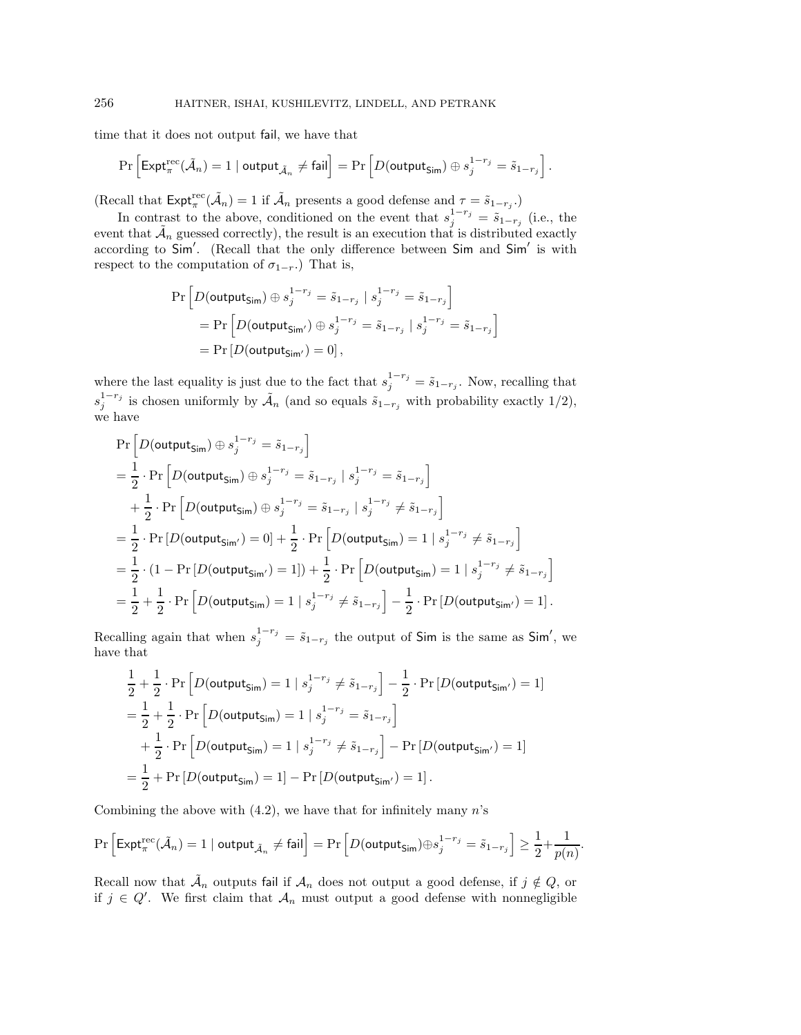time that it does not output fail, we have that

$$
\Pr\left[\mathsf{Expt}_{\pi}^{\mathrm{rec}}(\tilde{\mathcal{A}}_n) = 1 \mid \mathsf{output}_{\tilde{\mathcal{A}}_n} \neq \mathsf{fail}\right] = \Pr\left[D(\mathsf{output}_{\mathsf{Sim}}) \oplus s_j^{1-r_j} = \tilde{s}_{1-r_j}\right].
$$

(Recall that  $\text{Expt}_{\pi}^{\text{rec}}(\tilde{\mathcal{A}}_n) = 1$  if  $\tilde{\mathcal{A}}_n$  presents a good defense and  $\tau = \tilde{s}_{1-r_j}$ .)

In contrast to the above, conditioned on the event that  $s_j^{1-r_j} = \tilde{s}_{1-r_j}$  (i.e., the event that  $\tilde{\mathcal{A}}_n$  guessed correctly), the result is an execution that is distributed exactly according to Sim'. (Recall that the only difference between Sim and Sim' is with respect to the computation of  $\sigma_{1-r}$ .) That is,

$$
\begin{aligned} \Pr\Big[D(\mathsf{output}_{\mathsf{Sim}}) \oplus s_j^{1-r_j} = \tilde{s}_{1-r_j} \mid s_j^{1-r_j} = \tilde{s}_{1-r_j}\Big] \\ &= \Pr\Big[D(\mathsf{output}_{\mathsf{Sim}^\prime}) \oplus s_j^{1-r_j} = \tilde{s}_{1-r_j} \mid s_j^{1-r_j} = \tilde{s}_{1-r_j}\Big] \\ &= \Pr\big[D(\mathsf{output}_{\mathsf{Sim}^\prime}) = 0\big], \end{aligned}
$$

where the last equality is just due to the fact that  $s_j^{1-r_j} = \tilde{s}_{1-r_j}$ . Now, recalling that  $s_j^{1-r_j}$  is chosen uniformly by  $\tilde{A}_n$  (and so equals  $\tilde{s}_{1-r_j}$  with probability exactly 1/2), we have

$$
\begin{aligned} &\Pr\left[D(\textsf{output}_{\mathsf{Sim}}) \oplus s_{j}^{1-r_{j}} = \tilde{s}_{1-r_{j}}\right] \\ &= \frac{1}{2} \cdot \Pr\left[D(\textsf{output}_{\mathsf{Sim}}) \oplus s_{j}^{1-r_{j}} = \tilde{s}_{1-r_{j}} \mid s_{j}^{1-r_{j}} = \tilde{s}_{1-r_{j}}\right] \\ &+ \frac{1}{2} \cdot \Pr\left[D(\textsf{output}_{\mathsf{Sim}}) \oplus s_{j}^{1-r_{j}} = \tilde{s}_{1-r_{j}} \mid s_{j}^{1-r_{j}} \neq \tilde{s}_{1-r_{j}}\right] \\ &= \frac{1}{2} \cdot \Pr\left[D(\textsf{output}_{\mathsf{Sim}^{'}}) = 0\right] + \frac{1}{2} \cdot \Pr\left[D(\textsf{output}_{\mathsf{Sim}}) = 1 \mid s_{j}^{1-r_{j}} \neq \tilde{s}_{1-r_{j}}\right] \\ &= \frac{1}{2} \cdot (1 - \Pr\left[D(\textsf{output}_{\mathsf{Sim}^{'}}) = 1\right]) + \frac{1}{2} \cdot \Pr\left[D(\textsf{output}_{\mathsf{Sim}}) = 1 \mid s_{j}^{1-r_{j}} \neq \tilde{s}_{1-r_{j}}\right] \\ &= \frac{1}{2} + \frac{1}{2} \cdot \Pr\left[D(\textsf{output}_{\mathsf{Sim}}) = 1 \mid s_{j}^{1-r_{j}} \neq \tilde{s}_{1-r_{j}}\right] - \frac{1}{2} \cdot \Pr\left[D(\textsf{output}_{\mathsf{Sim}^{'}}) = 1\right]. \end{aligned}
$$

Recalling again that when  $s_j^{1-r_j} = \tilde{s}_{1-r_j}$  the output of Sim is the same as Sim', we have that

$$
\frac{1}{2} + \frac{1}{2} \cdot \Pr \left[ D(\text{output}_{\text{Sim}}) = 1 \mid s_j^{1-r_j} \neq \tilde{s}_{1-r_j} \right] - \frac{1}{2} \cdot \Pr \left[ D(\text{output}_{\text{Sim}'}) = 1 \right]
$$
\n
$$
= \frac{1}{2} + \frac{1}{2} \cdot \Pr \left[ D(\text{output}_{\text{Sim}}) = 1 \mid s_j^{1-r_j} = \tilde{s}_{1-r_j} \right]
$$
\n
$$
+ \frac{1}{2} \cdot \Pr \left[ D(\text{output}_{\text{Sim}}) = 1 \mid s_j^{1-r_j} \neq \tilde{s}_{1-r_j} \right] - \Pr \left[ D(\text{output}_{\text{Sim}'}) = 1 \right]
$$
\n
$$
= \frac{1}{2} + \Pr \left[ D(\text{output}_{\text{Sim}}) = 1 \right] - \Pr \left[ D(\text{output}_{\text{Sim}'}) = 1 \right].
$$

Combining the above with  $(4.2)$ , we have that for infinitely many n's

$$
\Pr\left[\mathsf{Expt}^{\mathrm{rec}}_{\pi}(\tilde{\mathcal{A}}_n) = 1 \mid \mathsf{output}_{\tilde{\mathcal{A}}_n} \neq \mathsf{fail}\right] = \Pr\left[D(\mathsf{output}_{\mathsf{Sim}}) \oplus s_j^{1-r_j} = \tilde{s}_{1-r_j}\right] \geq \frac{1}{2} + \frac{1}{p(n)}.
$$

Recall now that  $\tilde{\mathcal{A}}_n$  outputs fail if  $\mathcal{A}_n$  does not output a good defense, if  $j \notin Q$ , or if  $j \in Q'$ . We first claim that  $\mathcal{A}_n$  must output a good defense with nonnegligible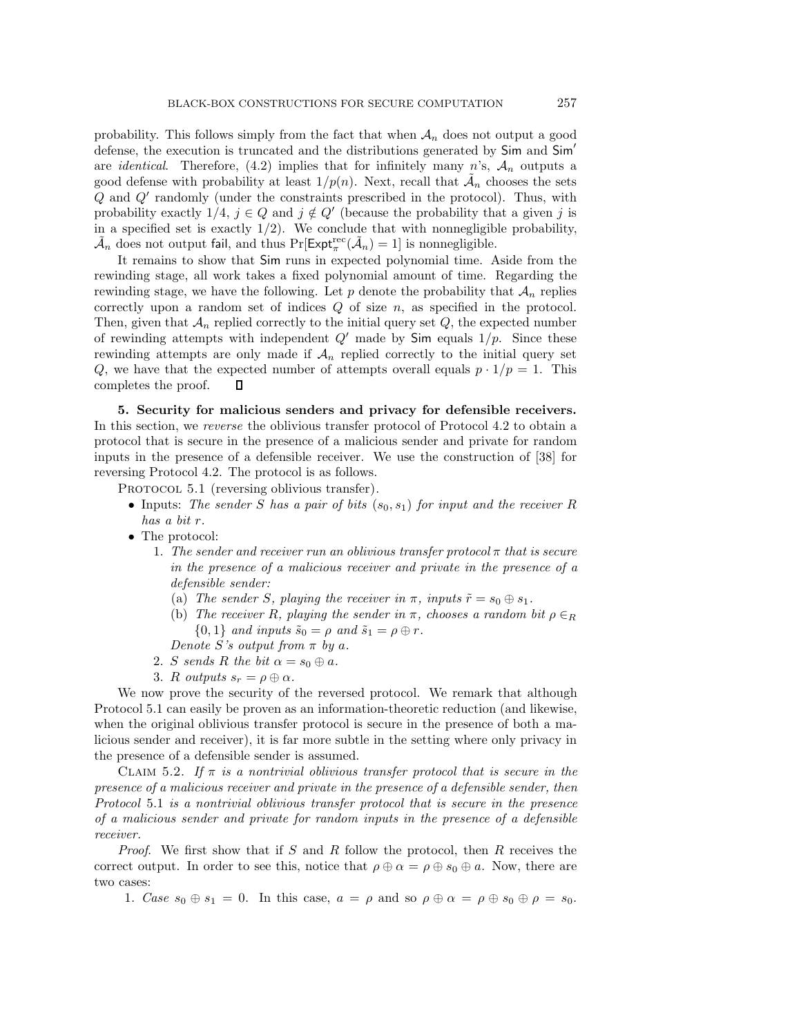probability. This follows simply from the fact that when  $A_n$  does not output a good defense, the execution is truncated and the distributions generated by Sim and Sim% are *identical.* Therefore,  $(4.2)$  implies that for infinitely many n's,  $\mathcal{A}_n$  outputs a good defense with probability at least  $1/p(n)$ . Next, recall that  $\mathcal{A}_n$  chooses the sets  $Q$  and  $Q'$  randomly (under the constraints prescribed in the protocol). Thus, with probability exactly 1/4,  $j \in Q$  and  $j \notin Q'$  (because the probability that a given j is in a specified set is exactly  $1/2$ ). We conclude that with nonnegligible probability,  $\tilde{\mathcal{A}}_n$  does not output fail, and thus  $Pr[\text{Expt}_{\pi}^{\text{rec}}(\tilde{\mathcal{A}}_n) = 1]$  is nonnegligible.

It remains to show that Sim runs in expected polynomial time. Aside from the rewinding stage, all work takes a fixed polynomial amount of time. Regarding the rewinding stage, we have the following. Let  $p$  denote the probability that  $\mathcal{A}_n$  replies correctly upon a random set of indices  $Q$  of size  $n$ , as specified in the protocol. Then, given that  $\mathcal{A}_n$  replied correctly to the initial query set  $Q$ , the expected number of rewinding attempts with independent  $Q'$  made by Sim equals  $1/p$ . Since these rewinding attempts are only made if  $A_n$  replied correctly to the initial query set Q, we have that the expected number of attempts overall equals  $p \cdot 1/p = 1$ . This completes the proof.  $\Box$ completes the proof.

5. Security for malicious senders and privacy for defensible receivers. In this section, we reverse the oblivious transfer protocol of Protocol 4.2 to obtain a protocol that is secure in the presence of a malicious sender and private for random inputs in the presence of a defensible receiver. We use the construction of [38] for reversing Protocol 4.2. The protocol is as follows.

PROTOCOL 5.1 (reversing oblivious transfer).

- Inputs: The sender S has a pair of bits  $(s_0, s_1)$  for input and the receiver R has a bit r.
- The protocol:
	- 1. The sender and receiver run an oblivious transfer protocol  $\pi$  that is secure in the presence of a malicious receiver and private in the presence of a defensible sender:
		- (a) The sender S, playing the receiver in  $\pi$ , inputs  $\tilde{r} = s_0 \oplus s_1$ .
		- (b) The receiver R, playing the sender in  $\pi$ , chooses a random bit  $\rho \in_R$  $\{0,1\}$  and inputs  $\tilde{s}_0 = \rho$  and  $\tilde{s}_1 = \rho \oplus r$ .
	- Denote S's output from  $\pi$  by a.
	- 2. S sends R the bit  $\alpha = s_0 \oplus a$ .
	- 3. R outputs  $s_r = \rho \oplus \alpha$ .

We now prove the security of the reversed protocol. We remark that although Protocol 5.1 can easily be proven as an information-theoretic reduction (and likewise, when the original oblivious transfer protocol is secure in the presence of both a malicious sender and receiver), it is far more subtle in the setting where only privacy in the presence of a defensible sender is assumed.

CLAIM 5.2. If  $\pi$  is a nontrivial oblivious transfer protocol that is secure in the presence of a malicious receiver and private in the presence of a defensible sender, then Protocol 5.1 is a nontrivial oblivious transfer protocol that is secure in the presence of a malicious sender and private for random inputs in the presence of a defensible receiver.

*Proof.* We first show that if S and R follow the protocol, then R receives the correct output. In order to see this, notice that  $\rho \oplus \alpha = \rho \oplus s_0 \oplus a$ . Now, there are two cases:

1. Case  $s_0 \oplus s_1 = 0$ . In this case,  $a = \rho$  and so  $\rho \oplus \alpha = \rho \oplus s_0 \oplus \rho = s_0$ .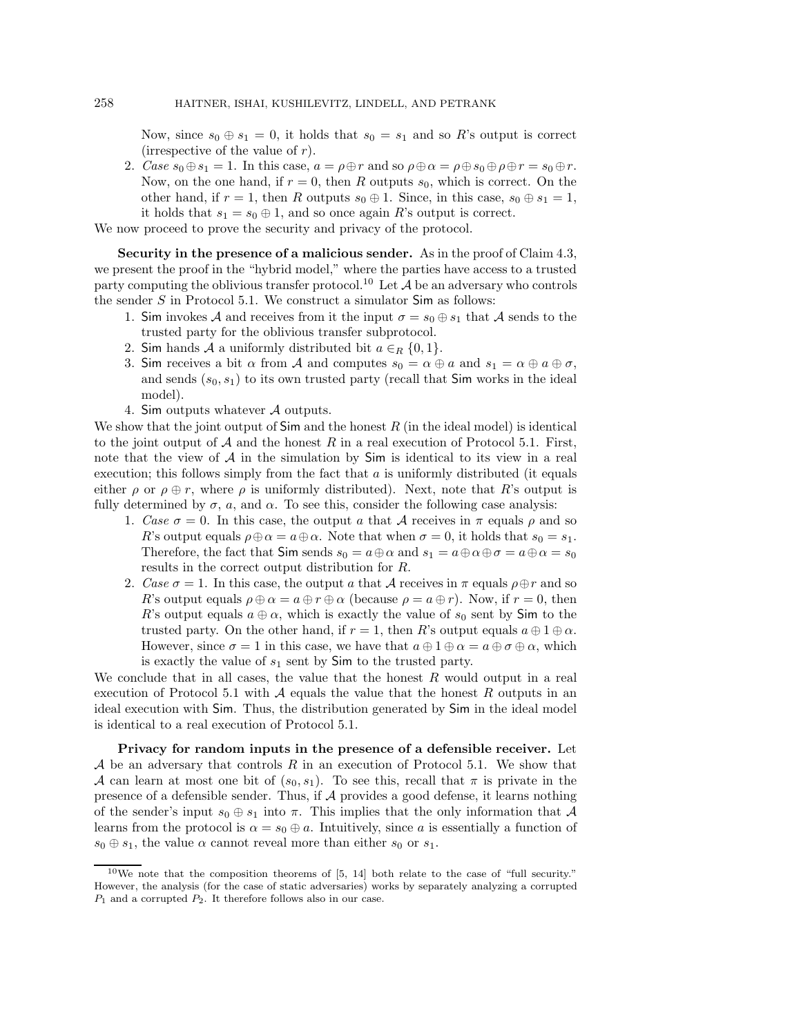Now, since  $s_0 \oplus s_1 = 0$ , it holds that  $s_0 = s_1$  and so R's output is correct (irrespective of the value of  $r$ ).

2. Case  $s_0 \oplus s_1 = 1$ . In this case,  $a = \rho \oplus r$  and so  $\rho \oplus \alpha = \rho \oplus s_0 \oplus \rho \oplus r = s_0 \oplus r$ . Now, on the one hand, if  $r = 0$ , then R outputs  $s_0$ , which is correct. On the other hand, if  $r = 1$ , then R outputs  $s_0 \oplus 1$ . Since, in this case,  $s_0 \oplus s_1 = 1$ , it holds that  $s_1 = s_0 \oplus 1$ , and so once again R's output is correct.

We now proceed to prove the security and privacy of the protocol.

Security in the presence of a malicious sender. As in the proof of Claim 4.3, we present the proof in the "hybrid model," where the parties have access to a trusted party computing the oblivious transfer protocol.<sup>10</sup> Let  $A$  be an adversary who controls the sender  $S$  in Protocol 5.1. We construct a simulator  $Sim$  as follows:

- 1. Sim invokes A and receives from it the input  $\sigma = s_0 \oplus s_1$  that A sends to the trusted party for the oblivious transfer subprotocol.
- 2. Sim hands A a uniformly distributed bit  $a \in_R \{0, 1\}$ .
- 3. Sim receives a bit  $\alpha$  from A and computes  $s_0 = \alpha \oplus a$  and  $s_1 = \alpha \oplus a \oplus \sigma$ , and sends  $(s_0, s_1)$  to its own trusted party (recall that Sim works in the ideal model).
- 4. Sim outputs whatever A outputs.

We show that the joint output of  $Sim$  and the honest  $R$  (in the ideal model) is identical to the joint output of  $A$  and the honest R in a real execution of Protocol 5.1. First, note that the view of  $A$  in the simulation by  $Sim$  is identical to its view in a real execution; this follows simply from the fact that  $a$  is uniformly distributed (it equals either  $\rho$  or  $\rho \oplus r$ , where  $\rho$  is uniformly distributed). Next, note that R's output is fully determined by  $\sigma$ ,  $\alpha$ , and  $\alpha$ . To see this, consider the following case analysis:

- 1. Case  $\sigma = 0$ . In this case, the output a that A receives in  $\pi$  equals  $\rho$  and so R's output equals  $\rho \oplus \alpha = a \oplus \alpha$ . Note that when  $\sigma = 0$ , it holds that  $s_0 = s_1$ . Therefore, the fact that Sim sends  $s_0 = a \oplus \alpha$  and  $s_1 = a \oplus \alpha \oplus \alpha = a \oplus \alpha = s_0$ results in the correct output distribution for R.
- 2. Case  $\sigma = 1$ . In this case, the output a that A receives in  $\pi$  equals  $\rho \oplus r$  and so R's output equals  $\rho \oplus \alpha = a \oplus r \oplus \alpha$  (because  $\rho = a \oplus r$ ). Now, if  $r = 0$ , then R's output equals  $a \oplus \alpha$ , which is exactly the value of  $s_0$  sent by Sim to the trusted party. On the other hand, if  $r = 1$ , then R's output equals  $a \oplus 1 \oplus \alpha$ . However, since  $\sigma = 1$  in this case, we have that  $a \oplus 1 \oplus \alpha = a \oplus \sigma \oplus \alpha$ , which is exactly the value of  $s_1$  sent by  $Sim$  to the trusted party.

We conclude that in all cases, the value that the honest  $R$  would output in a real execution of Protocol 5.1 with  $A$  equals the value that the honest  $R$  outputs in an ideal execution with Sim. Thus, the distribution generated by Sim in the ideal model is identical to a real execution of Protocol 5.1.

Privacy for random inputs in the presence of a defensible receiver. Let A be an adversary that controls R in an execution of Protocol 5.1. We show that A can learn at most one bit of  $(s_0, s_1)$ . To see this, recall that  $\pi$  is private in the presence of a defensible sender. Thus, if  $A$  provides a good defense, it learns nothing of the sender's input  $s_0 \oplus s_1$  into  $\pi$ . This implies that the only information that A learns from the protocol is  $\alpha = s_0 \oplus a$ . Intuitively, since a is essentially a function of  $s_0 \oplus s_1$ , the value  $\alpha$  cannot reveal more than either  $s_0$  or  $s_1$ .

<sup>&</sup>lt;sup>10</sup>We note that the composition theorems of  $[5, 14]$  both relate to the case of "full security." However, the analysis (for the case of static adversaries) works by separately analyzing a corrupted  $P_1$  and a corrupted  $P_2$ . It therefore follows also in our case.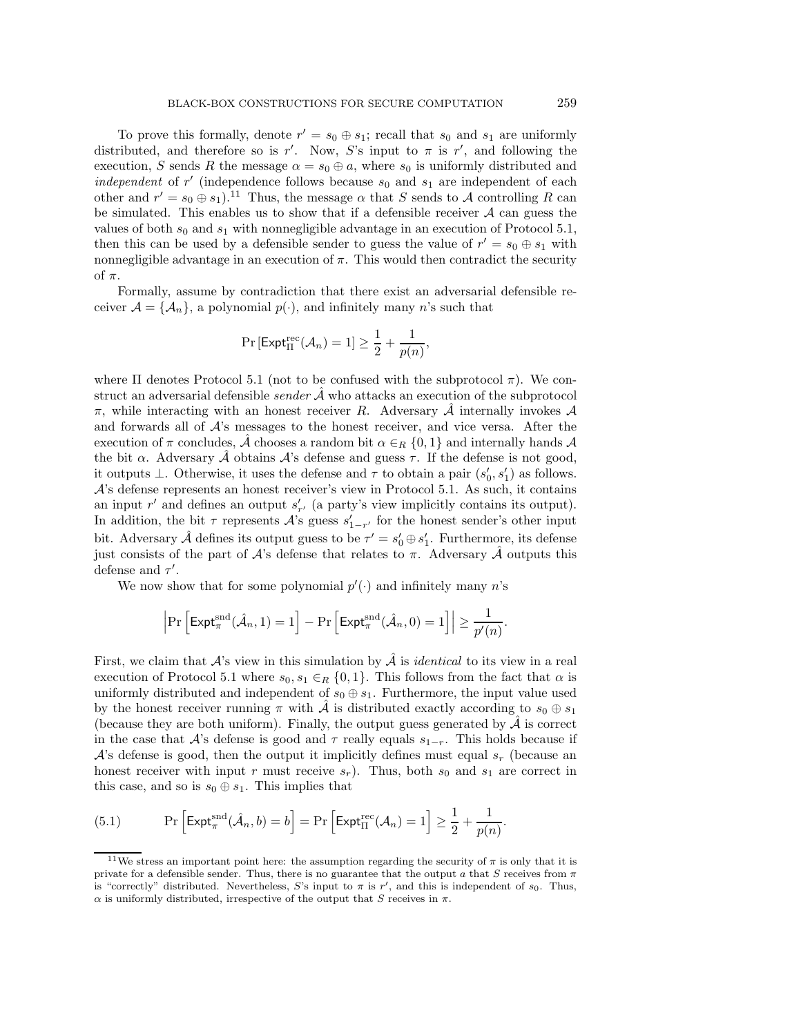To prove this formally, denote  $r' = s_0 \oplus s_1$ ; recall that  $s_0$  and  $s_1$  are uniformly distributed, and therefore so is r'. Now, S's input to  $\pi$  is r', and following the execution, S sends R the message  $\alpha = s_0 \oplus a$ , where  $s_0$  is uniformly distributed and independent of  $r'$  (independence follows because  $s_0$  and  $s_1$  are independent of each other and  $r' = s_0 \oplus s_1$ .<sup>11</sup> Thus, the message  $\alpha$  that S sends to A controlling R can be simulated. This enables us to show that if a defensible receiver  $A$  can guess the values of both  $s_0$  and  $s_1$  with nonnegligible advantage in an execution of Protocol 5.1, then this can be used by a defensible sender to guess the value of  $r' = s_0 \oplus s_1$  with nonnegligible advantage in an execution of  $\pi$ . This would then contradict the security of  $\pi$ .

Formally, assume by contradiction that there exist an adversarial defensible receiver  $\mathcal{A} = {\mathcal{A}_n}$ , a polynomial  $p(\cdot)$ , and infinitely many n's such that

$$
\Pr\left[\mathsf{Expt}^{\mathrm{rec}}_{\Pi}(\mathcal{A}_n)=1\right]\geq \frac{1}{2}+\frac{1}{p(n)},
$$

where  $\Pi$  denotes Protocol 5.1 (not to be confused with the subprotocol  $\pi$ ). We construct an adversarial defensible *sender*  $\tilde{\mathcal{A}}$  who attacks an execution of the subprotocol  $\pi$ , while interacting with an honest receiver R. Adversary  $\tilde{\mathcal{A}}$  internally invokes  $\mathcal{A}$ and forwards all of  $\mathcal{A}$ 's messages to the honest receiver, and vice versa. After the execution of  $\pi$  concludes, A chooses a random bit  $\alpha \in_R \{0,1\}$  and internally hands A the bit  $\alpha$ . Adversary A obtains A's defense and guess  $\tau$ . If the defense is not good, it outputs  $\perp$ . Otherwise, it uses the defense and  $\tau$  to obtain a pair  $(s'_0, s'_1)$  as follows. A's defense represents an honest receiver's view in Protocol 5.1. As such, it contains an input  $r'$  and defines an output  $s'_{r'}$  (a party's view implicitly contains its output). In addition, the bit  $\tau$  represents  $\mathcal{A}$ 's guess  $s'_{1-r'}$  for the honest sender's other input bit. Adversary  $\hat{\mathcal{A}}$  defines its output guess to be  $\tau' = s'_0 \oplus s'_1$ . Furthermore, its defense just consists of the part of  $\mathcal{A}$ 's defense that relates to  $\pi$ . Adversary  $\tilde{\mathcal{A}}$  outputs this defense and  $\tau'$ .

We now show that for some polynomial  $p'(\cdot)$  and infinitely many n's

$$
\left|\Pr\left[\mathsf{Expt}^{\text{snd}}_{\pi}(\hat{\mathcal{A}}_n,1)=1\right]-\Pr\left[\mathsf{Expt}^{\text{snd}}_{\pi}(\hat{\mathcal{A}}_n,0)=1\right]\right|\geq \frac{1}{p'(n)}.
$$

First, we claim that A's view in this simulation by  $\hat{A}$  is *identical* to its view in a real execution of Protocol 5.1 where  $s_0, s_1 \in_R \{0, 1\}$ . This follows from the fact that  $\alpha$  is uniformly distributed and independent of  $s_0 \oplus s_1$ . Furthermore, the input value used by the honest receiver running  $\pi$  with  $\tilde{A}$  is distributed exactly according to  $s_0 \oplus s_1$ (because they are both uniform). Finally, the output guess generated by  $\tilde{\mathcal{A}}$  is correct in the case that A's defense is good and  $\tau$  really equals  $s_{1-r}$ . This holds because if  $\mathcal{A}$ 's defense is good, then the output it implicitly defines must equal  $s_r$  (because an honest receiver with input r must receive  $s_r$ ). Thus, both  $s_0$  and  $s_1$  are correct in this case, and so is  $s_0 \oplus s_1$ . This implies that

(5.1) 
$$
\Pr\left[\mathsf{Expt}_{\pi}^{\mathrm{snd}}(\hat{\mathcal{A}}_n, b) = b\right] = \Pr\left[\mathsf{Expt}_{\Pi}^{\mathrm{rec}}(\mathcal{A}_n) = 1\right] \ge \frac{1}{2} + \frac{1}{p(n)}.
$$

 $11$ We stress an important point here: the assumption regarding the security of  $\pi$  is only that it is private for a defensible sender. Thus, there is no guarantee that the output a that S receives from  $\pi$ is "correctly" distributed. Nevertheless, S's input to  $\pi$  is r', and this is independent of  $s_0$ . Thus,  $\alpha$  is uniformly distributed, irrespective of the output that  $S$  receives in  $\pi.$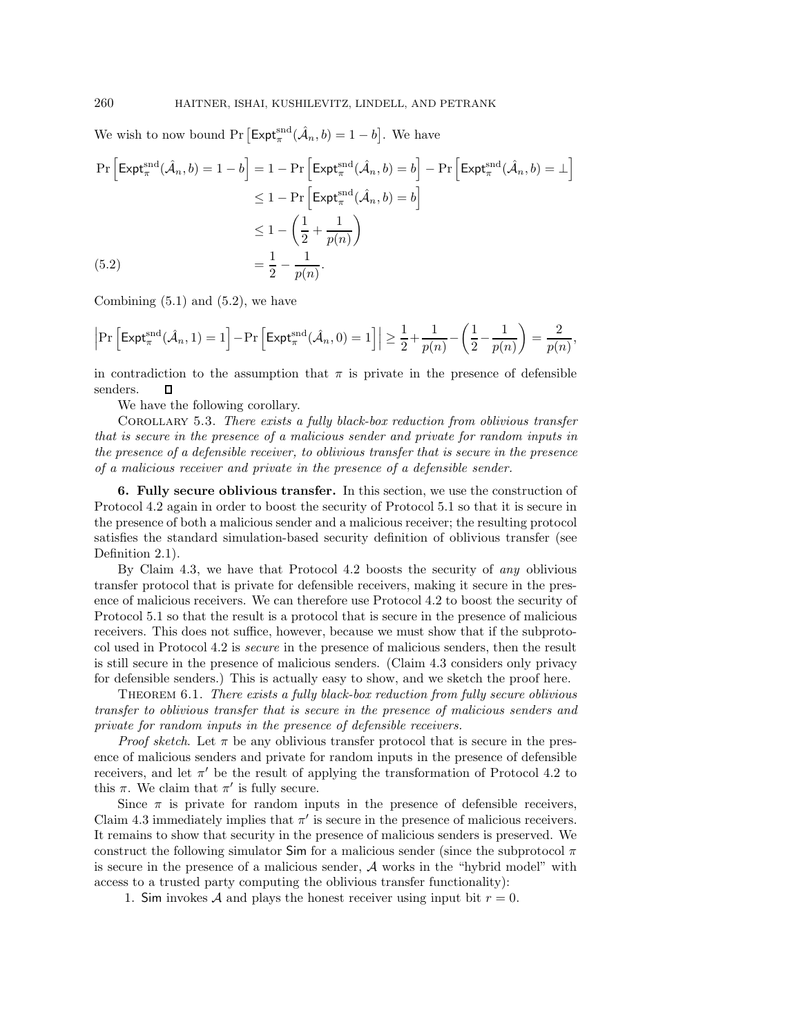We wish to now bound  $Pr\left[\text{Expt}_{\pi}^{\text{snd}}(\hat{\mathcal{A}}_n, b) = 1 - b\right]$ . We have

$$
\Pr\left[\text{Expt}_{\pi}^{\text{snd}}(\hat{\mathcal{A}}_n, b) = 1 - b\right] = 1 - \Pr\left[\text{Expt}_{\pi}^{\text{snd}}(\hat{\mathcal{A}}_n, b) = b\right] - \Pr\left[\text{Expt}_{\pi}^{\text{snd}}(\hat{\mathcal{A}}_n, b) = \bot\right]
$$

$$
\leq 1 - \Pr\left[\text{Expt}_{\pi}^{\text{snd}}(\hat{\mathcal{A}}_n, b) = b\right]
$$

$$
\leq 1 - \left(\frac{1}{2} + \frac{1}{p(n)}\right)
$$

$$
(5.2)
$$

$$
= \frac{1}{2} - \frac{1}{p(n)}.
$$

Combining  $(5.1)$  and  $(5.2)$ , we have

$$
\left|\Pr\left[\mathsf{Expt}^{\text{snd}}_{\pi}(\hat{\mathcal{A}}_n,1)=1\right]-\Pr\left[\mathsf{Expt}^{\text{snd}}_{\pi}(\hat{\mathcal{A}}_n,0)=1\right]\right|\geq \frac{1}{2}+\frac{1}{p(n)}-\left(\frac{1}{2}-\frac{1}{p(n)}\right)=\frac{2}{p(n)},
$$

in contradiction to the assumption that  $\pi$  is private in the presence of defensible senders. П

We have the following corollary.

Corollary 5.3. There exists a fully black-box reduction from oblivious transfer that is secure in the presence of a malicious sender and private for random inputs in the presence of a defensible receiver, to oblivious transfer that is secure in the presence of a malicious receiver and private in the presence of a defensible sender.

6. Fully secure oblivious transfer. In this section, we use the construction of Protocol 4.2 again in order to boost the security of Protocol 5.1 so that it is secure in the presence of both a malicious sender and a malicious receiver; the resulting protocol satisfies the standard simulation-based security definition of oblivious transfer (see Definition 2.1).

By Claim 4.3, we have that Protocol 4.2 boosts the security of any oblivious transfer protocol that is private for defensible receivers, making it secure in the presence of malicious receivers. We can therefore use Protocol 4.2 to boost the security of Protocol 5.1 so that the result is a protocol that is secure in the presence of malicious receivers. This does not suffice, however, because we must show that if the subprotocol used in Protocol 4.2 is secure in the presence of malicious senders, then the result is still secure in the presence of malicious senders. (Claim 4.3 considers only privacy for defensible senders.) This is actually easy to show, and we sketch the proof here.

Theorem 6.1. There exists a fully black-box reduction from fully secure oblivious transfer to oblivious transfer that is secure in the presence of malicious senders and private for random inputs in the presence of defensible receivers.

*Proof sketch.* Let  $\pi$  be any oblivious transfer protocol that is secure in the presence of malicious senders and private for random inputs in the presence of defensible receivers, and let  $\pi'$  be the result of applying the transformation of Protocol 4.2 to this  $\pi$ . We claim that  $\pi'$  is fully secure.

Since  $\pi$  is private for random inputs in the presence of defensible receivers, Claim 4.3 immediately implies that  $\pi'$  is secure in the presence of malicious receivers. It remains to show that security in the presence of malicious senders is preserved. We construct the following simulator Sim for a malicious sender (since the subprotocol  $\pi$ is secure in the presence of a malicious sender, A works in the "hybrid model" with access to a trusted party computing the oblivious transfer functionality):

1. Sim invokes A and plays the honest receiver using input bit  $r = 0$ .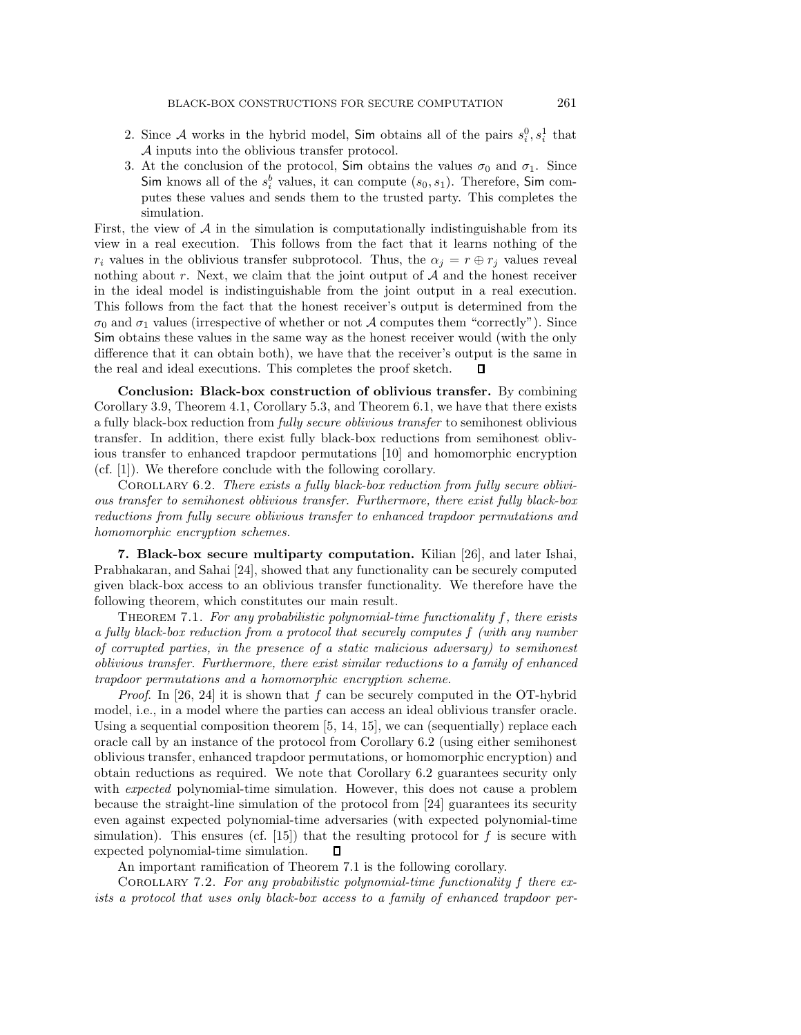- 2. Since A works in the hybrid model, Sim obtains all of the pairs  $s_i^0, s_i^1$  that A inputs into the oblivious transfer protocol.
- 3. At the conclusion of the protocol, Sim obtains the values  $\sigma_0$  and  $\sigma_1$ . Since Sim knows all of the  $s_i^b$  values, it can compute  $(s_0, s_1)$ . Therefore, Sim computes these values and sends them to the trusted party. This completes the simulation.

First, the view of  $A$  in the simulation is computationally indistinguishable from its view in a real execution. This follows from the fact that it learns nothing of the  $r_i$  values in the oblivious transfer subprotocol. Thus, the  $\alpha_i = r \oplus r_i$  values reveal nothing about r. Next, we claim that the joint output of  $A$  and the honest receiver in the ideal model is indistinguishable from the joint output in a real execution. This follows from the fact that the honest receiver's output is determined from the  $\sigma_0$  and  $\sigma_1$  values (irrespective of whether or not A computes them "correctly"). Since Sim obtains these values in the same way as the honest receiver would (with the only difference that it can obtain both), we have that the receiver's output is the same in the real and ideal executions. This completes the proof sketch.  $\Box$ 

Conclusion: Black-box construction of oblivious transfer. By combining Corollary 3.9, Theorem 4.1, Corollary 5.3, and Theorem 6.1, we have that there exists a fully black-box reduction from fully secure oblivious transfer to semihonest oblivious transfer. In addition, there exist fully black-box reductions from semihonest oblivious transfer to enhanced trapdoor permutations [10] and homomorphic encryption (cf. [1]). We therefore conclude with the following corollary.

Corollary 6.2. There exists a fully black-box reduction from fully secure oblivious transfer to semihonest oblivious transfer. Furthermore, there exist fully black-box reductions from fully secure oblivious transfer to enhanced trapdoor permutations and homomorphic encryption schemes.

7. Black-box secure multiparty computation. Kilian [26], and later Ishai, Prabhakaran, and Sahai [24], showed that any functionality can be securely computed given black-box access to an oblivious transfer functionality. We therefore have the following theorem, which constitutes our main result.

THEOREM 7.1. For any probabilistic polynomial-time functionality  $f$ , there exists a fully black-box reduction from a protocol that securely computes f (with any number of corrupted parties, in the presence of a static malicious adversary) to semihonest oblivious transfer. Furthermore, there exist similar reductions to a family of enhanced trapdoor permutations and a homomorphic encryption scheme.

*Proof.* In [26, 24] it is shown that f can be securely computed in the OT-hybrid model, i.e., in a model where the parties can access an ideal oblivious transfer oracle. Using a sequential composition theorem  $[5, 14, 15]$ , we can (sequentially) replace each oracle call by an instance of the protocol from Corollary 6.2 (using either semihonest oblivious transfer, enhanced trapdoor permutations, or homomorphic encryption) and obtain reductions as required. We note that Corollary 6.2 guarantees security only with *expected* polynomial-time simulation. However, this does not cause a problem because the straight-line simulation of the protocol from [24] guarantees its security even against expected polynomial-time adversaries (with expected polynomial-time simulation). This ensures (cf. [15]) that the resulting protocol for  $f$  is secure with expected polynomial-time simulation.  $\Box$ 

An important ramification of Theorem 7.1 is the following corollary.

COROLLARY 7.2. For any probabilistic polynomial-time functionality f there exists a protocol that uses only black-box access to a family of enhanced trapdoor per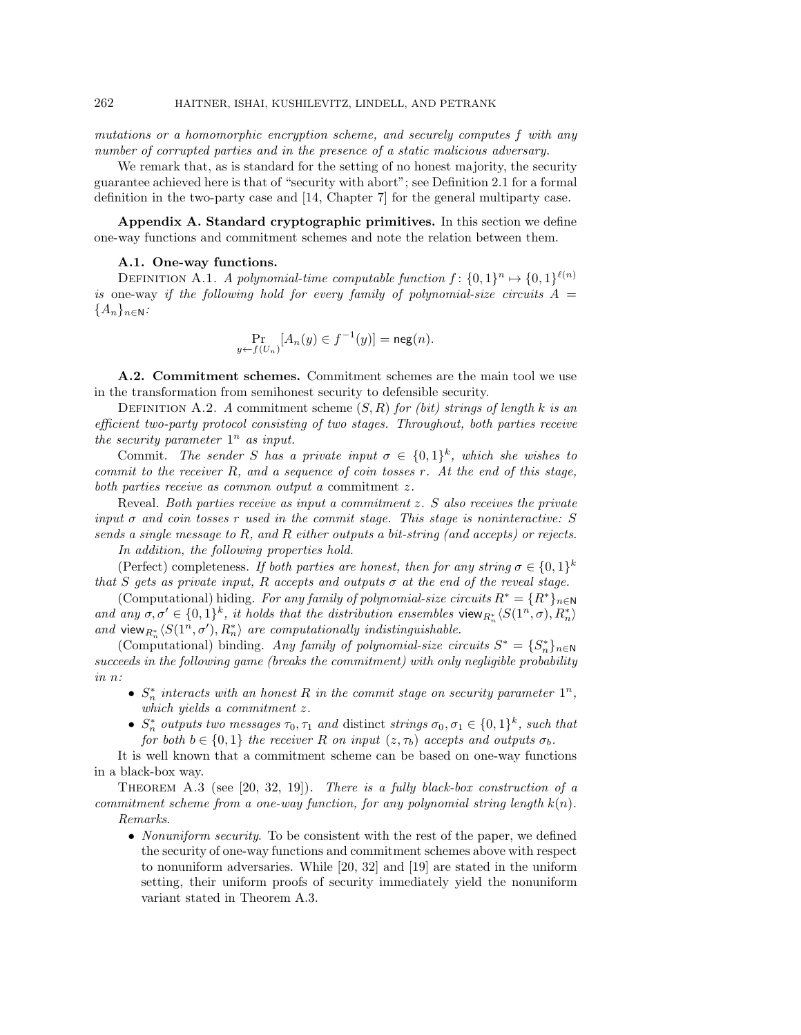mutations or a homomorphic encryption scheme, and securely computes f with any number of corrupted parties and in the presence of a static malicious adversary.

We remark that, as is standard for the setting of no honest majority, the security guarantee achieved here is that of "security with abort"; see Definition 2.1 for a formal definition in the two-party case and [14, Chapter 7] for the general multiparty case.

Appendix A. Standard cryptographic primitives. In this section we define one-way functions and commitment schemes and note the relation between them.

### A.1. One-way functions.

DEFINITION A.1. A polynomial-time computable function  $f: \{0,1\}^n \mapsto \{0,1\}^{\ell(n)}$ is one-way if the following hold for every family of polynomial-size circuits  $A =$  ${A_n}_{n\in\mathbb{N}}$ :

$$
\Pr_{y \leftarrow f(U_n)}[A_n(y) \in f^{-1}(y)] = \operatorname{neg}(n).
$$

A.2. Commitment schemes. Commitment schemes are the main tool we use in the transformation from semihonest security to defensible security.

DEFINITION A.2. A commitment scheme  $(S, R)$  for (bit) strings of length k is an efficient two-party protocol consisting of two stages. Throughout, both parties receive the security parameter  $1^n$  as input.

Commit. The sender S has a private input  $\sigma \in \{0,1\}^k$ , which she wishes to commit to the receiver  $R$ , and a sequence of coin tosses r. At the end of this stage, both parties receive as common output a commitment z.

Reveal. Both parties receive as input a commitment z. S also receives the private input  $\sigma$  and coin tosses r used in the commit stage. This stage is noninteractive: S sends a single message to R, and R either outputs a bit-string (and accepts) or rejects.

In addition, the following properties hold.

(Perfect) completeness. If both parties are honest, then for any string  $\sigma \in \{0,1\}^k$ that S gets as private input, R accepts and outputs  $\sigma$  at the end of the reveal stage.

(Computational) hiding. For any family of polynomial-size circuits  $R^* = \{R^*\}_{n\in\mathbb{N}}$ and any  $\sigma, \sigma' \in \{0,1\}^k$ , it holds that the distribution ensembles view<sub>R\*</sub>  $\langle S(1^n, \sigma), R_n^* \rangle$ and view  $_{R_n^*}\langle S(1^n, \sigma'), R_n^*\rangle$  are computationally indistinguishable.

(Computational) binding. Any family of polynomial-size circuits  $S^* = \{S_n^*\}_{n \in \mathbb{N}}$ succeeds in the following game (breaks the commitment) with only negligible probability in n:

- $S_n^*$  interacts with an honest R in the commit stage on security parameter  $1^n$ , which yields a commitment z.
- $S_n^*$  outputs two messages  $\tau_0, \tau_1$  and distinct strings  $\sigma_0, \sigma_1 \in \{0, 1\}^k$ , such that for both  $b \in \{0,1\}$  the receiver R on input  $(z, \tau_b)$  accepts and outputs  $\sigma_b$ .

It is well known that a commitment scheme can be based on one-way functions in a black-box way.

THEOREM A.3 (see [20, 32, 19]). There is a fully black-box construction of a commitment scheme from a one-way function, for any polynomial string length  $k(n)$ . Remarks.

• *Nonuniform security*. To be consistent with the rest of the paper, we defined the security of one-way functions and commitment schemes above with respect to nonuniform adversaries. While [20, 32] and [19] are stated in the uniform setting, their uniform proofs of security immediately yield the nonuniform variant stated in Theorem A.3.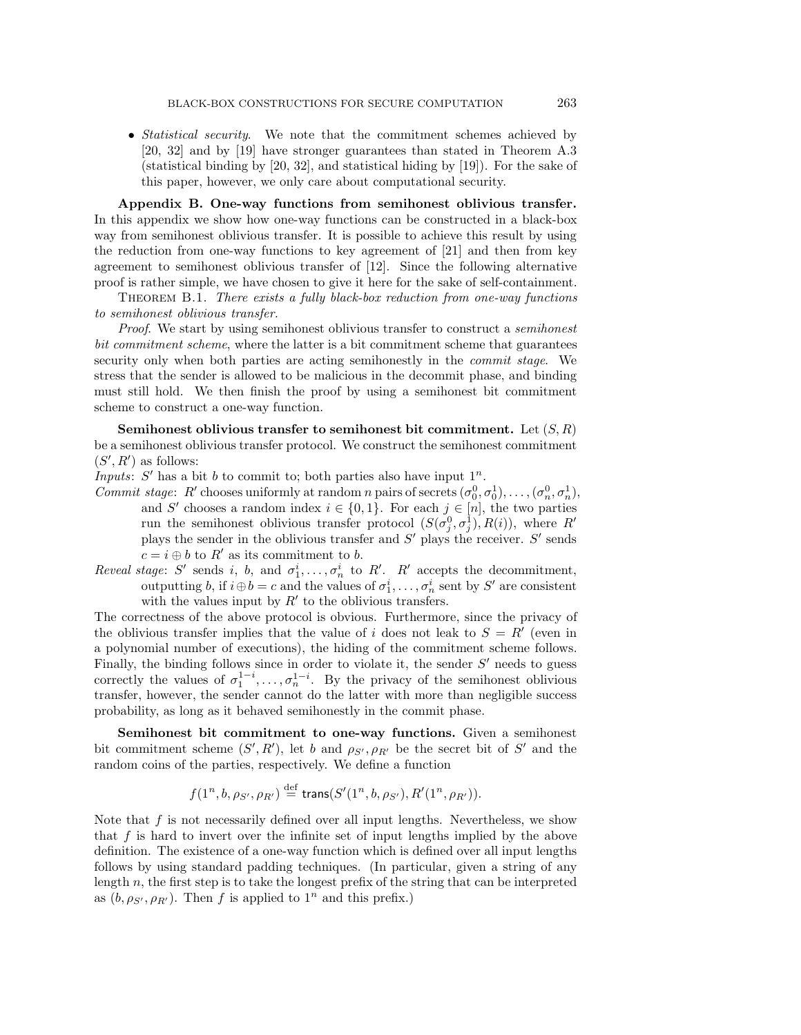• Statistical security. We note that the commitment schemes achieved by [20, 32] and by [19] have stronger guarantees than stated in Theorem A.3 (statistical binding by [20, 32], and statistical hiding by [19]). For the sake of this paper, however, we only care about computational security.

Appendix B. One-way functions from semihonest oblivious transfer. In this appendix we show how one-way functions can be constructed in a black-box way from semihonest oblivious transfer. It is possible to achieve this result by using the reduction from one-way functions to key agreement of [21] and then from key agreement to semihonest oblivious transfer of [12]. Since the following alternative proof is rather simple, we have chosen to give it here for the sake of self-containment.

THEOREM B.1. There exists a fully black-box reduction from one-way functions to semihonest oblivious transfer.

Proof. We start by using semihonest oblivious transfer to construct a *semihonest* bit commitment scheme, where the latter is a bit commitment scheme that guarantees security only when both parties are acting semihonestly in the *commit stage*. We stress that the sender is allowed to be malicious in the decommit phase, and binding must still hold. We then finish the proof by using a semihonest bit commitment scheme to construct a one-way function.

Semihonest oblivious transfer to semihonest bit commitment. Let  $(S, R)$ be a semihonest oblivious transfer protocol. We construct the semihonest commitment  $(S', R')$  as follows:

*Inputs:* S' has a bit b to commit to; both parties also have input  $1^n$ .

- Commit stage: R' chooses uniformly at random n pairs of secrets  $(\sigma_0^0, \sigma_0^1), \ldots, (\sigma_n^0, \sigma_n^1)$ , and S' chooses a random index  $i \in \{0,1\}$ . For each  $j \in [n]$ , the two parties run the semihonest oblivious transfer protocol  $(S(\sigma_j^0, \sigma_j^1), R(i))$ , where  $R'$ plays the sender in the oblivious transfer and  $S'$  plays the receiver.  $S'$  sends  $c = i \oplus b$  to R' as its commitment to b.
- Reveal stage: S' sends i, b, and  $\sigma_1^i, \ldots, \sigma_n^i$  to R'. R' accepts the decommitment, outputting b, if  $i \oplus b = c$  and the values of  $\sigma_1^i, \ldots, \sigma_n^i$  sent by S' are consistent with the values input by  $R'$  to the oblivious transfers.

The correctness of the above protocol is obvious. Furthermore, since the privacy of the oblivious transfer implies that the value of i does not leak to  $S = R'$  (even in a polynomial number of executions), the hiding of the commitment scheme follows. Finally, the binding follows since in order to violate it, the sender  $S'$  needs to guess correctly the values of  $\sigma_1^{1-i}, \ldots, \sigma_n^{1-i}$ . By the privacy of the semihonest oblivious transfer, however, the sender cannot do the latter with more than negligible success probability, as long as it behaved semihonestly in the commit phase.

Semihonest bit commitment to one-way functions. Given a semihonest bit commitment scheme  $(S', R')$ , let b and  $\rho_{S'}$ ,  $\rho_{R'}$  be the secret bit of S' and the random coins of the parties, respectively. We define a function

$$
f(1^n, b, \rho_{S'}, \rho_{R'}) \stackrel{\text{def}}{=} \text{trans}(S'(1^n, b, \rho_{S'}), R'(1^n, \rho_{R'})).
$$

Note that  $f$  is not necessarily defined over all input lengths. Nevertheless, we show that f is hard to invert over the infinite set of input lengths implied by the above definition. The existence of a one-way function which is defined over all input lengths follows by using standard padding techniques. (In particular, given a string of any length  $n$ , the first step is to take the longest prefix of the string that can be interpreted as  $(b, \rho_{S'}, \rho_{R'})$ . Then f is applied to  $1^n$  and this prefix.)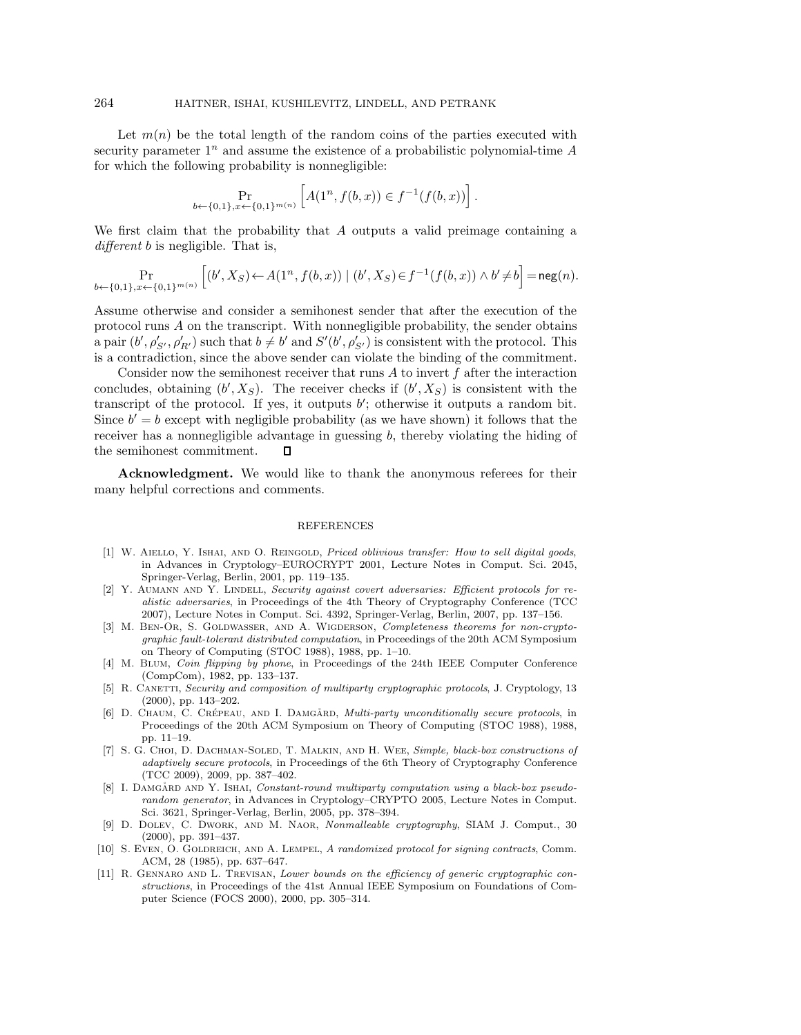Let  $m(n)$  be the total length of the random coins of the parties executed with security parameter  $1^n$  and assume the existence of a probabilistic polynomial-time A for which the following probability is nonnegligible:

$$
\Pr_{b \leftarrow \{0,1\}, x \leftarrow \{0,1\}^{m(n)}} \left[ A(1^n, f(b, x)) \in f^{-1}(f(b, x)) \right].
$$

We first claim that the probability that A outputs a valid preimage containing a different b is negligible. That is,

$$
\Pr_{b \leftarrow \{0,1\}, x \leftarrow \{0,1\}^{m(n)}} \left[ (b', X_S) \leftarrow A(1^n, f(b, x)) \mid (b', X_S) \in f^{-1}(f(b, x)) \land b' \neq b \right] = \operatorname{neg}(n).
$$

Assume otherwise and consider a semihonest sender that after the execution of the protocol runs A on the transcript. With nonnegligible probability, the sender obtains a pair  $(b', \rho'_{S'}, \rho'_{R'})$  such that  $b \neq b'$  and  $S'(b', \rho'_{S'})$  is consistent with the protocol. This is a contradiction, since the above sender can violate the binding of the commitment.

Consider now the semihonest receiver that runs  $A$  to invert  $f$  after the interaction concludes, obtaining  $(b', X_S)$ . The receiver checks if  $(b', X_S)$  is consistent with the transcript of the protocol. If yes, it outputs  $b'$ ; otherwise it outputs a random bit. Since  $b' = b$  except with negligible probability (as we have shown) it follows that the receiver has a nonnegligible advantage in guessing b, thereby violating the hiding of the semihonest commitment. П

Acknowledgment. We would like to thank the anonymous referees for their many helpful corrections and comments.

### REFERENCES

- [1] W. AIELLO, Y. ISHAI, AND O. REINGOLD, *Priced oblivious transfer: How to sell digital goods*, in Advances in Cryptology–EUROCRYPT 2001, Lecture Notes in Comput. Sci. 2045, Springer-Verlag, Berlin, 2001, pp. 119–135.
- [2] Y. AUMANN AND Y. LINDELL, Security against covert adversaries: Efficient protocols for realistic adversaries, in Proceedings of the 4th Theory of Cryptography Conference (TCC 2007), Lecture Notes in Comput. Sci. 4392, Springer-Verlag, Berlin, 2007, pp. 137–156.
- [3] M. BEN-OR, S. GOLDWASSER, AND A. WIGDERSON, Completeness theorems for non-cryptographic fault-tolerant distributed computation, in Proceedings of the 20th ACM Symposium on Theory of Computing (STOC 1988), 1988, pp. 1–10.
- [4] M. Blum, Coin flipping by phone, in Proceedings of the 24th IEEE Computer Conference (CompCom), 1982, pp. 133–137.
- [5] R. CANETTI, Security and composition of multiparty cryptographic protocols, J. Cryptology, 13 (2000), pp. 143–202.
- [6] D. CHAUM, C. CRÉPEAU, AND I. DAMGÅRD, *Multi-party unconditionally secure protocols*, in Proceedings of the 20th ACM Symposium on Theory of Computing (STOC 1988), 1988, pp. 11–19.
- [7] S. G. CHOI, D. DACHMAN-SOLED, T. MALKIN, AND H. WEE, Simple, black-box constructions of adaptively secure protocols, in Proceedings of the 6th Theory of Cryptography Conference (TCC 2009), 2009, pp. 387–402.
- [8] I. DAMGÅRD AND Y. ISHAI, Constant-round multiparty computation using a black-box pseudorandom generator, in Advances in Cryptology–CRYPTO 2005, Lecture Notes in Comput. Sci. 3621, Springer-Verlag, Berlin, 2005, pp. 378–394.
- [9] D. Dolev, C. Dwork, and M. Naor, Nonmalleable cryptography, SIAM J. Comput., 30 (2000), pp. 391–437.
- [10] S. EVEN, O. GOLDREICH, AND A. LEMPEL, A randomized protocol for signing contracts, Comm. ACM, 28 (1985), pp. 637–647.
- [11] R. GENNARO AND L. TREVISAN, Lower bounds on the efficiency of generic cryptographic constructions, in Proceedings of the 41st Annual IEEE Symposium on Foundations of Computer Science (FOCS 2000), 2000, pp. 305–314.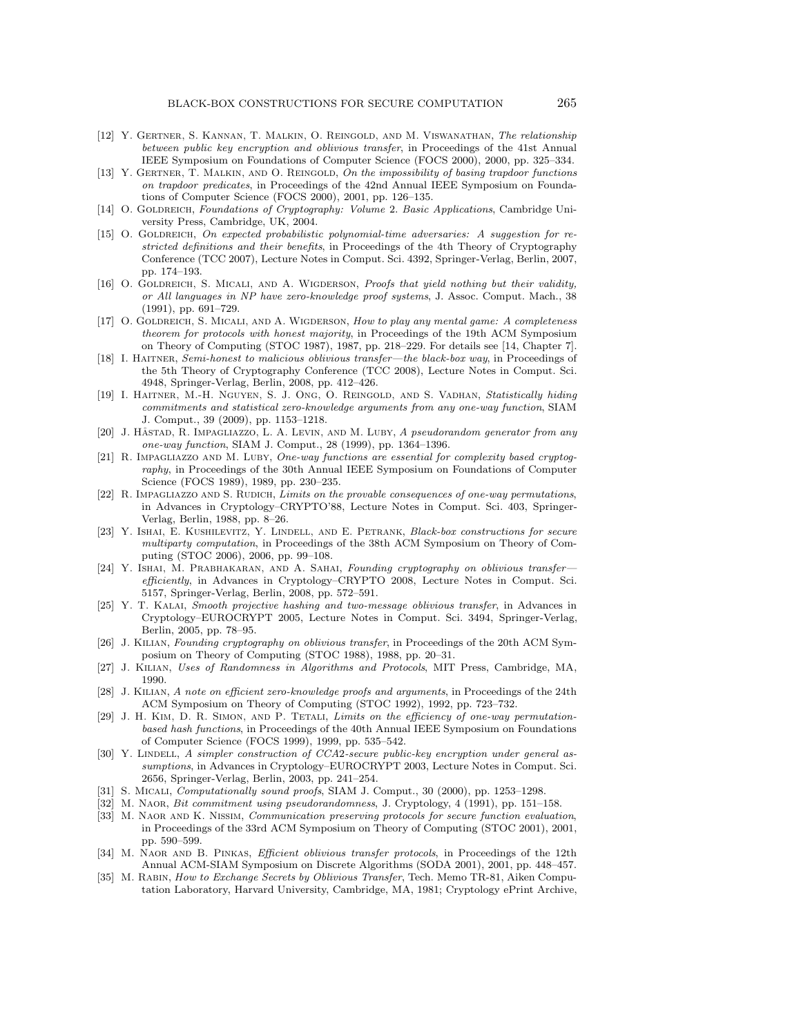- [12] Y. Gertner, S. Kannan, T. Malkin, O. Reingold, and M. Viswanathan, The relationship between public key encryption and oblivious transfer, in Proceedings of the 41st Annual IEEE Symposium on Foundations of Computer Science (FOCS 2000), 2000, pp. 325–334.
- [13] Y. GERTNER, T. MALKIN, AND O. REINGOLD, On the impossibility of basing trapdoor functions on trapdoor predicates, in Proceedings of the 42nd Annual IEEE Symposium on Foundations of Computer Science (FOCS 2000), 2001, pp. 126–135.
- [14] O. GOLDREICH, Foundations of Cryptography: Volume 2. Basic Applications, Cambridge University Press, Cambridge, UK, 2004.
- [15] O. GOLDREICH, On expected probabilistic polynomial-time adversaries: A suggestion for restricted definitions and their benefits, in Proceedings of the 4th Theory of Cryptography Conference (TCC 2007), Lecture Notes in Comput. Sci. 4392, Springer-Verlag, Berlin, 2007, pp. 174–193.
- [16] O. GOLDREICH, S. MICALI, AND A. WIGDERSON, *Proofs that yield nothing but their validity*, or All languages in NP have zero-knowledge proof systems, J. Assoc. Comput. Mach., 38 (1991), pp. 691–729.
- [17] O. GOLDREICH, S. MICALI, AND A. WIGDERSON, How to play any mental game: A completeness theorem for protocols with honest majority, in Proceedings of the 19th ACM Symposium on Theory of Computing (STOC 1987), 1987, pp. 218–229. For details see [14, Chapter 7].
- [18] I. HAITNER, Semi-honest to malicious oblivious transfer—the black-box way, in Proceedings of the 5th Theory of Cryptography Conference (TCC 2008), Lecture Notes in Comput. Sci. 4948, Springer-Verlag, Berlin, 2008, pp. 412–426.
- [19] I. Haitner, M.-H. Nguyen, S. J. Ong, O. Reingold, and S. Vadhan, Statistically hiding commitments and statistical zero-knowledge arguments from any one-way function, SIAM J. Comput., 39 (2009), pp. 1153–1218.
- [20] J. HÅSTAD, R. IMPAGLIAZZO, L. A. LEVIN, AND M. LUBY, A pseudorandom generator from any one-way function, SIAM J. Comput., 28 (1999), pp. 1364–1396.
- [21] R. IMPAGLIAZZO AND M. LUBY, One-way functions are essential for complexity based cryptography, in Proceedings of the 30th Annual IEEE Symposium on Foundations of Computer Science (FOCS 1989), 1989, pp. 230–235.
- [22] R. IMPAGLIAZZO AND S. RUDICH, Limits on the provable consequences of one-way permutations, in Advances in Cryptology–CRYPTO'88, Lecture Notes in Comput. Sci. 403, Springer-Verlag, Berlin, 1988, pp. 8–26.
- [23] Y. ISHAI, E. KUSHILEVITZ, Y. LINDELL, AND E. PETRANK, Black-box constructions for secure multiparty computation, in Proceedings of the 38th ACM Symposium on Theory of Computing (STOC 2006), 2006, pp. 99–108.
- [24] Y. ISHAI, M. PRABHAKARAN, AND A. SAHAI, Founding cryptography on oblivious transferefficiently, in Advances in Cryptology–CRYPTO 2008, Lecture Notes in Comput. Sci. 5157, Springer-Verlag, Berlin, 2008, pp. 572–591.
- [25] Y. T. Kalai, Smooth projective hashing and two-message oblivious transfer, in Advances in Cryptology–EUROCRYPT 2005, Lecture Notes in Comput. Sci. 3494, Springer-Verlag, Berlin, 2005, pp. 78–95.
- [26] J. Kilian, Founding cryptography on oblivious transfer, in Proceedings of the 20th ACM Symposium on Theory of Computing (STOC 1988), 1988, pp. 20–31.
- [27] J. Kilian, Uses of Randomness in Algorithms and Protocols, MIT Press, Cambridge, MA, 1990.
- [28] J. Kilian, A note on efficient zero-knowledge proofs and arguments, in Proceedings of the 24th ACM Symposium on Theory of Computing (STOC 1992), 1992, pp. 723–732.
- [29] J. H. KIM, D. R. SIMON, AND P. TETALI, Limits on the efficiency of one-way permutationbased hash functions, in Proceedings of the 40th Annual IEEE Symposium on Foundations of Computer Science (FOCS 1999), 1999, pp. 535–542.
- [30] Y. LINDELL, A simpler construction of CCA2-secure public-key encryption under general assumptions, in Advances in Cryptology–EUROCRYPT 2003, Lecture Notes in Comput. Sci. 2656, Springer-Verlag, Berlin, 2003, pp. 241–254.
- [31] S. MICALI, *Computationally sound proofs*, SIAM J. Comput., 30 (2000), pp. 1253–1298.
- [32] M. NAOR, Bit commitment using pseudorandomness, J. Cryptology, 4 (1991), pp. 151–158.
- [33] M. NAOR AND K. NISSIM, Communication preserving protocols for secure function evaluation, in Proceedings of the 33rd ACM Symposium on Theory of Computing (STOC 2001), 2001, pp. 590–599.
- [34] M. NAOR AND B. PINKAS, *Efficient oblivious transfer protocols*, in Proceedings of the 12th Annual ACM-SIAM Symposium on Discrete Algorithms (SODA 2001), 2001, pp. 448–457.
- [35] M. RABIN, How to Exchange Secrets by Oblivious Transfer, Tech. Memo TR-81, Aiken Computation Laboratory, Harvard University, Cambridge, MA, 1981; Cryptology ePrint Archive,